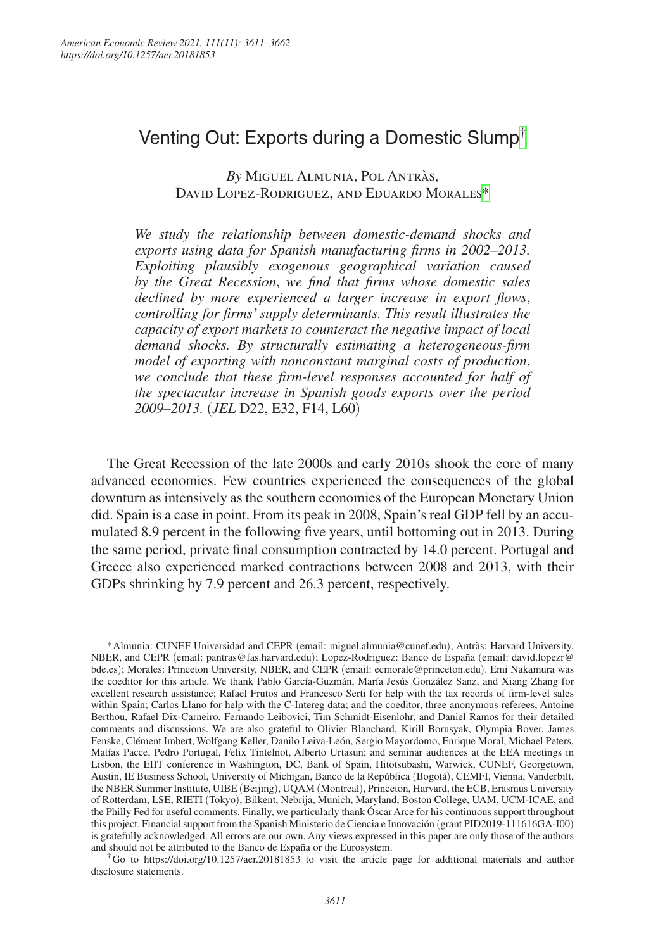# Venting Out: Exports during a Domestic Slump[†](#page-0-0)

*By* Miguel Almunia, Pol AntrÀs, David Lopez-Rodriguez, and Eduardo Morale[s\\*](#page-0-1)

*We study the relationship between domestic-demand shocks and exports using data for Spanish manufacturing firms in 2002*–*2013. Exploiting plausibly exogenous geographical variation caused by the Great Recession*, *we find that firms whose domestic sales declined by more experienced a larger increase in export flows*, *controlling for firms' supply determinants. This result illustrates the capacity of export markets to counteract the negative impact of local demand shocks. By structurally estimating a heterogeneous-firm model of exporting with nonconstant marginal costs of production*, *we conclude that these firm-level responses accounted for half of the spectacular increase in Spanish goods exports over the period 2009*–*2013.* (*JEL* D22, E32, F14, L60)

The Great Recession of the late 2000s and early 2010s shook the core of many advanced economies. Few countries experienced the consequences of the global downturn as intensively as the southern economies of the European Monetary Union did. Spain is a case in point. From its peak in 2008, Spain's real GDP fell by an accumulated 8.9 percent in the following five years, until bottoming out in 2013. During the same period, private final consumption contracted by 14.0 percent. Portugal and Greece also experienced marked contractions between 2008 and 2013, with their GDPs shrinking by 7.9 percent and 26.3 percent, respectively.

<span id="page-0-1"></span>\*Almunia: CUNEF Universidad and CEPR (email: [miguel.almunia@cunef.edu](mailto:miguel.almunia@cunef.edu)); Antràs: Harvard University, NBER, and CEPR (email: [pantras@fas.harvard.edu](mailto:pantras@fas.harvard.edu)); Lopez-Rodriguez: Banco de España (email: [david.lopezr@](mailto:david.lopezr@bde.es) [bde.es](mailto:david.lopezr@bde.es)); Morales: Princeton University, NBER, and CEPR (email: [ecmorale@princeton.edu](mailto:ecmorale@princeton.edu)). Emi Nakamura was the coeditor for this article. We thank Pablo García-Guzmán, María Jesús González Sanz, and Xiang Zhang for excellent research assistance; Rafael Frutos and Francesco Serti for help with the tax records of firm-level sales within Spain; Carlos Llano for help with the C-Intereg data; and the coeditor, three anonymous referees, Antoine Berthou, Rafael Dix-Carneiro, Fernando Leibovici, Tim Schmidt-Eisenlohr, and Daniel Ramos for their detailed comments and discussions. We are also grateful to Olivier Blanchard, Kirill Borusyak, Olympia Bover, James Fenske, Clément Imbert, Wolfgang Keller, Danilo Leiva-León, Sergio Mayordomo, Enrique Moral, Michael Peters, Matías Pacce, Pedro Portugal, Felix Tintelnot, Alberto Urtasun; and seminar audiences at the EEA meetings in Lisbon, the EIIT conference in Washington, DC, Bank of Spain, Hitotsubashi, Warwick, CUNEF, Georgetown, Austin, IE Business School, University of Michigan, Banco de la República (Bogotá), CEMFI, Vienna, Vanderbilt, the NBER Summer Institute, UIBE (Beijing), UQAM (Montreal), Princeton, Harvard, the ECB, Erasmus University of Rotterdam, LSE, RIETI (Tokyo), Bilkent, Nebrija, Munich, Maryland, Boston College, UAM, UCM-ICAE, and the Philly Fed for useful comments. Finally, we particularly thank Óscar Arce for his continuous support throughout this project. Financial support from the Spanish Ministerio de Ciencia e Innovación (grant PID2019-111616GA-I00) is gratefully acknowledged. All errors are our own. Any views expressed in this paper are only those of the authors and should not be attributed to the Banco de España or the Eurosystem.

<span id="page-0-0"></span>†Go to <https://doi.org/10.1257/aer.20181853>to visit the article page for additional materials and author disclosure statements.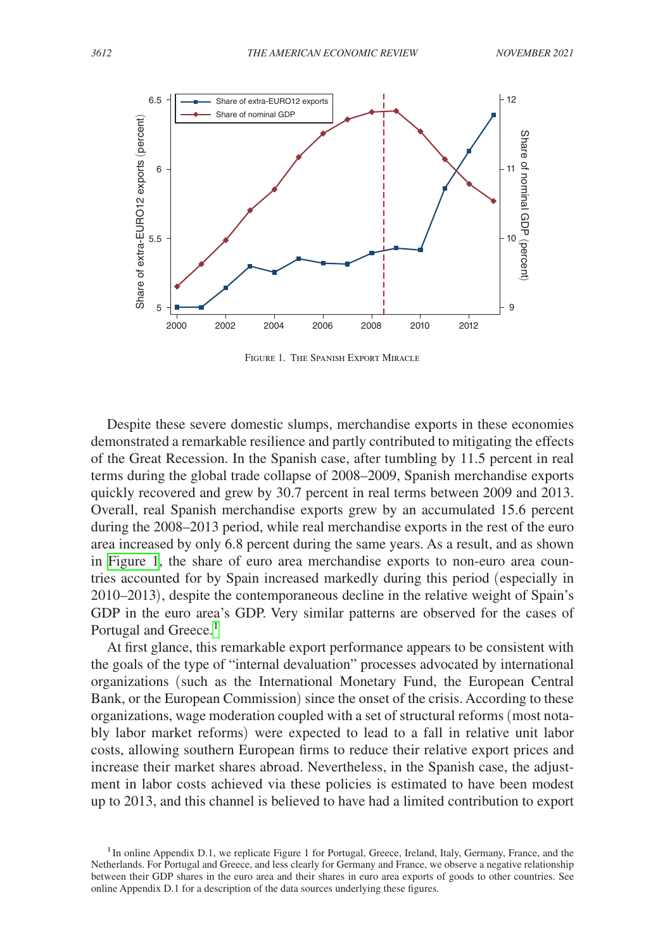

Figure 1. The Spanish Export Miracle

Despite these severe domestic slumps, merchandise exports in these economies demonstrated a remarkable resilience and partly contributed to mitigating the effects of the Great Recession. In the Spanish case, after tumbling by 11.5 percent in real terms during the global trade collapse of 2008–2009, Spanish merchandise exports quickly recovered and grew by 30.7 percent in real terms between 2009 and 2013. Overall, real Spanish merchandise exports grew by an accumulated 15.6 percent during the 2008–2013 period, while real merchandise exports in the rest of the euro area increased by only 6.8 percent during the same years. As a result, and as shown in Figure 1, the share of euro area merchandise exports to non-euro area countries accounted for by Spain increased markedly during this period (especially in 2010–2013), despite the contemporaneous decline in the relative weight of Spain's GDP in the euro area's GDP. Very similar patterns are observed for the cases of Portugal and Greece.<sup>1</sup>

At first glance, this remarkable export performance appears to be consistent with the goals of the type of "internal devaluation" processes advocated by international organizations (such as the International Monetary Fund, the European Central Bank, or the European Commission) since the onset of the crisis. According to these organizations, wage moderation coupled with a set of structural reforms (most notably labor market reforms) were expected to lead to a fall in relative unit labor costs, allowing southern European firms to reduce their relative export prices and increase their market shares abroad. Nevertheless, in the Spanish case, the adjustment in labor costs achieved via these policies is estimated to have been modest up to 2013, and this channel is believed to have had a limited contribution to export

<span id="page-1-0"></span><sup>&</sup>lt;sup>1</sup> In online Appendix D.1, we replicate Figure 1 for Portugal, Greece, Ireland, Italy, Germany, France, and the Netherlands. For Portugal and Greece, and less clearly for Germany and France, we observe a negative relationship between their GDP shares in the euro area and their shares in euro area exports of goods to other countries. See online Appendix D.1 for a description of the data sources underlying these figures.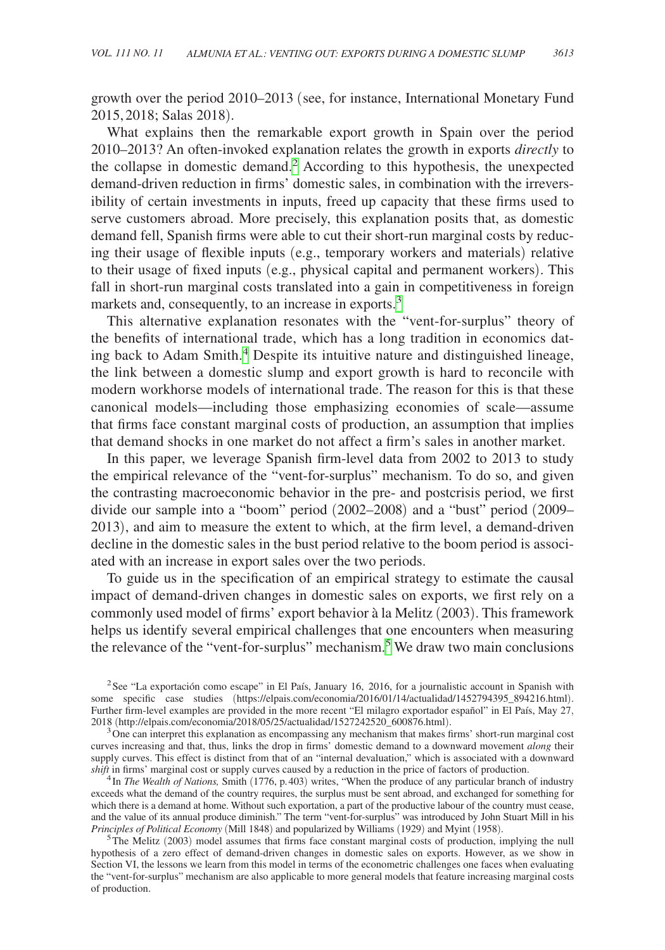growth over the period 2010–2013 (see, for instance, International Monetary Fund 2015, 2018; Salas 2018).

What explains then the remarkable export growth in Spain over the period 2010–2013? An often-invoked explanation relates the growth in exports *directly* to the collapse in domestic demand.<sup>2</sup> According to this hypothesis, the unexpected demand-driven reduction in firms' domestic sales, in combination with the irreversibility of certain investments in inputs, freed up capacity that these firms used to serve customers abroad. More precisely, this explanation posits that, as domestic demand fell, Spanish firms were able to cut their short-run marginal costs by reducing their usage of flexible inputs (e.g., temporary workers and materials) relative to their usage of fixed inputs (e.g., physical capital and permanent workers). This fall in short-run marginal costs translated into a gain in competitiveness in foreign markets and, consequently, to an increase in exports.<sup>[3](#page-2-1)</sup>

This alternative explanation resonates with the "vent-for-surplus" theory of the benefits of international trade, which has a long tradition in economics dat-ing back to Adam Smith.<sup>[4](#page-2-2)</sup> Despite its intuitive nature and distinguished lineage, the link between a domestic slump and export growth is hard to reconcile with modern workhorse models of international trade. The reason for this is that these canonical models—including those emphasizing economies of scale—assume that firms face constant marginal costs of production, an assumption that implies that demand shocks in one market do not affect a firm's sales in another market.

In this paper, we leverage Spanish firm-level data from 2002 to 2013 to study the empirical relevance of the "vent-for-surplus" mechanism. To do so, and given the contrasting macroeconomic behavior in the pre- and postcrisis period, we first divide our sample into a "boom" period (2002–2008) and a "bust" period (2009– 2013), and aim to measure the extent to which, at the firm level, a demand-driven decline in the domestic sales in the bust period relative to the boom period is associated with an increase in export sales over the two periods.

To guide us in the specification of an empirical strategy to estimate the causal impact of demand-driven changes in domestic sales on exports, we first rely on a commonly used model of firms' export behavior à la Melitz (2003). This framework helps us identify several empirical challenges that one encounters when measuring the relevance of the "vent-for-surplus" mechanism[.5](#page-2-3) We draw two main conclusions

<span id="page-2-1"></span><sup>3</sup> One can interpret this explanation as encompassing any mechanism that makes firms' short-run marginal cost curves increasing and that, thus, links the drop in firms' domestic demand to a downward movement *along* their supply curves. This effect is distinct from that of an "internal devaluation," which is associated with a downward *shift* in firms' marginal cost or supply curves caused by a reduction in the price of factors of production.

<span id="page-2-2"></span>4In *The Wealth of Nations,* Smith (1776, p.403) writes, "When the produce of any particular branch of industry exceeds what the demand of the country requires, the surplus must be sent abroad, and exchanged for something for which there is a demand at home. Without such exportation, a part of the productive labour of the country must cease, and the value of its annual produce diminish." The term "vent-for-surplus" was introduced by John Stuart Mill in his

<span id="page-2-3"></span>*Principles of Political Economy* (Mill 1848) and popularized by Williams (1929) and Myint (1958). <sup>5</sup>The Melitz (2003) model assumes that firms face constant marginal costs of production, implying the null hypothesis of a zero effect of demand-driven changes in domestic sales on exports. However, as we show in Section VI, the lessons we learn from this model in terms of the econometric challenges one faces when evaluating the "vent-for-surplus" mechanism are also applicable to more general models that feature increasing marginal costs of production.

<span id="page-2-0"></span><sup>&</sup>lt;sup>2</sup>See "La exportación como escape" in El País, January 16, 2016, for a journalistic account in Spanish with some specific case studies ([https://elpais.com/economia/2016/01/14/actualidad/1452794395\\_894216.html](https://elpais.com/economia/2016/01/14/actualidad/1452794395_894216.html)). Further firm-level examples are provided in the more recent "El milagro exportador español" in El País, May 27,<br>2018 (http://elpais.com/economia/2018/05/25/actualidad/1527242520 600876.html).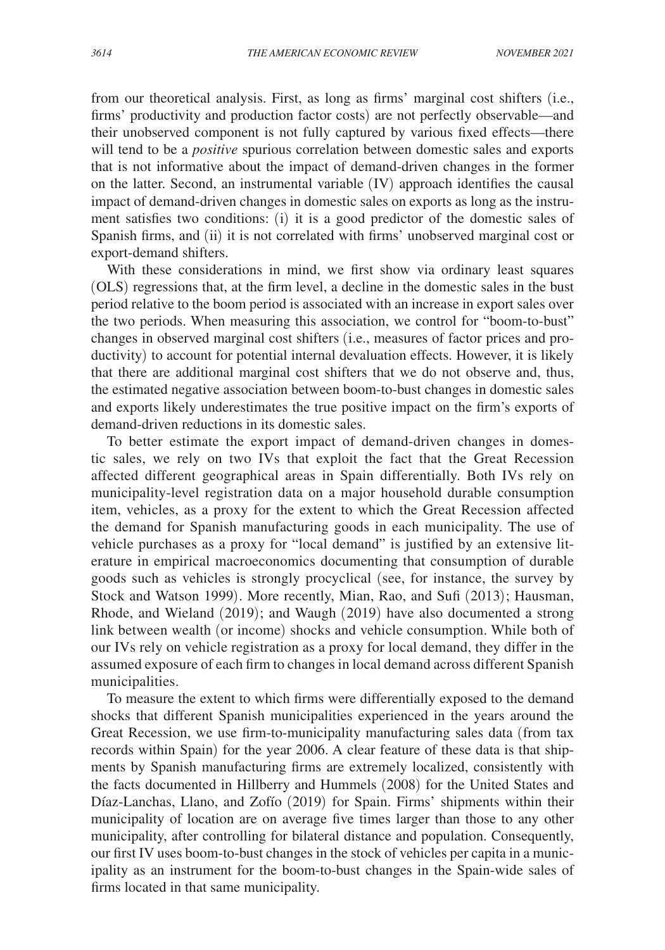from our theoretical analysis. First, as long as firms' marginal cost shifters (i.e., firms' productivity and production factor costs) are not perfectly observable—and their unobserved component is not fully captured by various fixed effects—there will tend to be a *positive* spurious correlation between domestic sales and exports that is not informative about the impact of demand-driven changes in the former on the latter. Second, an instrumental variable (IV) approach identifies the causal impact of demand-driven changes in domestic sales on exports as long as the instrument satisfies two conditions: (i) it is a good predictor of the domestic sales of Spanish firms, and (ii) it is not correlated with firms' unobserved marginal cost or export-demand shifters.

With these considerations in mind, we first show via ordinary least squares (OLS) regressions that, at the firm level, a decline in the domestic sales in the bust period relative to the boom period is associated with an increase in export sales over the two periods. When measuring this association, we control for "boom-to-bust" changes in observed marginal cost shifters (i.e., measures of factor prices and productivity) to account for potential internal devaluation effects. However, it is likely that there are additional marginal cost shifters that we do not observe and, thus, the estimated negative association between boom-to-bust changes in domestic sales and exports likely underestimates the true positive impact on the firm's exports of demand-driven reductions in its domestic sales.

To better estimate the export impact of demand-driven changes in domestic sales, we rely on two IVs that exploit the fact that the Great Recession affected different geographical areas in Spain differentially. Both IVs rely on municipality-level registration data on a major household durable consumption item, vehicles, as a proxy for the extent to which the Great Recession affected the demand for Spanish manufacturing goods in each municipality. The use of vehicle purchases as a proxy for "local demand" is justified by an extensive literature in empirical macroeconomics documenting that consumption of durable goods such as vehicles is strongly procyclical (see, for instance, the survey by Stock and Watson 1999). More recently, Mian, Rao, and Sufi (2013); Hausman, Rhode, and Wieland (2019); and Waugh (2019) have also documented a strong link between wealth (or income) shocks and vehicle consumption. While both of our IVs rely on vehicle registration as a proxy for local demand, they differ in the assumed exposure of each firm to changes in local demand across different Spanish municipalities.

To measure the extent to which firms were differentially exposed to the demand shocks that different Spanish municipalities experienced in the years around the Great Recession, we use firm-to-municipality manufacturing sales data (from tax records within Spain) for the year 2006. A clear feature of these data is that shipments by Spanish manufacturing firms are extremely localized, consistently with the facts documented in Hillberry and Hummels (2008) for the United States and Díaz-Lanchas, Llano, and Zofío (2019) for Spain. Firms' shipments within their municipality of location are on average five times larger than those to any other municipality, after controlling for bilateral distance and population. Consequently, our first IV uses boom-to-bust changes in the stock of vehicles per capita in a municipality as an instrument for the boom-to-bust changes in the Spain-wide sales of firms located in that same municipality.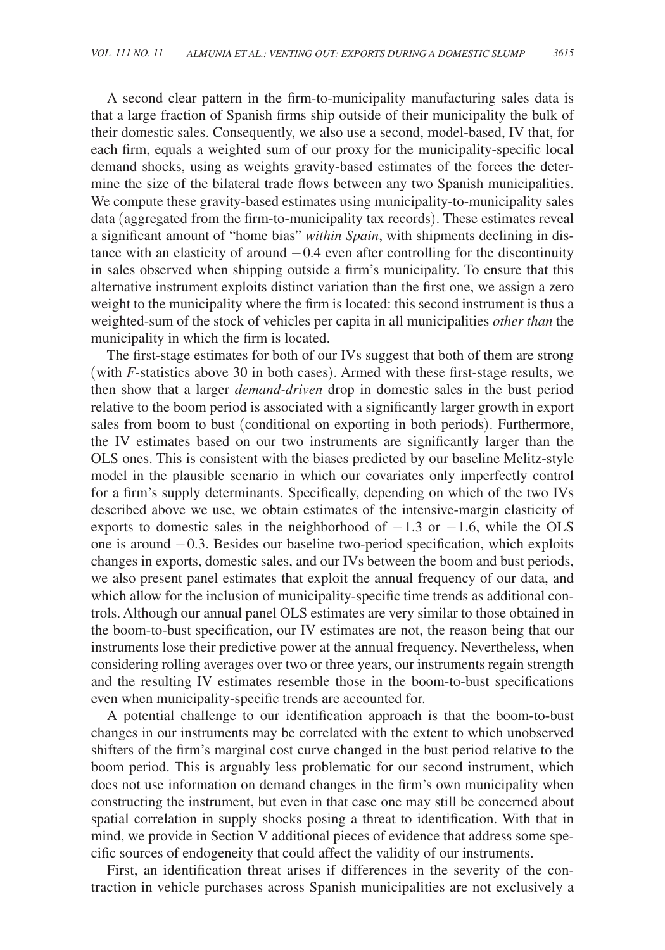A second clear pattern in the firm-to-municipality manufacturing sales data is that a large fraction of Spanish firms ship outside of their municipality the bulk of their domestic sales. Consequently, we also use a second, model-based, IV that, for each firm, equals a weighted sum of our proxy for the municipality-specific local demand shocks, using as weights gravity-based estimates of the forces the determine the size of the bilateral trade flows between any two Spanish municipalities. We compute these gravity-based estimates using municipality-to-municipality sales data (aggregated from the firm-to-municipality tax records). These estimates reveal a significant amount of "home bias" *within Spain*, with shipments declining in distance with an elasticity of around −0.4 even after controlling for the discontinuity in sales observed when shipping outside a firm's municipality. To ensure that this alternative instrument exploits distinct variation than the first one, we assign a zero weight to the municipality where the firm is located: this second instrument is thus a weighted-sum of the stock of vehicles per capita in all municipalities *other than* the municipality in which the firm is located.

The first-stage estimates for both of our IVs suggest that both of them are strong (with *F*-statistics above 30 in both cases). Armed with these first-stage results, we then show that a larger *demand-driven* drop in domestic sales in the bust period relative to the boom period is associated with a significantly larger growth in export sales from boom to bust (conditional on exporting in both periods). Furthermore, the IV estimates based on our two instruments are significantly larger than the OLS ones. This is consistent with the biases predicted by our baseline Melitz-style model in the plausible scenario in which our covariates only imperfectly control for a firm's supply determinants. Specifically, depending on which of the two IVs described above we use, we obtain estimates of the intensive-margin elasticity of exports to domestic sales in the neighborhood of  $-1.3$  or  $-1.6$ , while the OLS one is around −0.3. Besides our baseline two-period specification, which exploits changes in exports, domestic sales, and our IVs between the boom and bust periods, we also present panel estimates that exploit the annual frequency of our data, and which allow for the inclusion of municipality-specific time trends as additional controls. Although our annual panel OLS estimates are very similar to those obtained in the boom-to-bust specification, our IV estimates are not, the reason being that our instruments lose their predictive power at the annual frequency. Nevertheless, when considering rolling averages over two or three years, our instruments regain strength and the resulting IV estimates resemble those in the boom-to-bust specifications even when municipality-specific trends are accounted for.

A potential challenge to our identification approach is that the boom-to-bust changes in our instruments may be correlated with the extent to which unobserved shifters of the firm's marginal cost curve changed in the bust period relative to the boom period. This is arguably less problematic for our second instrument, which does not use information on demand changes in the firm's own municipality when constructing the instrument, but even in that case one may still be concerned about spatial correlation in supply shocks posing a threat to identification. With that in mind, we provide in Section V additional pieces of evidence that address some specific sources of endogeneity that could affect the validity of our instruments.

First, an identification threat arises if differences in the severity of the contraction in vehicle purchases across Spanish municipalities are not exclusively a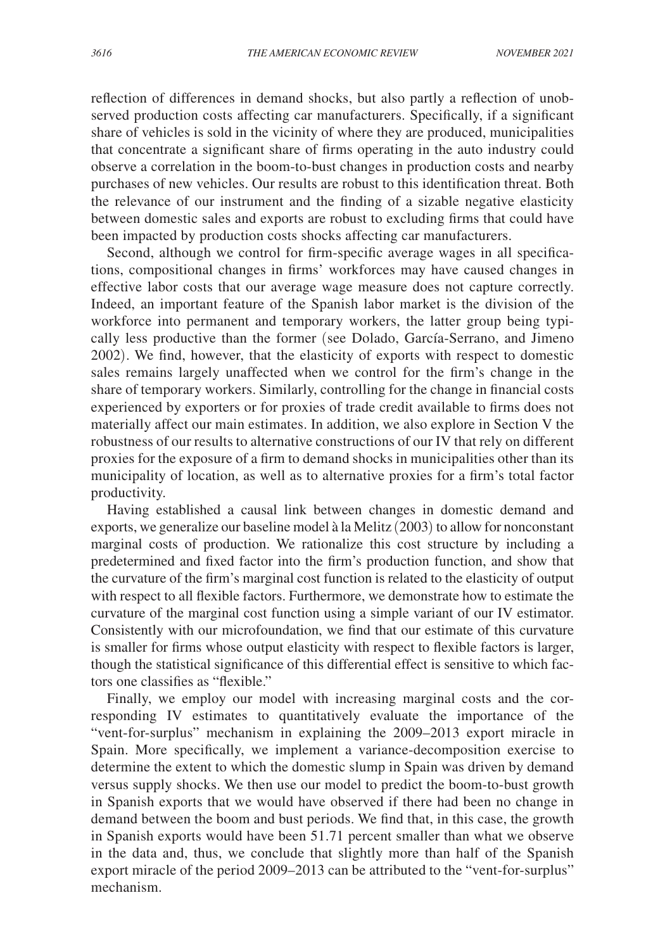reflection of differences in demand shocks, but also partly a reflection of unobserved production costs affecting car manufacturers. Specifically, if a significant share of vehicles is sold in the vicinity of where they are produced, municipalities that concentrate a significant share of firms operating in the auto industry could observe a correlation in the boom-to-bust changes in production costs and nearby purchases of new vehicles. Our results are robust to this identification threat. Both the relevance of our instrument and the finding of a sizable negative elasticity between domestic sales and exports are robust to excluding firms that could have been impacted by production costs shocks affecting car manufacturers.

Second, although we control for firm-specific average wages in all specifications, compositional changes in firms' workforces may have caused changes in effective labor costs that our average wage measure does not capture correctly. Indeed, an important feature of the Spanish labor market is the division of the workforce into permanent and temporary workers, the latter group being typically less productive than the former (see Dolado, García-Serrano, and Jimeno 2002). We find, however, that the elasticity of exports with respect to domestic sales remains largely unaffected when we control for the firm's change in the share of temporary workers. Similarly, controlling for the change in financial costs experienced by exporters or for proxies of trade credit available to firms does not materially affect our main estimates. In addition, we also explore in Section V the robustness of our results to alternative constructions of our IV that rely on different proxies for the exposure of a firm to demand shocks in municipalities other than its municipality of location, as well as to alternative proxies for a firm's total factor productivity.

Having established a causal link between changes in domestic demand and exports, we generalize our baseline model à la Melitz (2003) to allow for nonconstant marginal costs of production. We rationalize this cost structure by including a predetermined and fixed factor into the firm's production function, and show that the curvature of the firm's marginal cost function is related to the elasticity of output with respect to all flexible factors. Furthermore, we demonstrate how to estimate the curvature of the marginal cost function using a simple variant of our IV estimator. Consistently with our microfoundation, we find that our estimate of this curvature is smaller for firms whose output elasticity with respect to flexible factors is larger, though the statistical significance of this differential effect is sensitive to which factors one classifies as "flexible."

Finally, we employ our model with increasing marginal costs and the corresponding IV estimates to quantitatively evaluate the importance of the "vent-for-surplus" mechanism in explaining the 2009–2013 export miracle in Spain. More specifically, we implement a variance-decomposition exercise to determine the extent to which the domestic slump in Spain was driven by demand versus supply shocks. We then use our model to predict the boom-to-bust growth in Spanish exports that we would have observed if there had been no change in demand between the boom and bust periods. We find that, in this case, the growth in Spanish exports would have been 51.71 percent smaller than what we observe in the data and, thus, we conclude that slightly more than half of the Spanish export miracle of the period 2009–2013 can be attributed to the "vent-for-surplus" mechanism.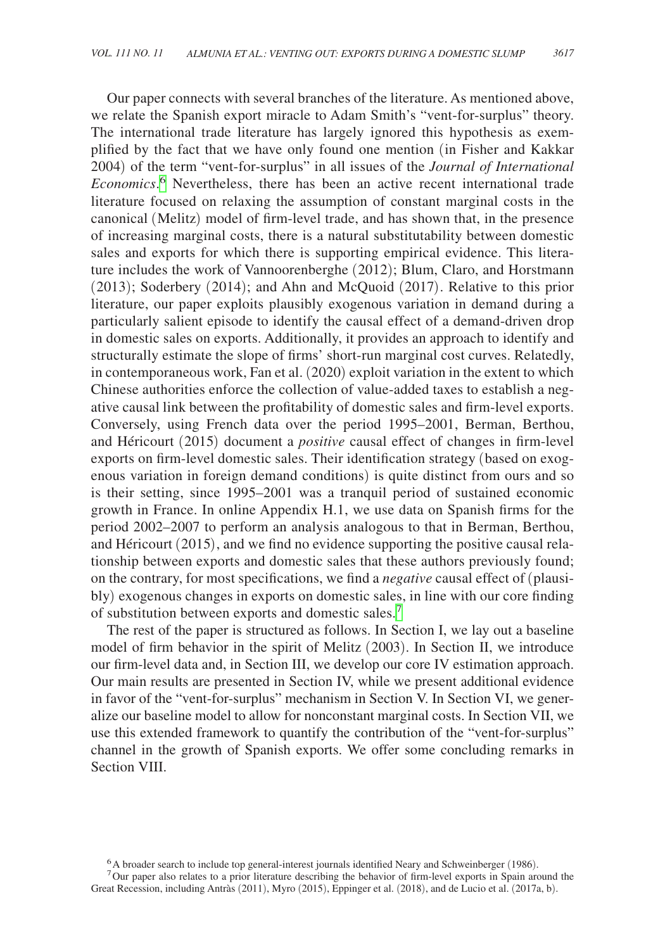Our paper connects with several branches of the literature. As mentioned above, we relate the Spanish export miracle to Adam Smith's "vent-for-surplus" theory. The international trade literature has largely ignored this hypothesis as exemplified by the fact that we have only found one mention (in Fisher and Kakkar 2004) of the term "vent-for-surplus" in all issues of the *Journal of International Economics*. [6](#page-6-0) Nevertheless, there has been an active recent international trade literature focused on relaxing the assumption of constant marginal costs in the canonical (Melitz) model of firm-level trade, and has shown that, in the presence of increasing marginal costs, there is a natural substitutability between domestic sales and exports for which there is supporting empirical evidence. This literature includes the work of Vannoorenberghe (2012); Blum, Claro, and Horstmann (2013); Soderbery (2014); and Ahn and McQuoid (2017). Relative to this prior literature, our paper exploits plausibly exogenous variation in demand during a particularly salient episode to identify the causal effect of a demand-driven drop in domestic sales on exports. Additionally, it provides an approach to identify and structurally estimate the slope of firms' short-run marginal cost curves. Relatedly, in contemporaneous work, Fan et al. (2020) exploit variation in the extent to which Chinese authorities enforce the collection of value-added taxes to establish a negative causal link between the profitability of domestic sales and firm-level exports. Conversely, using French data over the period 1995–2001, Berman, Berthou, and Héricourt (2015) document a *positive* causal effect of changes in firm-level exports on firm-level domestic sales. Their identification strategy (based on exogenous variation in foreign demand conditions) is quite distinct from ours and so is their setting, since 1995–2001 was a tranquil period of sustained economic growth in France. In online Appendix H.1, we use data on Spanish firms for the period 2002–2007 to perform an analysis analogous to that in Berman, Berthou, and Héricourt (2015), and we find no evidence supporting the positive causal relationship between exports and domestic sales that these authors previously found; on the contrary, for most specifications, we find a *negative* causal effect of (plausibly) exogenous changes in exports on domestic sales, in line with our core finding of substitution between exports and domestic sales.[7](#page-6-1)

The rest of the paper is structured as follows. In Section I, we lay out a baseline model of firm behavior in the spirit of Melitz (2003). In Section II, we introduce our firm-level data and, in Section III, we develop our core IV estimation approach. Our main results are presented in Section IV, while we present additional evidence in favor of the "vent-for-surplus" mechanism in Section V. In Section VI, we generalize our baseline model to allow for nonconstant marginal costs. In Section VII, we use this extended framework to quantify the contribution of the "vent-for-surplus" channel in the growth of Spanish exports. We offer some concluding remarks in Section VIII.

<span id="page-6-1"></span><span id="page-6-0"></span> ${}^{6}$ A broader search to include top general-interest journals identified Neary and Schweinberger (1986). <sup>7</sup>Our paper also relates to a prior literature describing the behavior of firm-level exports in Spain around the Great Recession, including Antràs (2011), Myro (2015), Eppinger et al. (2018), and de Lucio et al. (2017a, b).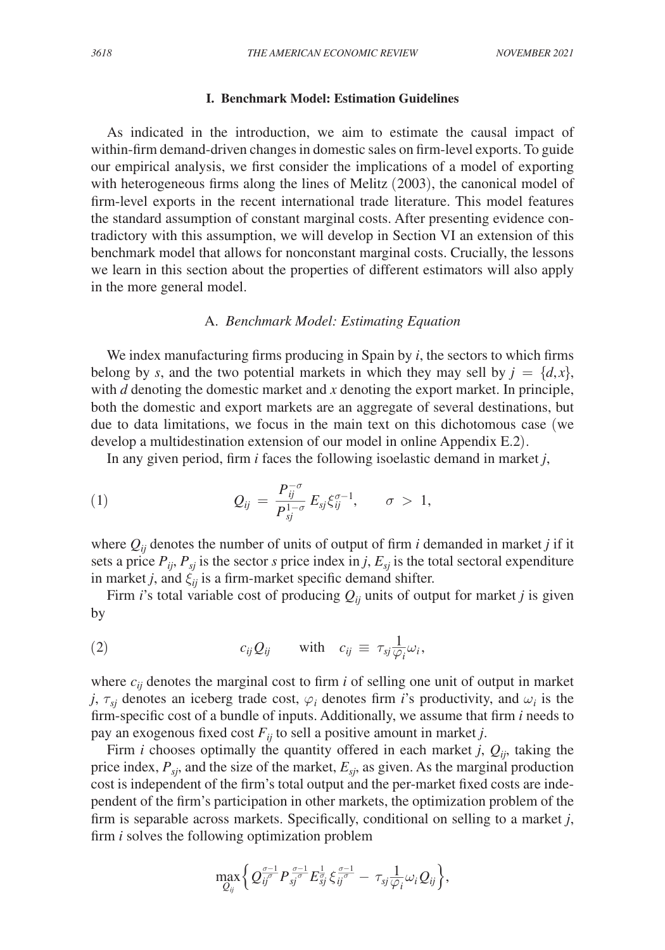## **I. Benchmark Model: Estimation Guidelines**

As indicated in the introduction, we aim to estimate the causal impact of within-firm demand-driven changes in domestic sales on firm-level exports. To guide our empirical analysis, we first consider the implications of a model of exporting with heterogeneous firms along the lines of Melitz (2003), the canonical model of firm-level exports in the recent international trade literature. This model features the standard assumption of constant marginal costs. After presenting evidence contradictory with this assumption, we will develop in Section VI an extension of this benchmark model that allows for nonconstant marginal costs. Crucially, the lessons we learn in this section about the properties of different estimators will also apply in the more general model.

#### A. *Benchmark Model: Estimating Equation*

We index manufacturing firms producing in Spain by *i*, the sectors to which firms belong by *s*, and the two potential markets in which they may sell by  $j = \{d, x\}$ , with *d* denoting the domestic market and *x* denoting the export market. In principle, both the domestic and export markets are an aggregate of several destinations, but due to data limitations, we focus in the main text on this dichotomous case (we develop a multidestination extension of our model in online Appendix E.2).

In any given period, firm *i* faces the following isoelastic demand in market *j*,

(1) 
$$
Q_{ij} = \frac{P_{ij}^{-\sigma}}{P_{sj}^{1-\sigma}} E_{sj} \xi_{ij}^{\sigma-1}, \quad \sigma > 1,
$$

where  $Q_{ij}$  denotes the number of units of output of firm *i* demanded in market *j* if it sets a price  $P_{ij}$ ,  $P_{sj}$  is the sector *s* price index in *j*,  $E_{sj}$  is the total sectoral expenditure in market *j*, and  $\xi_{ii}$  is a firm-market specific demand shifter.

Firm *i*'s total variable cost of producing  $Q_{ij}$  units of output for market *j* is given by

(2) 
$$
c_{ij}Q_{ij} \text{ with } c_{ij} \equiv \tau_{sj}\frac{1}{\varphi_i}\omega_i,
$$

where  $c_{ij}$  denotes the marginal cost to firm  $i$  of selling one unit of output in market *j*,  $\tau_{sj}$  denotes an iceberg trade cost,  $\varphi_i$  denotes firm *i*'s productivity, and  $\omega_i$  is the firm-specific cost of a bundle of inputs. Additionally, we assume that firm *i* needs to pay an exogenous fixed cost  $F_{ii}$  to sell a positive amount in market *j*.

Firm *i* chooses optimally the quantity offered in each market *j*,  $Q_{ij}$ , taking the price index,  $P_{si}$ , and the size of the market,  $E_{si}$ , as given. As the marginal production cost is independent of the firm's total output and the per-market fixed costs are independent of the firm's participation in other markets, the optimization problem of the firm is separable across markets. Specifically, conditional on selling to a market *j*, firm *i* solves the following optimization problem

$$
\max_{Q_{ij}} \left\{ Q_{ij}^{\frac{\sigma-1}{\sigma}} P_{ij}^{\frac{\sigma-1}{\sigma}} E_{ij}^{\frac{1}{\sigma}} \xi_{ij}^{\frac{\sigma-1}{\sigma}} - \tau_{sj} \frac{1}{\varphi_i} \omega_i Q_{ij} \right\},\right.
$$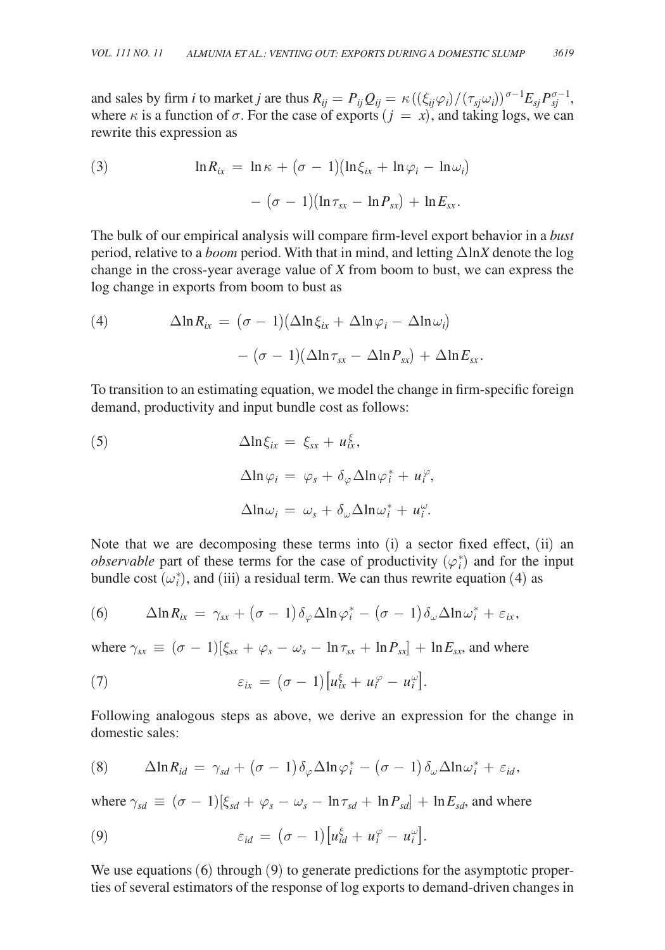and sales by firm *i* to market *j* are thus  $R_{ij} = P_{ij}Q_{ij} = \kappa \left( \left( \xi_{ij} \varphi_i \right) / (\tau_{sj} \omega_i) \right)^{\sigma - 1} E_{sj} P_{sj}^{\sigma - 1}$ , where  $\kappa$  is a function of  $\sigma$ . For the case of exports  $(j = x)$ , and taking logs, we can rewrite this expression as

(3) 
$$
\ln R_{ix} = \ln \kappa + (\sigma - 1)(\ln \xi_{ix} + \ln \varphi_i - \ln \omega_i)
$$

$$
- (\sigma - 1)(\ln \tau_{sx} - \ln P_{sx}) + \ln E_{sx}.
$$

The bulk of our empirical analysis will compare firm-level export behavior in a *bust*  period, relative to a *boom* period. With that in mind, and letting Δln*X* denote the log change in the cross-year average value of *X* from boom to bust, we can express the log change in exports from boom to bust as

(4) 
$$
\Delta \ln R_{ix} = (\sigma - 1)(\Delta \ln \xi_{ix} + \Delta \ln \varphi_i - \Delta \ln \omega_i)
$$

$$
- (\sigma - 1)(\Delta \ln \tau_{sx} - \Delta \ln P_{sx}) + \Delta \ln E_{sx}.
$$

To transition to an estimating equation, we model the change in firm-specific foreign demand, productivity and input bundle cost as follows:

(5) 
$$
\Delta \ln \xi_{ix} = \xi_{sx} + u_{ix}^{\xi},
$$

$$
\Delta \ln \varphi_i = \varphi_s + \delta_{\varphi} \Delta \ln \varphi_i^* + u_i^{\varphi},
$$

$$
\Delta \ln \omega_i = \omega_s + \delta_{\omega} \Delta \ln \omega_i^* + u_i^{\omega}.
$$

Note that we are decomposing these terms into (i) a sector fixed effect, (ii) an *observable* part of these terms for the case of productivity  $(\varphi_i^*)$  and for the input bundle cost  $(\omega_i^*)$ , and (iii) a residual term. We can thus rewrite equation (4) as

(6) 
$$
\Delta \ln R_{ix} = \gamma_{sx} + (\sigma - 1) \delta_{\varphi} \Delta \ln \varphi_i^* - (\sigma - 1) \delta_{\omega} \Delta \ln \omega_i^* + \varepsilon_{ix},
$$

where  $\gamma_{sx} \equiv (\sigma - 1)[\xi_{sx} + \varphi_s - \omega_s - \ln \tau_{sx} + \ln P_{sx}] + \ln E_{sx}$ , and where

(7) 
$$
\varepsilon_{ix} = (\sigma - 1) [u_{ix}^{\xi} + u_i^{\varphi} - u_i^{\omega}].
$$

Following analogous steps as above, we derive an expression for the change in domestic sales:

(8) 
$$
\Delta \ln R_{id} = \gamma_{sd} + (\sigma - 1) \delta_{\varphi} \Delta \ln \varphi_i^* - (\sigma - 1) \delta_{\omega} \Delta \ln \omega_i^* + \varepsilon_{id},
$$

where  $\gamma_{sd} \equiv (\sigma - 1)[\xi_{sd} + \varphi_s - \omega_s - \ln \tau_{sd} + \ln P_{sd}] + \ln E_{sd}$ , and where

(9) 
$$
\varepsilon_{id} = (\sigma - 1) \big[ u_{id}^{\xi} + u_i^{\varphi} - u_i^{\omega} \big].
$$

We use equations (6) through (9) to generate predictions for the asymptotic properties of several estimators of the response of log exports to demand-driven changes in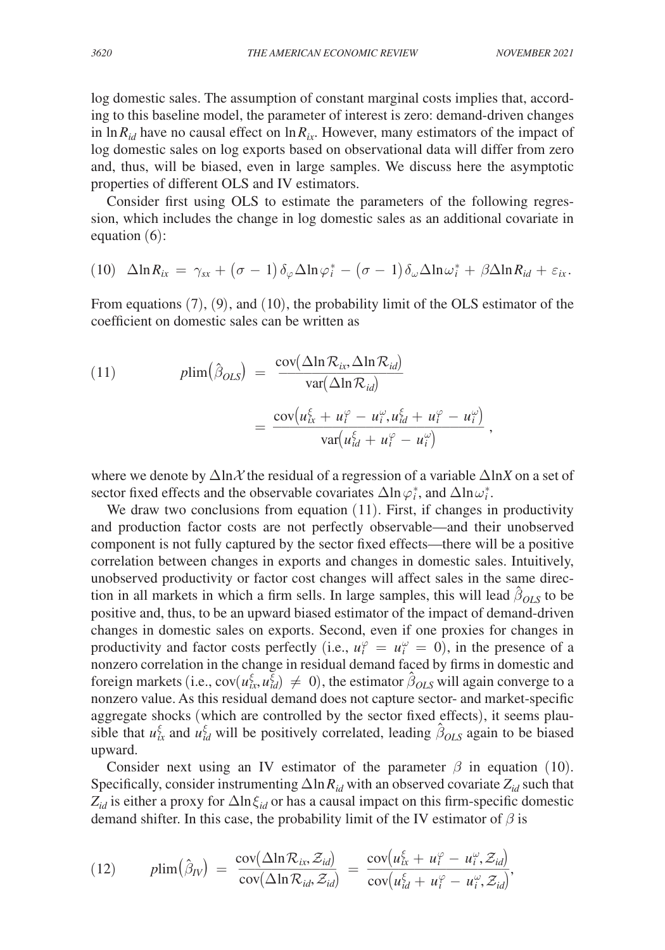log domestic sales. The assumption of constant marginal costs implies that, according to this baseline model, the parameter of interest is zero: demand-driven changes in  $\ln R_{id}$  have no causal effect on  $\ln R_{ix}$ . However, many estimators of the impact of log domestic sales on log exports based on observational data will differ from zero and, thus, will be biased, even in large samples. We discuss here the asymptotic properties of different OLS and IV estimators.

Consider first using OLS to estimate the parameters of the following regression, which includes the change in log domestic sales as an additional covariate in equation (6):

$$
(10)\ \ \Delta \ln R_{ix} = \gamma_{sx} + (\sigma - 1)\delta_{\varphi} \Delta \ln \varphi_i^* - (\sigma - 1)\delta_{\omega} \Delta \ln \omega_i^* + \beta \Delta \ln R_{id} + \varepsilon_{ix}.
$$

From equations  $(7)$ ,  $(9)$ , and  $(10)$ , the probability limit of the OLS estimator of the coefficient on domestic sales can be written as

(11) 
$$
p\lim_{\delta}(\hat{\beta}_{OLS}) = \frac{\text{cov}(\Delta \ln \mathcal{R}_{ix}, \Delta \ln \mathcal{R}_{id})}{\text{var}(\Delta \ln \mathcal{R}_{id})}
$$

$$
= \frac{\text{cov}(u_{ix}^{\xi} + u_{i}^{\varphi} - u_{i}^{\varphi}, u_{id}^{\xi} + u_{i}^{\varphi} - u_{i}^{\varphi})}{\text{var}(u_{id}^{\xi} + u_{i}^{\varphi} - u_{i}^{\varphi})},
$$

where we denote by  $\Delta \ln \chi$  the residual of a regression of a variable  $\Delta \ln X$  on a set of sector fixed effects and the observable covariates  $\Delta \ln \varphi_i^*$ , and  $\Delta \ln \omega_i^*$ .

We draw two conclusions from equation (11). First, if changes in productivity and production factor costs are not perfectly observable—and their unobserved component is not fully captured by the sector fixed effects—there will be a positive correlation between changes in exports and changes in domestic sales. Intuitively, unobserved productivity or factor cost changes will affect sales in the same direction in all markets in which a firm sells. In large samples, this will lead  $\hat{\beta}_{OLS}$  to be positive and, thus, to be an upward biased estimator of the impact of demand-driven changes in domestic sales on exports. Second, even if one proxies for changes in productivity and factor costs perfectly (i.e.,  $u_i^{\varphi} = u_i^{\omega} = 0$ ), in the presence of a nonzero correlation in the change in residual demand faced by firms in domestic and foreign markets (i.e.,  $cov(u_{ix}^{\xi}, u_{id}^{\xi}) \neq 0$ ), the estimator  $\hat{\beta}_{OLS}$  will again converge to a nonzero value. As this residual demand does not capture sector- and market-specific aggregate shocks (which are controlled by the sector fixed effects), it seems plausible that  $u_{ix}^{\xi}$  and  $u_{id}^{\xi}$  will be positively correlated, leading  $\hat{\beta}_{OLS}$  again to be biased upward.

Consider next using an IV estimator of the parameter  $\beta$  in equation (10). Specifically, consider instrumenting  $\Delta \ln R_{id}$  with an observed covariate  $Z_{id}$  such that *Zid* is either a proxy for Δln ξ*id* or has a causal impact on this firm-specific domestic demand shifter. In this case, the probability limit of the IV estimator of  $\beta$  is

(12) 
$$
plim(\hat{\beta}_{IV}) = \frac{\text{cov}(\Delta \ln \mathcal{R}_{ix}, \mathcal{Z}_{id})}{\text{cov}(\Delta \ln \mathcal{R}_{id}, \mathcal{Z}_{id})} = \frac{\text{cov}(u_{ix}^{\xi} + u_{i}^{\varphi} - u_{i}^{\omega}, \mathcal{Z}_{id})}{\text{cov}(u_{id}^{\xi} + u_{i}^{\varphi} - u_{i}^{\omega}, \mathcal{Z}_{id})},
$$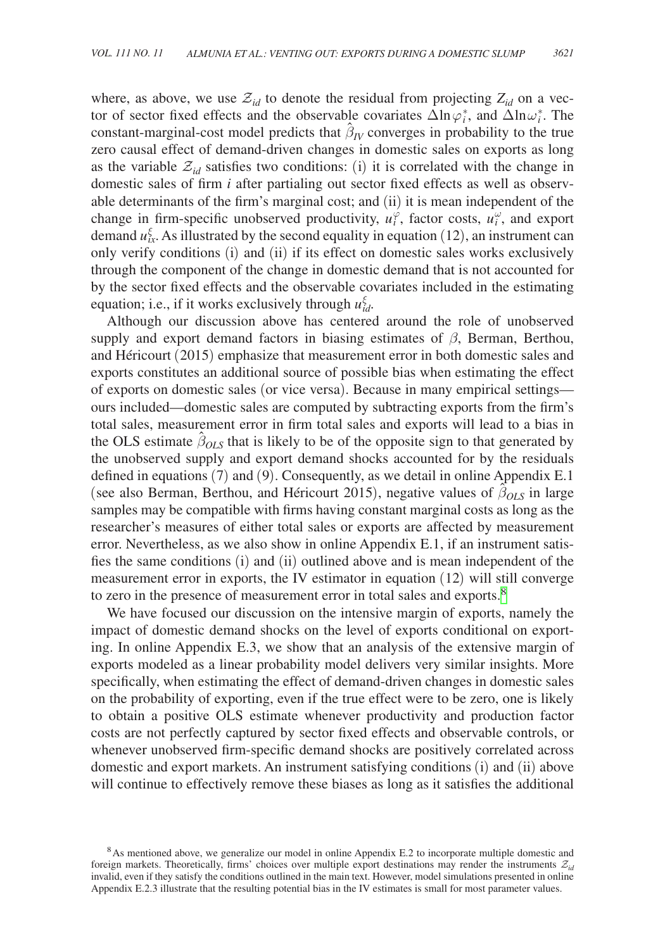where, as above, we use  $\mathcal{Z}_{id}$  to denote the residual from projecting  $Z_{id}$  on a vector of sector fixed effects and the observable covariates  $\Delta \ln \varphi_i^*$ , and  $\Delta \ln \omega_i^*$ . The constant-marginal-cost model predicts that  $\hat{\beta}_I$  converges in probability to the true zero causal effect of demand-driven changes in domestic sales on exports as long as the variable  $\mathcal{Z}_{id}$  satisfies two conditions: (i) it is correlated with the change in domestic sales of firm *i* after partialing out sector fixed effects as well as observable determinants of the firm's marginal cost; and (ii) it is mean independent of the change in firm-specific unobserved productivity,  $u_i^{\varphi}$ , factor costs,  $u_i^{\omega}$ , and export demand  $u_{ix}^{\xi}$ . As illustrated by the second equality in equation (12), an instrument can only verify conditions (i) and (ii) if its effect on domestic sales works exclusively through the component of the change in domestic demand that is not accounted for by the sector fixed effects and the observable covariates included in the estimating equation; i.e., if it works exclusively through  $u_{id}^{\xi}$ .

Although our discussion above has centered around the role of unobserved supply and export demand factors in biasing estimates of  $\beta$ , Berman, Berthou, and Héricourt (2015) emphasize that measurement error in both domestic sales and exports constitutes an additional source of possible bias when estimating the effect of exports on domestic sales (or vice versa). Because in many empirical settings ours included—domestic sales are computed by subtracting exports from the firm's total sales, measurement error in firm total sales and exports will lead to a bias in the OLS estimate  $\hat{\beta}_{OLS}$  that is likely to be of the opposite sign to that generated by the unobserved supply and export demand shocks accounted for by the residuals defined in equations (7) and (9). Consequently, as we detail in online Appendix E.1 (see also Berman, Berthou, and Héricourt 2015), negative values of  $\hat{\beta}_{OLS}$  in large samples may be compatible with firms having constant marginal costs as long as the researcher's measures of either total sales or exports are affected by measurement error. Nevertheless, as we also show in online Appendix E.1, if an instrument satisfies the same conditions (i) and (ii) outlined above and is mean independent of the measurement error in exports, the IV estimator in equation (12) will still converge to zero in the presence of measurement error in total sales and exports.<sup>[8](#page-10-0)</sup>

We have focused our discussion on the intensive margin of exports, namely the impact of domestic demand shocks on the level of exports conditional on exporting. In online Appendix E.3, we show that an analysis of the extensive margin of exports modeled as a linear probability model delivers very similar insights. More specifically, when estimating the effect of demand-driven changes in domestic sales on the probability of exporting, even if the true effect were to be zero, one is likely to obtain a positive OLS estimate whenever productivity and production factor costs are not perfectly captured by sector fixed effects and observable controls, or whenever unobserved firm-specific demand shocks are positively correlated across domestic and export markets. An instrument satisfying conditions (i) and (ii) above will continue to effectively remove these biases as long as it satisfies the additional

<span id="page-10-0"></span><sup>8</sup>As mentioned above, we generalize our model in online Appendix E.2 to incorporate multiple domestic and foreign markets. Theoretically, firms' choices over multiple export destinations may render the instruments  $Z_{id}$ invalid, even if they satisfy the conditions outlined in the main text. However, model simulations presented in online Appendix E.2.3 illustrate that the resulting potential bias in the IV estimates is small for most parameter values.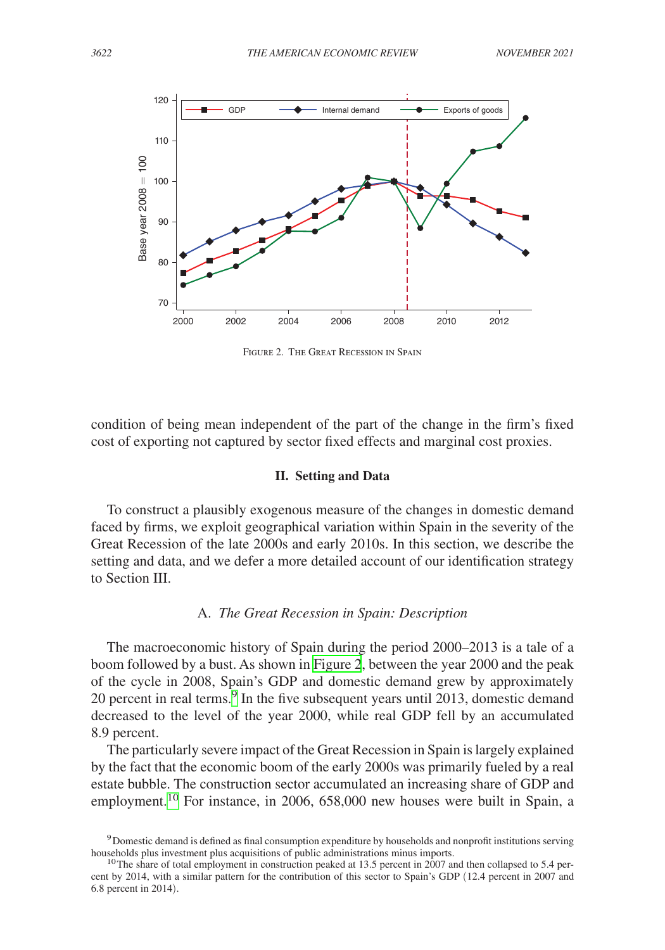

FIGURE 2. THE GREAT RECESSION IN SPAIN

condition of being mean independent of the part of the change in the firm's fixed cost of exporting not captured by sector fixed effects and marginal cost proxies.

## **II. Setting and Data**

To construct a plausibly exogenous measure of the changes in domestic demand faced by firms, we exploit geographical variation within Spain in the severity of the Great Recession of the late 2000s and early 2010s. In this section, we describe the setting and data, and we defer a more detailed account of our identification strategy to Section III.

# A. *The Great Recession in Spain: Description*

The macroeconomic history of Spain during the period 2000–2013 is a tale of a boom followed by a bust. As shown in Figure 2, between the year 2000 and the peak of the cycle in 2008, Spain's GDP and domestic demand grew by approximately 20 percent in real terms.<sup>[9](#page-11-0)</sup> In the five subsequent years until 2013, domestic demand decreased to the level of the year 2000, while real GDP fell by an accumulated 8.9 percent.

The particularly severe impact of the Great Recession in Spain is largely explained by the fact that the economic boom of the early 2000s was primarily fueled by a real estate bubble. The construction sector accumulated an increasing share of GDP and employment.<sup>[10](#page-11-1)</sup> For instance, in 2006, 658,000 new houses were built in Spain, a

<span id="page-11-0"></span><sup>&</sup>lt;sup>9</sup> Domestic demand is defined as final consumption expenditure by households and nonprofit institutions serving households plus investment plus acquisitions of public administrations minus imports.

<span id="page-11-1"></span><sup>&</sup>lt;sup>10</sup>The share of total employment in construction peaked at 13.5 percent in 2007 and then collapsed to 5.4 percent by 2014, with a similar pattern for the contribution of this sector to Spain's GDP (12.4 percent in 2007 and 6.8 percent in 2014).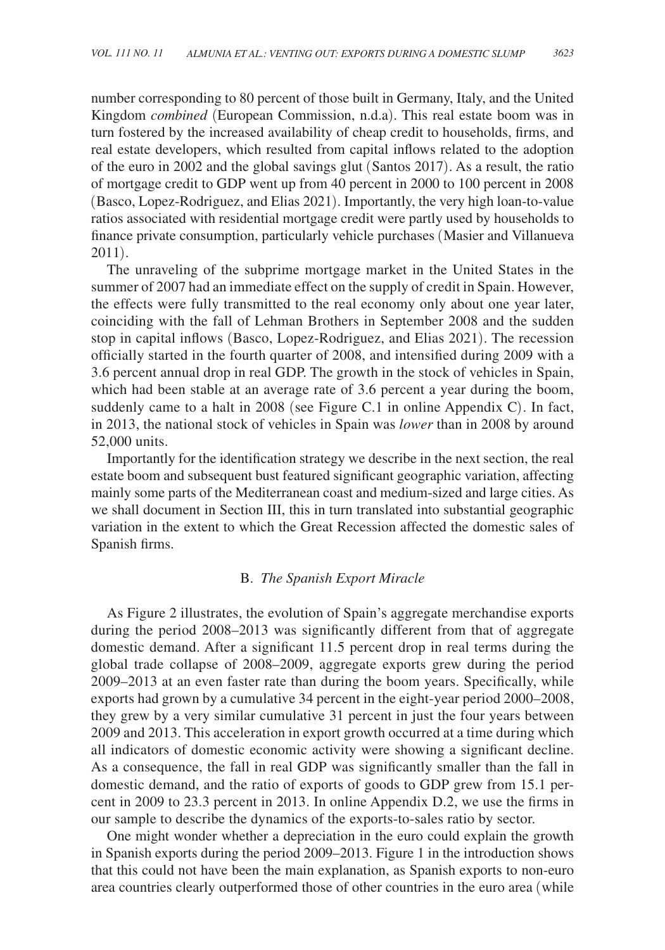number corresponding to 80 percent of those built in Germany, Italy, and the United Kingdom *combined* (European Commission, n.d.a). This real estate boom was in turn fostered by the increased availability of cheap credit to households, firms, and real estate developers, which resulted from capital inflows related to the adoption of the euro in 2002 and the global savings glut (Santos 2017). As a result, the ratio of mortgage credit to GDP went up from 40 percent in 2000 to 100 percent in 2008 (Basco, Lopez-Rodriguez, and Elias 2021). Importantly, the very high loan-to-value ratios associated with residential mortgage credit were partly used by households to finance private consumption, particularly vehicle purchases (Masier and Villanueva 2011).

The unraveling of the subprime mortgage market in the United States in the summer of 2007 had an immediate effect on the supply of credit in Spain. However, the effects were fully transmitted to the real economy only about one year later, coinciding with the fall of Lehman Brothers in September 2008 and the sudden stop in capital inflows (Basco, Lopez-Rodriguez, and Elias 2021). The recession officially started in the fourth quarter of 2008, and intensified during 2009 with a 3.6 percent annual drop in real GDP. The growth in the stock of vehicles in Spain, which had been stable at an average rate of 3.6 percent a year during the boom, suddenly came to a halt in 2008 (see Figure C.1 in online Appendix C). In fact, in 2013, the national stock of vehicles in Spain was *lower* than in 2008 by around 52,000 units.

Importantly for the identification strategy we describe in the next section, the real estate boom and subsequent bust featured significant geographic variation, affecting mainly some parts of the Mediterranean coast and medium-sized and large cities. As we shall document in Section III, this in turn translated into substantial geographic variation in the extent to which the Great Recession affected the domestic sales of Spanish firms.

# B. *The Spanish Export Miracle*

As Figure 2 illustrates, the evolution of Spain's aggregate merchandise exports during the period 2008–2013 was significantly different from that of aggregate domestic demand. After a significant 11.5 percent drop in real terms during the global trade collapse of 2008–2009, aggregate exports grew during the period 2009–2013 at an even faster rate than during the boom years. Specifically, while exports had grown by a cumulative 34 percent in the eight-year period 2000–2008, they grew by a very similar cumulative 31 percent in just the four years between 2009 and 2013. This acceleration in export growth occurred at a time during which all indicators of domestic economic activity were showing a significant decline. As a consequence, the fall in real GDP was significantly smaller than the fall in domestic demand, and the ratio of exports of goods to GDP grew from 15.1 percent in 2009 to 23.3 percent in 2013. In online Appendix D.2, we use the firms in our sample to describe the dynamics of the exports-to-sales ratio by sector.

One might wonder whether a depreciation in the euro could explain the growth in Spanish exports during the period 2009–2013. Figure 1 in the introduction shows that this could not have been the main explanation, as Spanish exports to non-euro area countries clearly outperformed those of other countries in the euro area (while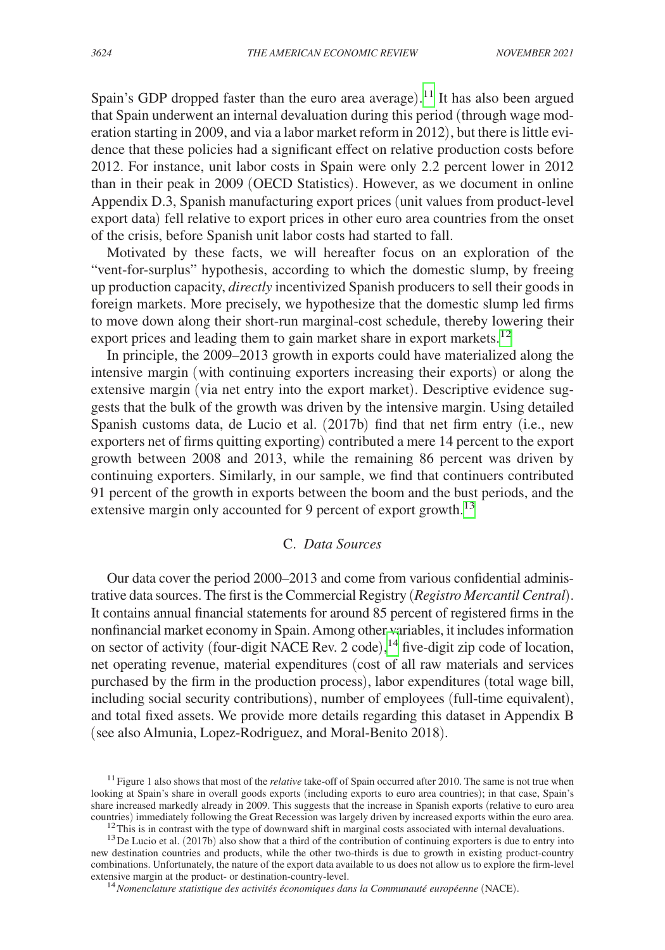Spain's GDP dropped faster than the euro area average).<sup>[11](#page-13-0)</sup> It has also been argued that Spain underwent an internal devaluation during this period (through wage moderation starting in 2009, and via a labor market reform in 2012), but there is little evidence that these policies had a significant effect on relative production costs before 2012. For instance, unit labor costs in Spain were only 2.2 percent lower in 2012 than in their peak in 2009 (OECD Statistics). However, as we document in online Appendix D.3, Spanish manufacturing export prices (unit values from product-level export data) fell relative to export prices in other euro area countries from the onset of the crisis, before Spanish unit labor costs had started to fall.

Motivated by these facts, we will hereafter focus on an exploration of the "vent-for-surplus" hypothesis, according to which the domestic slump, by freeing up production capacity, *directly* incentivized Spanish producers to sell their goods in foreign markets. More precisely, we hypothesize that the domestic slump led firms to move down along their short-run marginal-cost schedule, thereby lowering their export prices and leading them to gain market share in export markets.<sup>[12](#page-13-1)</sup>

In principle, the 2009–2013 growth in exports could have materialized along the intensive margin (with continuing exporters increasing their exports) or along the extensive margin (via net entry into the export market). Descriptive evidence suggests that the bulk of the growth was driven by the intensive margin. Using detailed Spanish customs data, de Lucio et al. (2017b) find that net firm entry (i.e., new exporters net of firms quitting exporting) contributed a mere 14 percent to the export growth between 2008 and 2013, while the remaining 86 percent was driven by continuing exporters. Similarly, in our sample, we find that continuers contributed 91 percent of the growth in exports between the boom and the bust periods, and the extensive margin only accounted for 9 percent of export growth.<sup>[13](#page-13-2)</sup>

# C. *Data Sources*

Our data cover the period 2000–2013 and come from various confidential administrative data sources. The first is the Commercial Registry (*Registro Mercantil Central*). It contains annual financial statements for around 85 percent of registered firms in the nonfinancial market economy in Spain. Among other variables, it includes information on sector of activity (four-digit NACE Rev. 2 code), [14](#page-13-3) five-digit zip code of location, net operating revenue, material expenditures (cost of all raw materials and services purchased by the firm in the production process), labor expenditures (total wage bill, including social security contributions), number of employees (full-time equivalent), and total fixed assets. We provide more details regarding this dataset in Appendix B (see also Almunia, Lopez-Rodriguez, and Moral-Benito 2018).

<span id="page-13-0"></span><sup>&</sup>lt;sup>11</sup> Figure 1 also shows that most of the *relative* take-off of Spain occurred after 2010. The same is not true when looking at Spain's share in overall goods exports (including exports to euro area countries); in that case, Spain's share increased markedly already in 2009. This suggests that the increase in Spanish exports (relative to euro area countries) immediately following the Great Recession was largely driven by increased exports within the eu

<span id="page-13-2"></span><span id="page-13-1"></span><sup>&</sup>lt;sup>12</sup>This is in contrast with the type of downward shift in marginal costs associated with internal devaluations.<br><sup>13</sup>De Lucio et al. (2017b) also show that a third of the contribution of continuing exporters is due to ent

new destination countries and products, while the other two-thirds is due to growth in existing product-country combinations. Unfortunately, the nature of the export data available to us does not allow us to explore the firm-level extensive margin at the product- or destination-country-level. <sup>14</sup>*Nomenclature statistique des activités économiques dans la Communauté européenne* (NACE).

<span id="page-13-3"></span>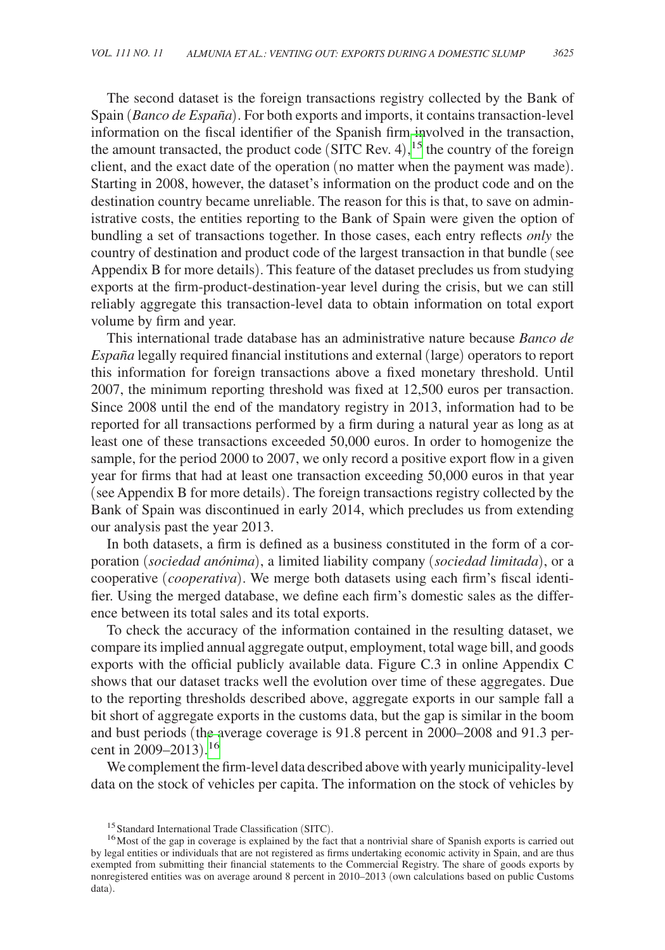The second dataset is the foreign transactions registry collected by the Bank of Spain (*Banco de España*). For both exports and imports, it contains transaction-level information on the fiscal identifier of the Spanish firm involved in the transaction, the amount transacted, the product code  $(SITC$  Rev. 4),<sup>[15](#page-14-0)</sup> the country of the foreign client, and the exact date of the operation (no matter when the payment was made). Starting in 2008, however, the dataset's information on the product code and on the destination country became unreliable. The reason for this is that, to save on administrative costs, the entities reporting to the Bank of Spain were given the option of bundling a set of transactions together. In those cases, each entry reflects *only* the country of destination and product code of the largest transaction in that bundle (see Appendix B for more details). This feature of the dataset precludes us from studying exports at the firm-product-destination-year level during the crisis, but we can still reliably aggregate this transaction-level data to obtain information on total export volume by firm and year.

This international trade database has an administrative nature because *Banco de España* legally required financial institutions and external (large) operators to report this information for foreign transactions above a fixed monetary threshold. Until 2007, the minimum reporting threshold was fixed at 12,500 euros per transaction. Since 2008 until the end of the mandatory registry in 2013, information had to be reported for all transactions performed by a firm during a natural year as long as at least one of these transactions exceeded 50,000 euros. In order to homogenize the sample, for the period 2000 to 2007, we only record a positive export flow in a given year for firms that had at least one transaction exceeding 50,000 euros in that year (see Appendix B for more details). The foreign transactions registry collected by the Bank of Spain was discontinued in early 2014, which precludes us from extending our analysis past the year 2013.

In both datasets, a firm is defined as a business constituted in the form of a corporation (*sociedad anónima*), a limited liability company (*sociedad limitada*), or a cooperative (*cooperativa*). We merge both datasets using each firm's fiscal identifier. Using the merged database, we define each firm's domestic sales as the difference between its total sales and its total exports.

To check the accuracy of the information contained in the resulting dataset, we compare its implied annual aggregate output, employment, total wage bill, and goods exports with the official publicly available data. Figure C.3 in online Appendix C shows that our dataset tracks well the evolution over time of these aggregates. Due to the reporting thresholds described above, aggregate exports in our sample fall a bit short of aggregate exports in the customs data, but the gap is similar in the boom and bust periods (the average coverage is 91.8 percent in 2000–2008 and 91.3 percent in 2009–2013). [16](#page-14-1)

We complement the firm-level data described above with yearly municipality-level data on the stock of vehicles per capita. The information on the stock of vehicles by

<span id="page-14-1"></span><span id="page-14-0"></span>

<sup>&</sup>lt;sup>15</sup>Standard International Trade Classification (SITC).<br><sup>16</sup>Most of the gap in coverage is explained by the fact that a nontrivial share of Spanish exports is carried out by legal entities or individuals that are not registered as firms undertaking economic activity in Spain, and are thus exempted from submitting their financial statements to the Commercial Registry. The share of goods exports by nonregistered entities was on average around 8 percent in 2010–2013 (own calculations based on public Customs data).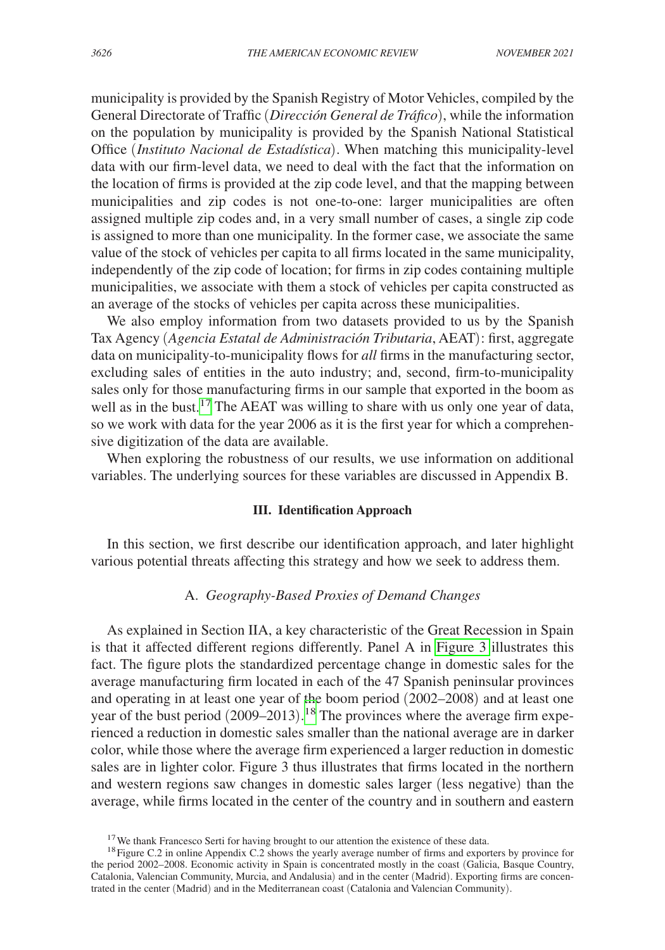municipality is provided by the Spanish Registry of Motor Vehicles, compiled by the General Directorate of Traffic (*Dirección General de Tráfico*), while the information on the population by municipality is provided by the Spanish National Statistical Office (*Instituto Nacional de Estadística*). When matching this municipality-level data with our firm-level data, we need to deal with the fact that the information on the location of firms is provided at the zip code level, and that the mapping between municipalities and zip codes is not one-to-one: larger municipalities are often assigned multiple zip codes and, in a very small number of cases, a single zip code is assigned to more than one municipality. In the former case, we associate the same value of the stock of vehicles per capita to all firms located in the same municipality, independently of the zip code of location; for firms in zip codes containing multiple municipalities, we associate with them a stock of vehicles per capita constructed as an average of the stocks of vehicles per capita across these municipalities.

We also employ information from two datasets provided to us by the Spanish Tax Agency (*Agencia Estatal de Administración Tributaria*, AEAT): first, aggregate data on municipality-to-municipality flows for *all* firms in the manufacturing sector, excluding sales of entities in the auto industry; and, second, firm-to-municipality sales only for those manufacturing firms in our sample that exported in the boom as well as in the bust.<sup>[17](#page-15-0)</sup> The AEAT was willing to share with us only one year of data, so we work with data for the year 2006 as it is the first year for which a comprehensive digitization of the data are available.

When exploring the robustness of our results, we use information on additional variables. The underlying sources for these variables are discussed in Appendix B.

### **III. Identification Approach**

In this section, we first describe our identification approach, and later highlight various potential threats affecting this strategy and how we seek to address them.

# A. *Geography-Based Proxies of Demand Changes*

As explained in Section IIA, a key characteristic of the Great Recession in Spain is that it affected different regions differently. Panel A in [Figure 3](#page-16-0) illustrates this fact. The figure plots the standardized percentage change in domestic sales for the average manufacturing firm located in each of the 47 Spanish peninsular provinces and operating in at least one year of the boom period (2002–2008) and at least one year of the bust period (2009–2013). [18](#page-15-1) The provinces where the average firm experienced a reduction in domestic sales smaller than the national average are in darker color, while those where the average firm experienced a larger reduction in domestic sales are in lighter color. Figure 3 thus illustrates that firms located in the northern and western regions saw changes in domestic sales larger (less negative) than the average, while firms located in the center of the country and in southern and eastern

<span id="page-15-1"></span><span id="page-15-0"></span>

<sup>&</sup>lt;sup>17</sup>We thank Francesco Serti for having brought to our attention the existence of these data. <sup>18</sup>Figure C.2 in online Appendix C.2 shows the yearly average number of firms and exporters by province for the period 2002–2008. Economic activity in Spain is concentrated mostly in the coast (Galicia, Basque Country, Catalonia, Valencian Community, Murcia, and Andalusia) and in the center (Madrid). Exporting firms are concentrated in the center (Madrid) and in the Mediterranean coast (Catalonia and Valencian Community).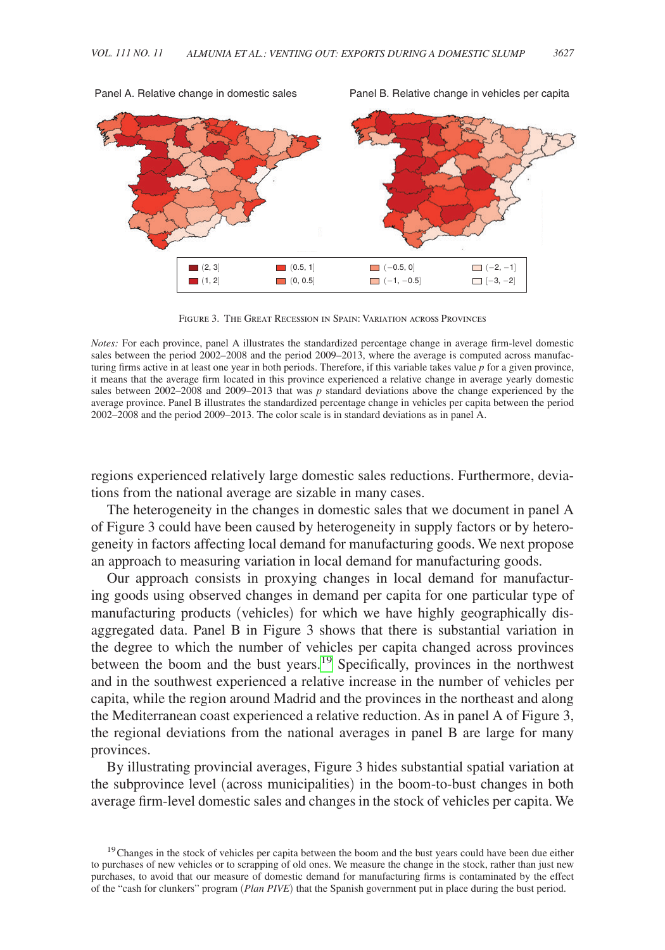

<span id="page-16-0"></span>Panel A. Relative change in domestic sales Panel B. Relative change in vehicles per capita

Figure 3. The Great Recession in Spain: Variation across Provinces

*Notes:* For each province, panel A illustrates the standardized percentage change in average firm-level domestic sales between the period 2002–2008 and the period 2009–2013, where the average is computed across manufacturing firms active in at least one year in both periods. Therefore, if this variable takes value *p* for a given province, it means that the average firm located in this province experienced a relative change in average yearly domestic sales between 2002–2008 and 2009–2013 that was *p* standard deviations above the change experienced by the average province. Panel B illustrates the standardized percentage change in vehicles per capita between the period 2002–2008 and the period 2009–2013. The color scale is in standard deviations as in panel A.

regions experienced relatively large domestic sales reductions. Furthermore, deviations from the national average are sizable in many cases.

The heterogeneity in the changes in domestic sales that we document in panel A of Figure 3 could have been caused by heterogeneity in supply factors or by heterogeneity in factors affecting local demand for manufacturing goods. We next propose an approach to measuring variation in local demand for manufacturing goods.

Our approach consists in proxying changes in local demand for manufacturing goods using observed changes in demand per capita for one particular type of manufacturing products (vehicles) for which we have highly geographically disaggregated data. Panel B in Figure 3 shows that there is substantial variation in the degree to which the number of vehicles per capita changed across provinces between the boom and the bust years.<sup>19</sup> Specifically, provinces in the northwest and in the southwest experienced a relative increase in the number of vehicles per capita, while the region around Madrid and the provinces in the northeast and along the Mediterranean coast experienced a relative reduction. As in panel A of Figure 3, the regional deviations from the national averages in panel B are large for many provinces.

By illustrating provincial averages, Figure 3 hides substantial spatial variation at the subprovince level (across municipalities) in the boom-to-bust changes in both average firm-level domestic sales and changes in the stock of vehicles per capita. We

<span id="page-16-1"></span><sup>19</sup>Changes in the stock of vehicles per capita between the boom and the bust years could have been due either to purchases of new vehicles or to scrapping of old ones. We measure the change in the stock, rather than just new purchases, to avoid that our measure of domestic demand for manufacturing firms is contaminated by the effect of the "cash for clunkers" program (*Plan PIVE*) that the Spanish government put in place during the bust period.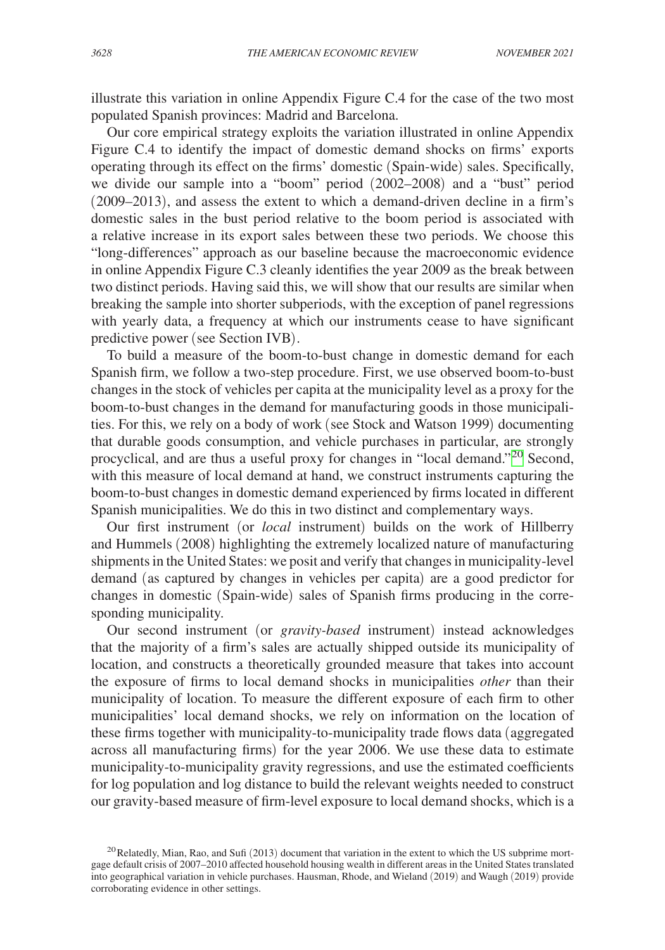illustrate this variation in online Appendix Figure C.4 for the case of the two most populated Spanish provinces: Madrid and Barcelona.

Our core empirical strategy exploits the variation illustrated in online Appendix Figure C.4 to identify the impact of domestic demand shocks on firms' exports operating through its effect on the firms' domestic (Spain-wide) sales. Specifically, we divide our sample into a "boom" period (2002–2008) and a "bust" period (2009–2013), and assess the extent to which a demand-driven decline in a firm's domestic sales in the bust period relative to the boom period is associated with a relative increase in its export sales between these two periods. We choose this "long-differences" approach as our baseline because the macroeconomic evidence in online Appendix Figure C.3 cleanly identifies the year 2009 as the break between two distinct periods. Having said this, we will show that our results are similar when breaking the sample into shorter subperiods, with the exception of panel regressions with yearly data, a frequency at which our instruments cease to have significant predictive power (see Section IVB).

To build a measure of the boom-to-bust change in domestic demand for each Spanish firm, we follow a two-step procedure. First, we use observed boom-to-bust changes in the stock of vehicles per capita at the municipality level as a proxy for the boom-to-bust changes in the demand for manufacturing goods in those municipalities. For this, we rely on a body of work (see Stock and Watson 1999) documenting that durable goods consumption, and vehicle purchases in particular, are strongly procyclical, and are thus a useful proxy for changes in "local demand."[20](#page-17-0) Second, with this measure of local demand at hand, we construct instruments capturing the boom-to-bust changes in domestic demand experienced by firms located in different Spanish municipalities. We do this in two distinct and complementary ways.

Our first instrument (or *local* instrument) builds on the work of Hillberry and Hummels (2008) highlighting the extremely localized nature of manufacturing shipments in the United States: we posit and verify that changes in municipality-level demand (as captured by changes in vehicles per capita) are a good predictor for changes in domestic (Spain-wide) sales of Spanish firms producing in the corresponding municipality.

Our second instrument (or *gravity-based* instrument) instead acknowledges that the majority of a firm's sales are actually shipped outside its municipality of location, and constructs a theoretically grounded measure that takes into account the exposure of firms to local demand shocks in municipalities *other* than their municipality of location. To measure the different exposure of each firm to other municipalities' local demand shocks, we rely on information on the location of these firms together with municipality-to-municipality trade flows data (aggregated across all manufacturing firms) for the year 2006. We use these data to estimate municipality-to-municipality gravity regressions, and use the estimated coefficients for log population and log distance to build the relevant weights needed to construct our gravity-based measure of firm-level exposure to local demand shocks, which is a

<span id="page-17-0"></span> $20$ Relatedly, Mian, Rao, and Sufi (2013) document that variation in the extent to which the US subprime mortgage default crisis of 2007–2010 affected household housing wealth in different areas in the United States translated into geographical variation in vehicle purchases. Hausman, Rhode, and Wieland (2019) and Waugh (2019) provide corroborating evidence in other settings.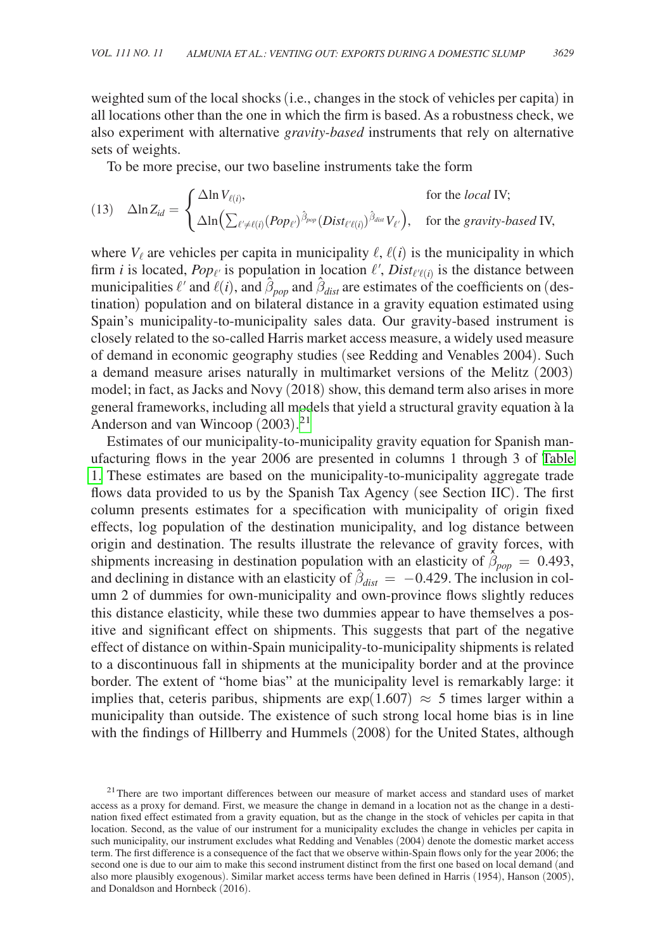weighted sum of the local shocks (i.e., changes in the stock of vehicles per capita) in all locations other than the one in which the firm is based. As a robustness check, we also experiment with alternative *gravity-based* instruments that rely on alternative sets of weights.

To be more precise, our two baseline instruments take the form

To be more precise, our two baseline instruments take the form  
\nfor the *local* IV;  
\n
$$
\Delta \ln Z_{id} = \begin{cases}\n\Delta \ln V_{\ell(i)}, & \text{for the local IV}; \\
\Delta \ln \left( \sum_{\ell' \neq \ell(i)} (Pop_{\ell'})^{\hat{\beta}_{pop}} (Dist_{\ell'(\ell)})^{\hat{\beta}_{dis}} V_{\ell'} \right), & \text{for the gravity-based IV};\n\end{cases}
$$

where  $V_\ell$  are vehicles per capita in municipality  $\ell$ ,  $\ell(i)$  is the municipality in which firm *i* is located, *Pop*<sup> $\ell'$ </sup> is population in location  $\ell'$ , *Dist*<sub> $\ell'(\ell)$ </sub> is the distance between municipalities  $\ell'$  and  $\ell(i)$ , and  $\hat{\beta}_{pop}$  and  $\hat{\beta}_{dist}$  are estimates of the coefficients on (destination) population and on bilateral distance in a gravity equation estimated using Spain's municipality-to-municipality sales data. Our gravity-based instrument is closely related to the so-called Harris market access measure, a widely used measure of demand in economic geography studies (see Redding and Venables 2004). Such a demand measure arises naturally in multimarket versions of the Melitz (2003) model; in fact, as Jacks and Novy (2018) show, this demand term also arises in more general frameworks, including all models that yield a structural gravity equation à la Anderson and van Wincoop (2003). [21](#page-18-0)

Estimates of our municipality-to-municipality gravity equation for Spanish manufacturing flows in the year 2006 are presented in columns 1 through 3 of [Table](#page-19-0)  [1.](#page-19-0) These estimates are based on the municipality-to-municipality aggregate trade flows data provided to us by the Spanish Tax Agency (see Section IIC). The first column presents estimates for a specification with municipality of origin fixed effects, log population of the destination municipality, and log distance between origin and destination. The results illustrate the relevance of gravity forces, with shipments increasing in destination population with an elasticity of  $\hat{\beta}_{pop} = 0.493$ , and declining in distance with an elasticity of  $\hat{\beta}_{dist} = -0.429$ . The inclusion in column 2 of dummies for own-municipality and own-province flows slightly reduces this distance elasticity, while these two dummies appear to have themselves a positive and significant effect on shipments. This suggests that part of the negative effect of distance on within-Spain municipality-to-municipality shipments is related to a discontinuous fall in shipments at the municipality border and at the province border. The extent of "home bias" at the municipality level is remarkably large: it implies that, ceteris paribus, shipments are  $\exp(1.607) \approx 5$  times larger within a municipality than outside. The existence of such strong local home bias is in line with the findings of Hillberry and Hummels (2008) for the United States, although

<span id="page-18-0"></span><sup>&</sup>lt;sup>21</sup>There are two important differences between our measure of market access and standard uses of market access as a proxy for demand. First, we measure the change in demand in a location not as the change in a destination fixed effect estimated from a gravity equation, but as the change in the stock of vehicles per capita in that location. Second, as the value of our instrument for a municipality excludes the change in vehicles per capita in such municipality, our instrument excludes what Redding and Venables (2004) denote the domestic market access term. The first difference is a consequence of the fact that we observe within-Spain flows only for the year 2006; the second one is due to our aim to make this second instrument distinct from the first one based on local demand (and also more plausibly exogenous). Similar market access terms have been defined in Harris (1954), Hanson (2005), and Donaldson and Hornbeck (2016).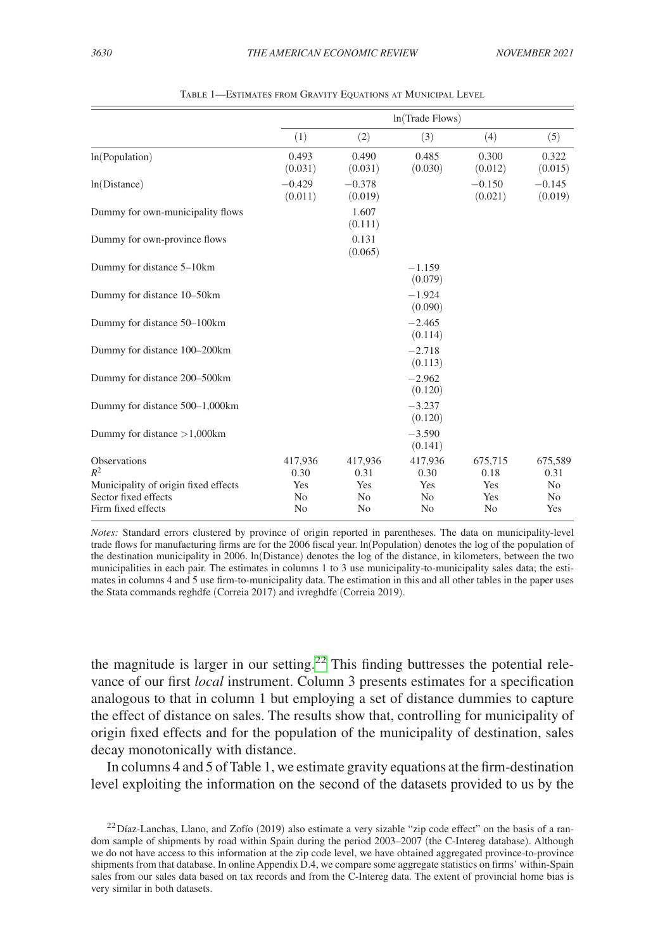<span id="page-19-0"></span>

|                                                                                    | In(Trade Flows)         |                                     |                                     |                          |                         |  |  |
|------------------------------------------------------------------------------------|-------------------------|-------------------------------------|-------------------------------------|--------------------------|-------------------------|--|--|
|                                                                                    | (1)                     | (2)                                 | (3)                                 | (4)                      | (5)                     |  |  |
| ln(Population)                                                                     | 0.493<br>(0.031)        | 0.490<br>(0.031)                    | 0.485<br>(0.030)                    | 0.300<br>(0.012)         | 0.322<br>(0.015)        |  |  |
| ln(Distance)                                                                       | $-0.429$<br>(0.011)     | $-0.378$<br>(0.019)                 |                                     | $-0.150$<br>(0.021)      | $-0.145$<br>(0.019)     |  |  |
| Dummy for own-municipality flows                                                   |                         | 1.607<br>(0.111)                    |                                     |                          |                         |  |  |
| Dummy for own-province flows                                                       |                         | 0.131<br>(0.065)                    |                                     |                          |                         |  |  |
| Dummy for distance 5-10km                                                          |                         |                                     | $-1.159$<br>(0.079)                 |                          |                         |  |  |
| Dummy for distance 10–50km                                                         |                         |                                     | $-1.924$<br>(0.090)                 |                          |                         |  |  |
| Dummy for distance 50-100km                                                        |                         |                                     | $-2.465$<br>(0.114)                 |                          |                         |  |  |
| Dummy for distance 100-200km                                                       |                         |                                     | $-2.718$<br>(0.113)                 |                          |                         |  |  |
| Dummy for distance 200–500km                                                       |                         |                                     | $-2.962$<br>(0.120)                 |                          |                         |  |  |
| Dummy for distance 500-1,000km                                                     |                         |                                     | $-3.237$<br>(0.120)                 |                          |                         |  |  |
| Dummy for distance $>1,000$ km                                                     |                         |                                     | $-3.590$<br>(0.141)                 |                          |                         |  |  |
| Observations<br>$R^2$                                                              | 417,936                 | 417,936                             | 417,936                             | 675,715                  | 675,589                 |  |  |
| Municipality of origin fixed effects<br>Sector fixed effects<br>Firm fixed effects | 0.30<br>Yes<br>No<br>No | 0.31<br>Yes<br>N <sub>0</sub><br>No | 0.30<br>Yes<br>N <sub>0</sub><br>No | 0.18<br>Yes<br>Yes<br>No | 0.31<br>No<br>No<br>Yes |  |  |

Table 1—Estimates from Gravity Equations at Municipal Level

*Notes:* Standard errors clustered by province of origin reported in parentheses. The data on municipality-level trade flows for manufacturing firms are for the 2006 fiscal year. ln(Population) denotes the log of the population of the destination municipality in 2006. ln(Distance) denotes the log of the distance, in kilometers, between the two municipalities in each pair. The estimates in columns 1 to 3 use municipality-to-municipality sales data; the estimates in columns 4 and 5 use firm-to-municipality data. The estimation in this and all other tables in the paper uses the Stata commands reghdfe (Correia 2017) and ivreghdfe (Correia 2019).

the magnitude is larger in our setting.<sup>22</sup> This finding buttresses the potential relevance of our first *local* instrument. Column 3 presents estimates for a specification analogous to that in column 1 but employing a set of distance dummies to capture the effect of distance on sales. The results show that, controlling for municipality of origin fixed effects and for the population of the municipality of destination, sales decay monotonically with distance.

In columns 4 and 5 of Table 1, we estimate gravity equations at the firm-destination level exploiting the information on the second of the datasets provided to us by the

<span id="page-19-1"></span> $22$  Díaz-Lanchas, Llano, and Zofío (2019) also estimate a very sizable "zip code effect" on the basis of a random sample of shipments by road within Spain during the period 2003–2007 (the C-Intereg database). Although we do not have access to this information at the zip code level, we have obtained aggregated province-to-province shipments from that database. In online Appendix D.4, we compare some aggregate statistics on firms' within-Spain sales from our sales data based on tax records and from the C-Intereg data. The extent of provincial home bias is very similar in both datasets.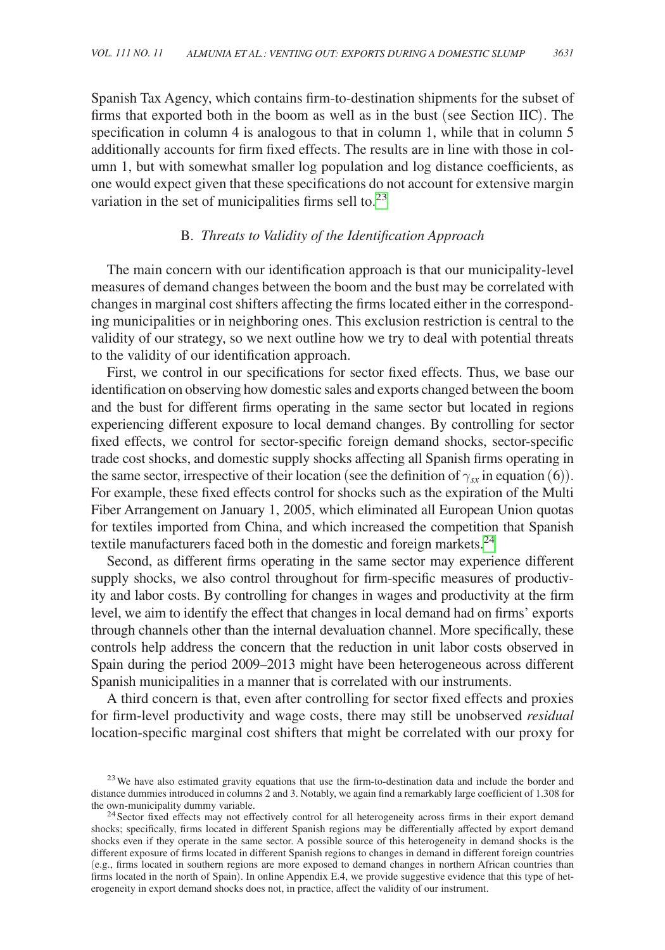Spanish Tax Agency, which contains firm-to-destination shipments for the subset of firms that exported both in the boom as well as in the bust (see Section IIC). The specification in column 4 is analogous to that in column 1, while that in column 5 additionally accounts for firm fixed effects. The results are in line with those in column 1, but with somewhat smaller log population and log distance coefficients, as one would expect given that these specifications do not account for extensive margin variation in the set of municipalities firms sell to.<sup>[23](#page-20-0)</sup>

# B. *Threats to Validity of the Identification Approach*

The main concern with our identification approach is that our municipality-level measures of demand changes between the boom and the bust may be correlated with changes in marginal cost shifters affecting the firms located either in the corresponding municipalities or in neighboring ones. This exclusion restriction is central to the validity of our strategy, so we next outline how we try to deal with potential threats to the validity of our identification approach.

First, we control in our specifications for sector fixed effects. Thus, we base our identification on observing how domestic sales and exports changed between the boom and the bust for different firms operating in the same sector but located in regions experiencing different exposure to local demand changes. By controlling for sector fixed effects, we control for sector-specific foreign demand shocks, sector-specific trade cost shocks, and domestic supply shocks affecting all Spanish firms operating in the same sector, irrespective of their location (see the definition of  $\gamma_{sx}$  in equation (6)). For example, these fixed effects control for shocks such as the expiration of the Multi Fiber Arrangement on January 1, 2005, which eliminated all European Union quotas for textiles imported from China, and which increased the competition that Spanish textile manufacturers faced both in the domestic and foreign markets[.24](#page-20-1)

Second, as different firms operating in the same sector may experience different supply shocks, we also control throughout for firm-specific measures of productivity and labor costs. By controlling for changes in wages and productivity at the firm level, we aim to identify the effect that changes in local demand had on firms' exports through channels other than the internal devaluation channel. More specifically, these controls help address the concern that the reduction in unit labor costs observed in Spain during the period 2009–2013 might have been heterogeneous across different Spanish municipalities in a manner that is correlated with our instruments.

A third concern is that, even after controlling for sector fixed effects and proxies for firm-level productivity and wage costs, there may still be unobserved *residual*  location-specific marginal cost shifters that might be correlated with our proxy for

<span id="page-20-0"></span><sup>&</sup>lt;sup>23</sup>We have also estimated gravity equations that use the firm-to-destination data and include the border and distance dummies introduced in columns 2 and 3. Notably, we again find a remarkably large coefficient of 1.308 for the own-municipality dummy variable.

<span id="page-20-1"></span><sup>&</sup>lt;sup>24</sup> Sector fixed effects may not effectively control for all heterogeneity across firms in their export demand shocks; specifically, firms located in different Spanish regions may be differentially affected by export demand shocks even if they operate in the same sector. A possible source of this heterogeneity in demand shocks is the different exposure of firms located in different Spanish regions to changes in demand in different foreign countries (e.g., firms located in southern regions are more exposed to demand changes in northern African countries than firms located in the north of Spain). In online Appendix E.4, we provide suggestive evidence that this type of heterogeneity in export demand shocks does not, in practice, affect the validity of our instrument.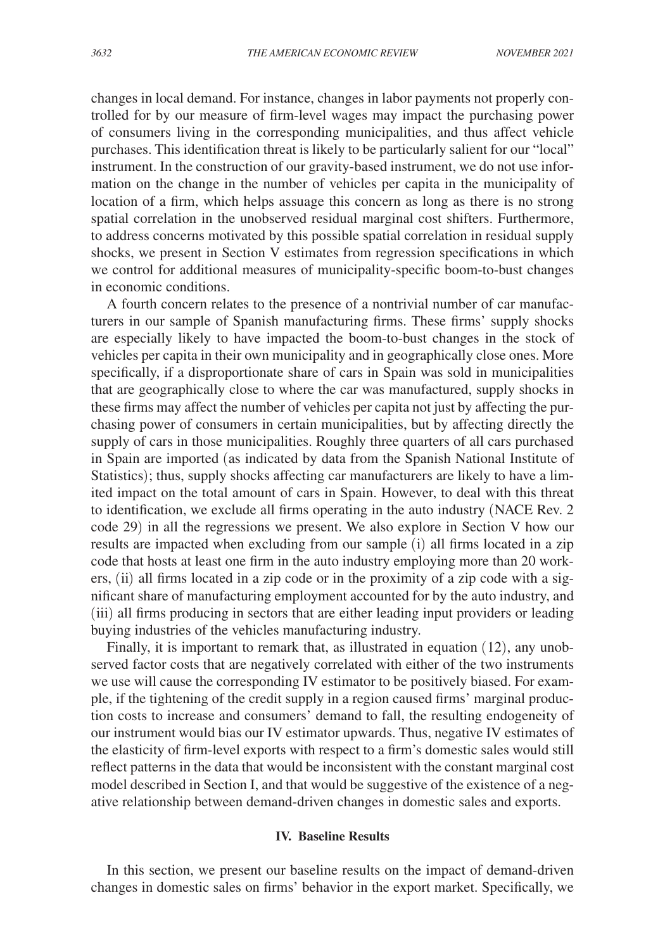changes in local demand. For instance, changes in labor payments not properly controlled for by our measure of firm-level wages may impact the purchasing power of consumers living in the corresponding municipalities, and thus affect vehicle purchases. This identification threat is likely to be particularly salient for our "local" instrument. In the construction of our gravity-based instrument, we do not use information on the change in the number of vehicles per capita in the municipality of location of a firm, which helps assuage this concern as long as there is no strong spatial correlation in the unobserved residual marginal cost shifters. Furthermore, to address concerns motivated by this possible spatial correlation in residual supply shocks, we present in Section V estimates from regression specifications in which we control for additional measures of municipality-specific boom-to-bust changes in economic conditions.

A fourth concern relates to the presence of a nontrivial number of car manufacturers in our sample of Spanish manufacturing firms. These firms' supply shocks are especially likely to have impacted the boom-to-bust changes in the stock of vehicles per capita in their own municipality and in geographically close ones. More specifically, if a disproportionate share of cars in Spain was sold in municipalities that are geographically close to where the car was manufactured, supply shocks in these firms may affect the number of vehicles per capita not just by affecting the purchasing power of consumers in certain municipalities, but by affecting directly the supply of cars in those municipalities. Roughly three quarters of all cars purchased in Spain are imported (as indicated by data from the Spanish National Institute of Statistics); thus, supply shocks affecting car manufacturers are likely to have a limited impact on the total amount of cars in Spain. However, to deal with this threat to identification, we exclude all firms operating in the auto industry (NACE Rev. 2 code 29) in all the regressions we present. We also explore in Section V how our results are impacted when excluding from our sample (i) all firms located in a zip code that hosts at least one firm in the auto industry employing more than 20 workers, (ii) all firms located in a zip code or in the proximity of a zip code with a significant share of manufacturing employment accounted for by the auto industry, and (iii) all firms producing in sectors that are either leading input providers or leading buying industries of the vehicles manufacturing industry.

Finally, it is important to remark that, as illustrated in equation (12), any unobserved factor costs that are negatively correlated with either of the two instruments we use will cause the corresponding IV estimator to be positively biased. For example, if the tightening of the credit supply in a region caused firms' marginal production costs to increase and consumers' demand to fall, the resulting endogeneity of our instrument would bias our IV estimator upwards. Thus, negative IV estimates of the elasticity of firm-level exports with respect to a firm's domestic sales would still reflect patterns in the data that would be inconsistent with the constant marginal cost model described in Section I, and that would be suggestive of the existence of a negative relationship between demand-driven changes in domestic sales and exports.

# **IV. Baseline Results**

In this section, we present our baseline results on the impact of demand-driven changes in domestic sales on firms' behavior in the export market. Specifically, we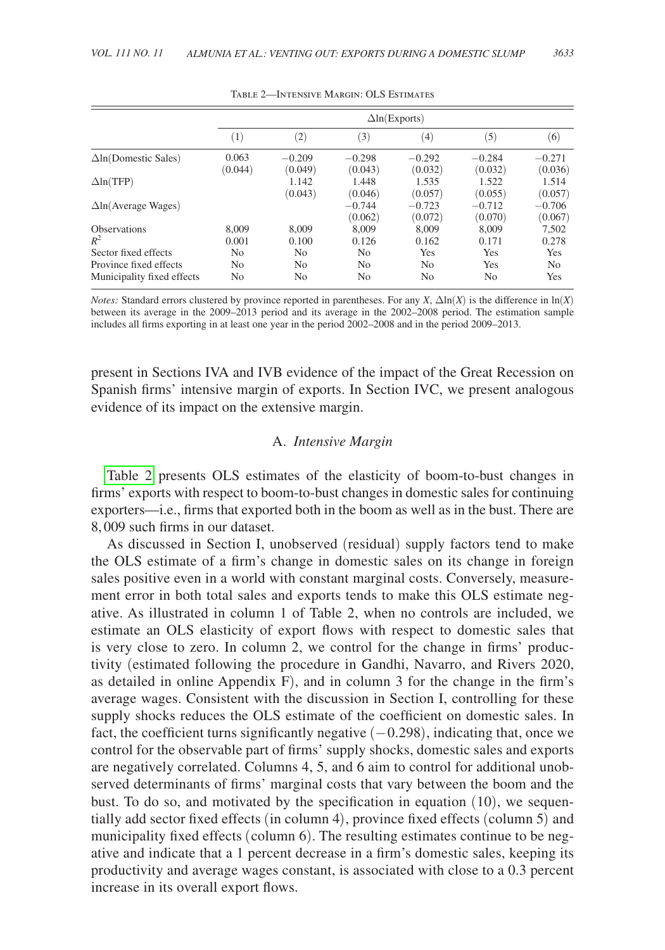|                                                                              | $\Delta$ ln(Exports) |                             |                             |                             |                     |                              |  |  |  |
|------------------------------------------------------------------------------|----------------------|-----------------------------|-----------------------------|-----------------------------|---------------------|------------------------------|--|--|--|
|                                                                              | $^{(1)}$             | $\left( 2\right)$           | (3)                         | (4)                         | (5)                 | (6)                          |  |  |  |
| $\Delta$ ln(Domestic Sales)                                                  | 0.063<br>(0.044)     | $-0.209$<br>(0.049)         | $-0.298$<br>(0.043)         | $-0.292$<br>(0.032)         | $-0.284$<br>(0.032) | $-0.271$<br>(0.036)          |  |  |  |
| $\Delta$ ln(TFP)                                                             |                      | 1.142<br>(0.043)            | 1.448<br>(0.046)            | 1.535<br>(0.057)            | 1.522<br>(0.055)    | 1.514<br>(0.057)             |  |  |  |
| $\Delta$ ln(Average Wages)                                                   |                      |                             | $-0.744$<br>(0.062)         | $-0.723$<br>(0.072)         | $-0.712$<br>(0.070) | $-0.706$<br>(0.067)          |  |  |  |
| <b>Observations</b><br>$R^2$                                                 | 8,009<br>0.001       | 8,009<br>0.100              | 8,009<br>0.126              | 8,009<br>0.162              | 8,009<br>0.171      | 7,502<br>0.278               |  |  |  |
| Sector fixed effects<br>Province fixed effects<br>Municipality fixed effects | No<br>No.<br>No      | N <sub>0</sub><br>No.<br>No | N <sub>o</sub><br>No.<br>No | Yes<br>N <sub>0</sub><br>No | Yes<br>Yes<br>No    | Yes<br>N <sub>o</sub><br>Yes |  |  |  |

Table 2—Intensive Margin: OLS Estimates

*Notes:* Standard errors clustered by province reported in parentheses. For any *X*,  $\Delta \ln(X)$  is the difference in  $\ln(X)$ between its average in the 2009–2013 period and its average in the 2002–2008 period. The estimation sample includes all firms exporting in at least one year in the period 2002–2008 and in the period 2009–2013.

present in Sections IVA and IVB evidence of the impact of the Great Recession on Spanish firms' intensive margin of exports. In Section IVC, we present analogous evidence of its impact on the extensive margin.

## A. *Intensive Margin*

Table 2 presents OLS estimates of the elasticity of boom-to-bust changes in firms' exports with respect to boom-to-bust changes in domestic sales for continuing exporters—i.e., firms that exported both in the boom as well as in the bust. There are 8, 009 such firms in our dataset.

As discussed in Section I, unobserved (residual) supply factors tend to make the OLS estimate of a firm's change in domestic sales on its change in foreign sales positive even in a world with constant marginal costs. Conversely, measurement error in both total sales and exports tends to make this OLS estimate negative. As illustrated in column 1 of Table 2, when no controls are included, we estimate an OLS elasticity of export flows with respect to domestic sales that is very close to zero. In column 2, we control for the change in firms' productivity (estimated following the procedure in Gandhi, Navarro, and Rivers 2020, as detailed in online Appendix F), and in column 3 for the change in the firm's average wages. Consistent with the discussion in Section I, controlling for these supply shocks reduces the OLS estimate of the coefficient on domestic sales. In fact, the coefficient turns significantly negative  $(-0.298)$ , indicating that, once we control for the observable part of firms' supply shocks, domestic sales and exports are negatively correlated. Columns 4, 5, and 6 aim to control for additional unobserved determinants of firms' marginal costs that vary between the boom and the bust. To do so, and motivated by the specification in equation (10), we sequentially add sector fixed effects (in column 4), province fixed effects (column 5) and municipality fixed effects (column 6). The resulting estimates continue to be negative and indicate that a 1 percent decrease in a firm's domestic sales, keeping its productivity and average wages constant, is associated with close to a 0.3 percent increase in its overall export flows.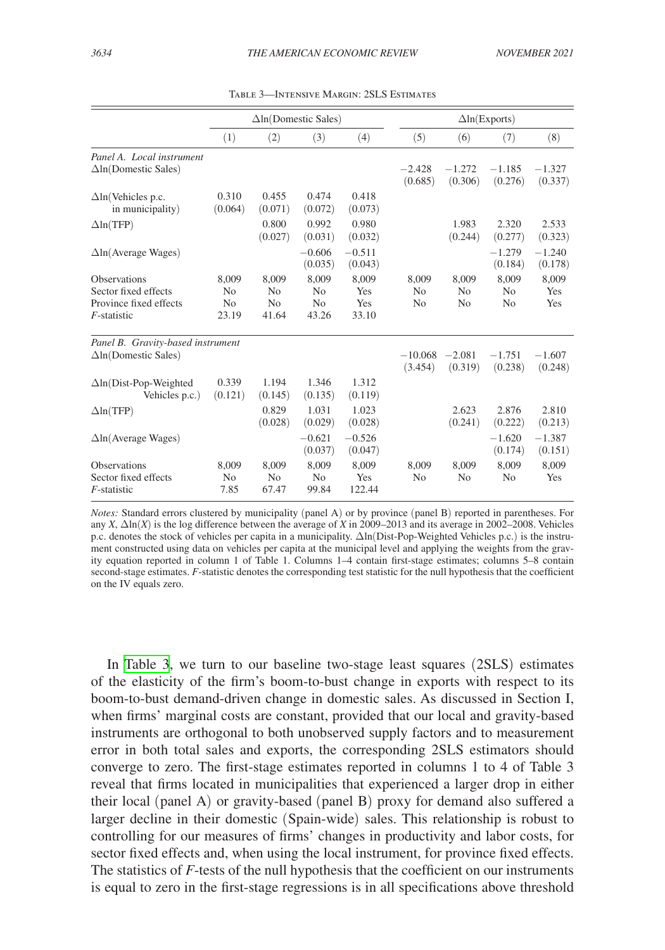|                                                                                         | $\Delta$ ln(Domestic Sales)                        |                                                    |                                                    |                              |                                           |                                           | $\Delta$ ln(Exports)                      |                     |
|-----------------------------------------------------------------------------------------|----------------------------------------------------|----------------------------------------------------|----------------------------------------------------|------------------------------|-------------------------------------------|-------------------------------------------|-------------------------------------------|---------------------|
|                                                                                         | (1)                                                | (2)                                                | (3)                                                | (4)                          | (5)                                       | (6)                                       | (7)                                       | (8)                 |
| Panel A. Local instrument<br>$\Delta$ ln(Domestic Sales)                                |                                                    |                                                    |                                                    |                              | $-2.428$<br>(0.685)                       | $-1.272$<br>(0.306)                       | $-1.185$<br>(0.276)                       | $-1.327$<br>(0.337) |
| $\Delta$ ln(Vehicles p.c.<br>in municipality)                                           | 0.310<br>(0.064)                                   | 0.455<br>(0.071)                                   | 0.474<br>(0.072)                                   | 0.418<br>(0.073)             |                                           |                                           |                                           |                     |
| $\Delta$ ln(TFP)                                                                        |                                                    | 0.800<br>(0.027)                                   | 0.992<br>(0.031)                                   | 0.980<br>(0.032)             |                                           | 1.983<br>(0.244)                          | 2.320<br>(0.277)                          | 2.533<br>(0.323)    |
| $\Delta$ ln(Average Wages)                                                              |                                                    |                                                    | $-0.606$<br>(0.035)                                | $-0.511$<br>(0.043)          |                                           |                                           | $-1.279$<br>(0.184)                       | $-1.240$<br>(0.178) |
| <b>Observations</b><br>Sector fixed effects<br>Province fixed effects<br>$F$ -statistic | 8,009<br>N <sub>o</sub><br>N <sub>o</sub><br>23.19 | 8,009<br>N <sub>0</sub><br>N <sub>0</sub><br>41.64 | 8,009<br>N <sub>0</sub><br>N <sub>0</sub><br>43.26 | 8,009<br>Yes<br>Yes<br>33.10 | 8,009<br>N <sub>0</sub><br>N <sub>0</sub> | 8,009<br>N <sub>0</sub><br>N <sub>0</sub> | 8,009<br>N <sub>0</sub><br>N <sub>0</sub> | 8,009<br>Yes<br>Yes |
| Panel B. Gravity-based instrument<br>$\Delta$ ln(Domestic Sales)                        |                                                    |                                                    |                                                    |                              | $-10.068$<br>(3.454)                      | $-2.081$<br>(0.319)                       | $-1.751$<br>(0.238)                       | $-1.607$<br>(0.248) |
| $\Delta$ ln(Dist-Pop-Weighted<br>Vehicles p.c.)                                         | 0.339<br>(0.121)                                   | 1.194<br>(0.145)                                   | 1.346<br>(0.135)                                   | 1.312<br>(0.119)             |                                           |                                           |                                           |                     |
| $\Delta$ ln(TFP)                                                                        |                                                    | 0.829<br>(0.028)                                   | 1.031<br>(0.029)                                   | 1.023<br>(0.028)             |                                           | 2.623<br>(0.241)                          | 2.876<br>(0.222)                          | 2.810<br>(0.213)    |
| $\Delta$ ln(Average Wages)                                                              |                                                    |                                                    | $-0.621$<br>(0.037)                                | $-0.526$<br>(0.047)          |                                           |                                           | $-1.620$<br>(0.174)                       | $-1.387$<br>(0.151) |
| <b>Observations</b><br>Sector fixed effects<br><i>F</i> -statistic                      | 8.009<br>No<br>7.85                                | 8,009<br>No<br>67.47                               | 8.009<br>N <sub>0</sub><br>99.84                   | 8.009<br>Yes<br>122.44       | 8,009<br>N <sub>0</sub>                   | 8.009<br>N <sub>0</sub>                   | 8.009<br>No                               | 8.009<br>Yes        |

Table 3—Intensive Margin: 2SLS Estimates

In Table 3, we turn to our baseline two-stage least squares (2SLS) estimates of the elasticity of the firm's boom-to-bust change in exports with respect to its boom-to-bust demand-driven change in domestic sales. As discussed in Section I, when firms' marginal costs are constant, provided that our local and gravity-based instruments are orthogonal to both unobserved supply factors and to measurement error in both total sales and exports, the corresponding 2SLS estimators should converge to zero. The first-stage estimates reported in columns 1 to 4 of Table 3 reveal that firms located in municipalities that experienced a larger drop in either their local (panel A) or gravity-based (panel B) proxy for demand also suffered a larger decline in their domestic (Spain-wide) sales. This relationship is robust to controlling for our measures of firms' changes in productivity and labor costs, for sector fixed effects and, when using the local instrument, for province fixed effects. The statistics of *F*-tests of the null hypothesis that the coefficient on our instruments is equal to zero in the first-stage regressions is in all specifications above threshold

*Notes:* Standard errors clustered by municipality (panel A) or by province (panel B) reported in parentheses. For any *X*, Δln(*X*) is the log difference between the average of *X* in 2009–2013 and its average in 2002–2008. Vehicles p.c. denotes the stock of vehicles per capita in a municipality. Δln(Dist-Pop-Weighted Vehicles p.c.) is the instrument constructed using data on vehicles per capita at the municipal level and applying the weights from the gravity equation reported in column 1 of Table 1. Columns 1–4 contain first-stage estimates; columns 5–8 contain second-stage estimates. *F*-statistic denotes the corresponding test statistic for the null hypothesis that the coefficient on the IV equals zero.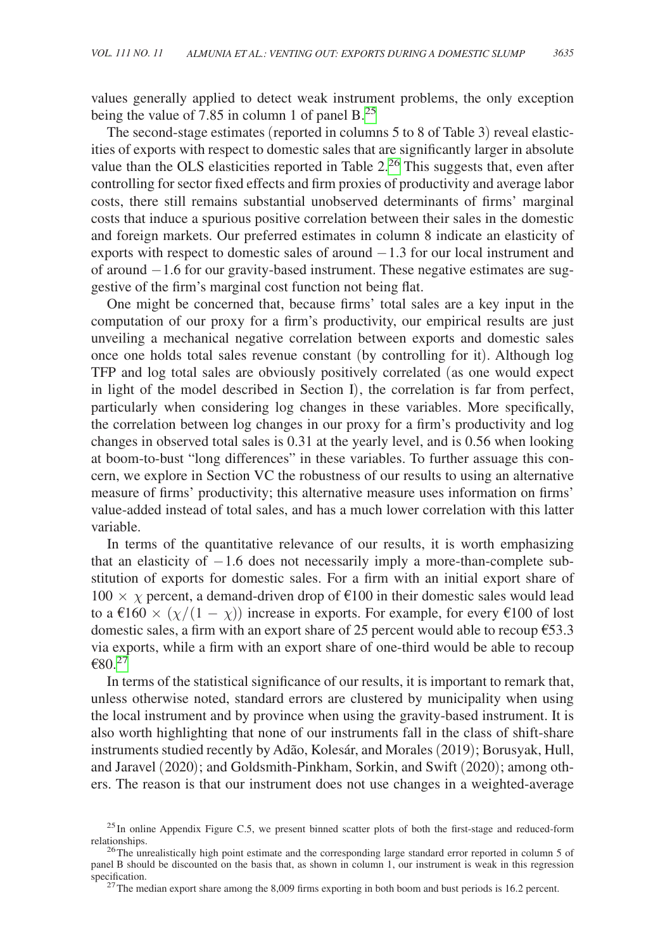values generally applied to detect weak instrument problems, the only exception being the value of 7.85 in column 1 of panel  $B<sup>25</sup>$ .

The second-stage estimates (reported in columns 5 to 8 of Table 3) reveal elasticities of exports with respect to domestic sales that are significantly larger in absolute value than the OLS elasticities reported in Table  $2<sup>26</sup>$  $2<sup>26</sup>$  $2<sup>26</sup>$  This suggests that, even after controlling for sector fixed effects and firm proxies of productivity and average labor costs, there still remains substantial unobserved determinants of firms' marginal costs that induce a spurious positive correlation between their sales in the domestic and foreign markets. Our preferred estimates in column 8 indicate an elasticity of exports with respect to domestic sales of around −1.3 for our local instrument and of around −1.6 for our gravity-based instrument. These negative estimates are suggestive of the firm's marginal cost function not being flat.

One might be concerned that, because firms' total sales are a key input in the computation of our proxy for a firm's productivity, our empirical results are just unveiling a mechanical negative correlation between exports and domestic sales once one holds total sales revenue constant (by controlling for it). Although log TFP and log total sales are obviously positively correlated (as one would expect in light of the model described in Section I), the correlation is far from perfect, particularly when considering log changes in these variables. More specifically, the correlation between log changes in our proxy for a firm's productivity and log changes in observed total sales is 0.31 at the yearly level, and is 0.56 when looking at boom-to-bust "long differences" in these variables. To further assuage this concern, we explore in Section VC the robustness of our results to using an alternative measure of firms' productivity; this alternative measure uses information on firms' value-added instead of total sales, and has a much lower correlation with this latter variable.

In terms of the quantitative relevance of our results, it is worth emphasizing that an elasticity of  $-1.6$  does not necessarily imply a more-than-complete substitution of exports for domestic sales. For a firm with an initial export share of 100  $\times \chi$  percent, a demand-driven drop of €100 in their domestic sales would lead to a  $\epsilon$ 160 ×  $(\chi/(1 - \chi))$  increase in exports. For example, for every  $\epsilon$ 100 of lost domestic sales, a firm with an export share of 25 percent would able to recoup  $\epsilon$ 53.3 via exports, while a firm with an export share of one-third would be able to recoup €80.<sup>[27](#page-24-2)</sup>

In terms of the statistical significance of our results, it is important to remark that, unless otherwise noted, standard errors are clustered by municipality when using the local instrument and by province when using the gravity-based instrument. It is also worth highlighting that none of our instruments fall in the class of shift-share instruments studied recently by Adão, Kolesár, and Morales (2019); Borusyak, Hull, and Jaravel (2020); and Goldsmith-Pinkham, Sorkin, and Swift (2020); among others. The reason is that our instrument does not use changes in a weighted-average

<span id="page-24-2"></span>

<span id="page-24-0"></span> $25$  In online Appendix Figure C.5, we present binned scatter plots of both the first-stage and reduced-form relationships. 26The unrealistically high point estimate and the corresponding large standard error reported in column 5 of

<span id="page-24-1"></span>panel B should be discounted on the basis that, as shown in column 1, our instrument is weak in this regression specification.<br><sup>27</sup>The median export share among the 8,009 firms exporting in both boom and bust periods is 16.2 percent.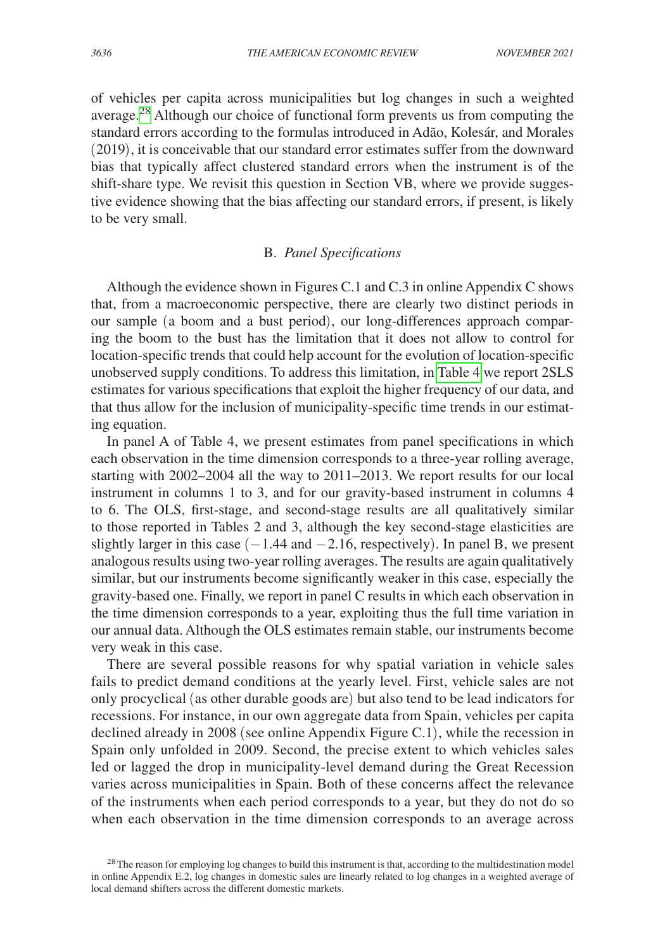of vehicles per capita across municipalities but log changes in such a weighted average.<sup>[28](#page-25-0)</sup> Although our choice of functional form prevents us from computing the standard errors according to the formulas introduced in Adão, Kolesár, and Morales (2019), it is conceivable that our standard error estimates suffer from the downward bias that typically affect clustered standard errors when the instrument is of the shift-share type. We revisit this question in Section VB, where we provide suggestive evidence showing that the bias affecting our standard errors, if present, is likely to be very small.

# B. *Panel Specifications*

Although the evidence shown in Figures C.1 and C.3 in online Appendix C shows that, from a macroeconomic perspective, there are clearly two distinct periods in our sample (a boom and a bust period), our long-differences approach comparing the boom to the bust has the limitation that it does not allow to control for location-specific trends that could help account for the evolution of location-specific unobserved supply conditions. To address this limitation, in [Table 4](#page-26-0) we report 2SLS estimates for various specifications that exploit the higher frequency of our data, and that thus allow for the inclusion of municipality-specific time trends in our estimating equation.

In panel A of Table 4, we present estimates from panel specifications in which each observation in the time dimension corresponds to a three-year rolling average, starting with 2002–2004 all the way to 2011–2013. We report results for our local instrument in columns 1 to 3, and for our gravity-based instrument in columns 4 to 6. The OLS, first-stage, and second-stage results are all qualitatively similar to those reported in Tables 2 and 3, although the key second-stage elasticities are slightly larger in this case  $(-1.44 \text{ and } -2.16)$ , respectively). In panel B, we present analogous results using two-year rolling averages. The results are again qualitatively similar, but our instruments become significantly weaker in this case, especially the gravity-based one. Finally, we report in panel C results in which each observation in the time dimension corresponds to a year, exploiting thus the full time variation in our annual data. Although the OLS estimates remain stable, our instruments become very weak in this case.

There are several possible reasons for why spatial variation in vehicle sales fails to predict demand conditions at the yearly level. First, vehicle sales are not only procyclical (as other durable goods are) but also tend to be lead indicators for recessions. For instance, in our own aggregate data from Spain, vehicles per capita declined already in 2008 (see online Appendix Figure C.1), while the recession in Spain only unfolded in 2009. Second, the precise extent to which vehicles sales led or lagged the drop in municipality-level demand during the Great Recession varies across municipalities in Spain. Both of these concerns affect the relevance of the instruments when each period corresponds to a year, but they do not do so when each observation in the time dimension corresponds to an average across

<span id="page-25-0"></span><sup>&</sup>lt;sup>28</sup>The reason for employing log changes to build this instrument is that, according to the multidestination model in online Appendix E.2, log changes in domestic sales are linearly related to log changes in a weighted average of local demand shifters across the different domestic markets.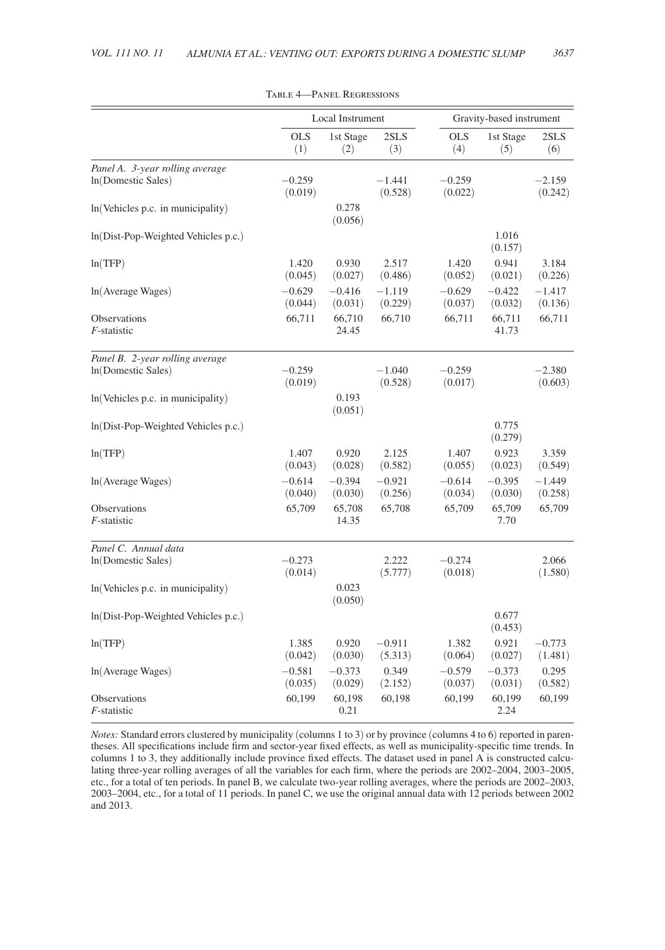<span id="page-26-0"></span>

|                                     |                     | Local Instrument    |                     | Gravity-based instrument |                     |                     |  |
|-------------------------------------|---------------------|---------------------|---------------------|--------------------------|---------------------|---------------------|--|
|                                     | <b>OLS</b><br>(1)   | 1st Stage<br>(2)    | 2SLS<br>(3)         | <b>OLS</b><br>(4)        | 1st Stage<br>(5)    | 2SLS<br>(6)         |  |
| Panel A. 3-year rolling average     |                     |                     |                     |                          |                     |                     |  |
| In(Domestic Sales)                  | $-0.259$<br>(0.019) |                     | $-1.441$<br>(0.528) | $-0.259$<br>(0.022)      |                     | $-2.159$<br>(0.242) |  |
| ln(Vehicles p.c. in municipality)   |                     | 0.278<br>(0.056)    |                     |                          |                     |                     |  |
| ln(Dist-Pop-Weighted Vehicles p.c.) |                     |                     |                     |                          | 1.016<br>(0.157)    |                     |  |
| ln(TFP)                             | 1.420<br>(0.045)    | 0.930<br>(0.027)    | 2.517<br>(0.486)    | 1.420<br>(0.052)         | 0.941<br>(0.021)    | 3.184<br>(0.226)    |  |
| ln(Average Wages)                   | $-0.629$<br>(0.044) | $-0.416$<br>(0.031) | $-1.119$<br>(0.229) | $-0.629$<br>(0.037)      | $-0.422$<br>(0.032) | $-1.417$<br>(0.136) |  |
| Observations<br>F-statistic         | 66,711              | 66,710<br>24.45     | 66,710              | 66,711                   | 66,711<br>41.73     | 66,711              |  |
| Panel B. 2-year rolling average     |                     |                     |                     |                          |                     |                     |  |
| In(Domestic Sales)                  | $-0.259$<br>(0.019) |                     | $-1.040$<br>(0.528) | $-0.259$<br>(0.017)      |                     | $-2.380$<br>(0.603) |  |
| ln(Vehicles p.c. in municipality)   |                     | 0.193<br>(0.051)    |                     |                          |                     |                     |  |
| ln(Dist-Pop-Weighted Vehicles p.c.) |                     |                     |                     |                          | 0.775<br>(0.279)    |                     |  |
| ln(TFP)                             | 1.407<br>(0.043)    | 0.920<br>(0.028)    | 2.125<br>(0.582)    | 1.407<br>(0.055)         | 0.923<br>(0.023)    | 3.359<br>(0.549)    |  |
| ln(Average Wages)                   | $-0.614$<br>(0.040) | $-0.394$<br>(0.030) | $-0.921$<br>(0.256) | $-0.614$<br>(0.034)      | $-0.395$<br>(0.030) | $-1.449$<br>(0.258) |  |
| Observations<br>F-statistic         | 65,709              | 65,708<br>14.35     | 65,708              | 65,709                   | 65,709<br>7.70      | 65,709              |  |
| Panel C. Annual data                |                     |                     |                     |                          |                     |                     |  |
| In(Domestic Sales)                  | $-0.273$<br>(0.014) |                     | 2.222<br>(5.777)    | $-0.274$<br>(0.018)      |                     | 2.066<br>(1.580)    |  |
| ln(Vehicles p.c. in municipality)   |                     | 0.023<br>(0.050)    |                     |                          |                     |                     |  |
| ln(Dist-Pop-Weighted Vehicles p.c.) |                     |                     |                     |                          | 0.677<br>(0.453)    |                     |  |
| ln(TFP)                             | 1.385<br>(0.042)    | 0.920<br>(0.030)    | $-0.911$<br>(5.313) | 1.382<br>(0.064)         | 0.921<br>(0.027)    | $-0.773$<br>(1.481) |  |
| ln(Average Wages)                   | $-0.581$<br>(0.035) | $-0.373$<br>(0.029) | 0.349<br>(2.152)    | $-0.579$<br>(0.037)      | $-0.373$<br>(0.031) | 0.295<br>(0.582)    |  |

Table 4—Panel Regressions

*Notes:* Standard errors clustered by municipality (columns 1 to 3) or by province (columns 4 to 6) reported in parentheses. All specifications include firm and sector-year fixed effects, as well as municipality-specific time trends. In columns 1 to 3, they additionally include province fixed effects. The dataset used in panel A is constructed calculating three-year rolling averages of all the variables for each firm, where the periods are 2002–2004, 2003–2005, etc., for a total of ten periods. In panel B, we calculate two-year rolling averages, where the periods are 2002–2003, 2003–2004, etc., for a total of 11 periods. In panel C, we use the original annual data with 12 periods between 2002 and 2013.

Observations 60,199 60,198 60,198 60,199 60,199 60,199

*F*-statistic 0.21 2.24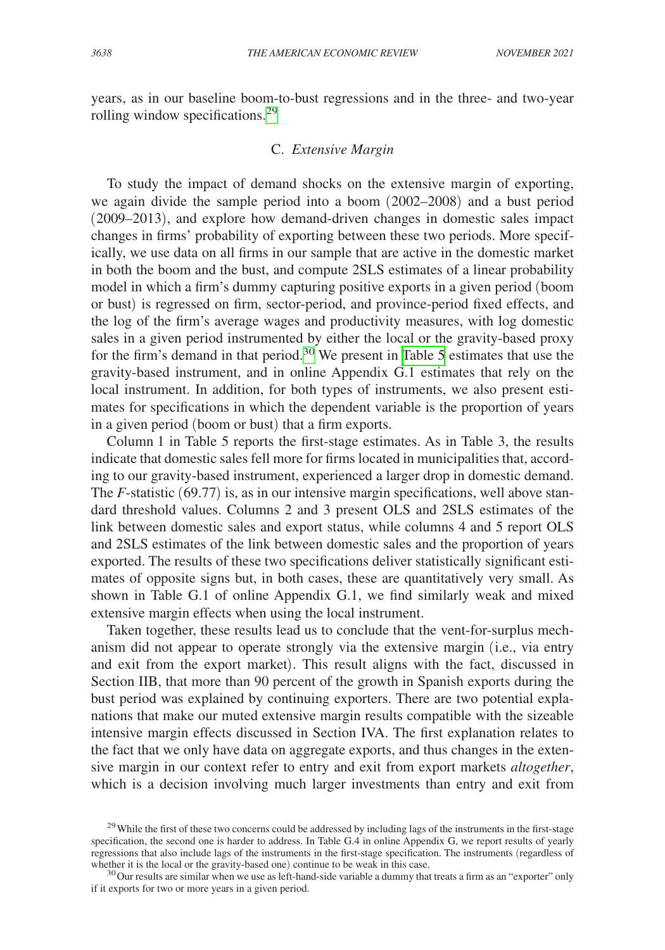years, as in our baseline boom-to-bust regressions and in the three- and two-year rolling window specifications.<sup>[29](#page-27-0)</sup>

# C. *Extensive Margin*

To study the impact of demand shocks on the extensive margin of exporting, we again divide the sample period into a boom (2002–2008) and a bust period (2009–2013), and explore how demand-driven changes in domestic sales impact changes in firms' probability of exporting between these two periods. More specifically, we use data on all firms in our sample that are active in the domestic market in both the boom and the bust, and compute 2SLS estimates of a linear probability model in which a firm's dummy capturing positive exports in a given period (boom or bust) is regressed on firm, sector-period, and province-period fixed effects, and the log of the firm's average wages and productivity measures, with log domestic sales in a given period instrumented by either the local or the gravity-based proxy for the firm's demand in that period.[30](#page-27-1) We present in [Table 5](#page-28-0) estimates that use the gravity-based instrument, and in online Appendix G.1 estimates that rely on the local instrument. In addition, for both types of instruments, we also present estimates for specifications in which the dependent variable is the proportion of years in a given period (boom or bust) that a firm exports.

Column 1 in Table 5 reports the first-stage estimates. As in Table 3, the results indicate that domestic sales fell more for firms located in municipalities that, according to our gravity-based instrument, experienced a larger drop in domestic demand. The *F*-statistic (69.77) is, as in our intensive margin specifications, well above standard threshold values. Columns 2 and 3 present OLS and 2SLS estimates of the link between domestic sales and export status, while columns 4 and 5 report OLS and 2SLS estimates of the link between domestic sales and the proportion of years exported. The results of these two specifications deliver statistically significant estimates of opposite signs but, in both cases, these are quantitatively very small. As shown in Table G.1 of online Appendix G.1, we find similarly weak and mixed extensive margin effects when using the local instrument.

Taken together, these results lead us to conclude that the vent-for-surplus mechanism did not appear to operate strongly via the extensive margin (i.e., via entry and exit from the export market). This result aligns with the fact, discussed in Section IIB, that more than 90 percent of the growth in Spanish exports during the bust period was explained by continuing exporters. There are two potential explanations that make our muted extensive margin results compatible with the sizeable intensive margin effects discussed in Section IVA. The first explanation relates to the fact that we only have data on aggregate exports, and thus changes in the extensive margin in our context refer to entry and exit from export markets *altogether*, which is a decision involving much larger investments than entry and exit from

<span id="page-27-0"></span> $29$  While the first of these two concerns could be addressed by including lags of the instruments in the first-stage specification, the second one is harder to address. In Table G.4 in online Appendix G, we report results of yearly regressions that also include lags of the instruments in the first-stage specification. The instruments (regardless of

<span id="page-27-1"></span> $30$  Our results are similar when we use as left-hand-side variable a dummy that treats a firm as an "exporter" only if it exports for two or more years in a given period.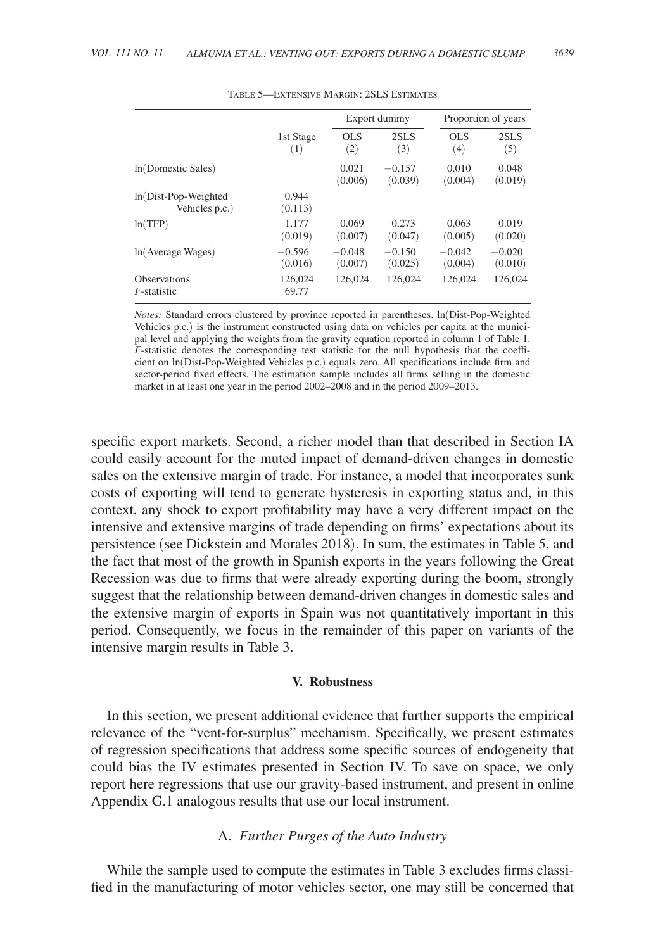<span id="page-28-0"></span>

|                                            |                     |                     | Export dummy        |                     | Proportion of years |  |  |
|--------------------------------------------|---------------------|---------------------|---------------------|---------------------|---------------------|--|--|
|                                            | 1st Stage<br>(1)    | OLS<br>(2)          | 2SLS<br>(3)         | OLS<br>(4)          | 2SLS<br>(5)         |  |  |
| In(Domestic Sales)                         |                     | 0.021<br>(0.006)    | $-0.157$<br>(0.039) | 0.010<br>(0.004)    | 0.048<br>(0.019)    |  |  |
| ln(Dist-Pop-Weighted<br>Vehicles p.c.)     | 0.944<br>(0.113)    |                     |                     |                     |                     |  |  |
| ln(TFP)                                    | 1.177<br>(0.019)    | 0.069<br>(0.007)    | 0.273<br>(0.047)    | 0.063<br>(0.005)    | 0.019<br>(0.020)    |  |  |
| ln(Average Wages)                          | $-0.596$<br>(0.016) | $-0.048$<br>(0.007) | $-0.150$<br>(0.025) | $-0.042$<br>(0.004) | $-0.020$<br>(0.010) |  |  |
| <b>Observations</b><br><i>F</i> -statistic | 126,024<br>69.77    | 126,024             | 126,024             | 126,024             | 126,024             |  |  |

Table 5—Extensive Margin: 2SLS Estimates

*Notes:* Standard errors clustered by province reported in parentheses. ln(Dist-Pop-Weighted Vehicles p.c.) is the instrument constructed using data on vehicles per capita at the municipal level and applying the weights from the gravity equation reported in column 1 of Table 1. *F*-statistic denotes the corresponding test statistic for the null hypothesis that the coefficient on ln(Dist-Pop-Weighted Vehicles p.c.) equals zero. All specifications include firm and sector-period fixed effects. The estimation sample includes all firms selling in the domestic market in at least one year in the period 2002–2008 and in the period 2009–2013.

specific export markets. Second, a richer model than that described in Section IA could easily account for the muted impact of demand-driven changes in domestic sales on the extensive margin of trade. For instance, a model that incorporates sunk costs of exporting will tend to generate hysteresis in exporting status and, in this context, any shock to export profitability may have a very different impact on the intensive and extensive margins of trade depending on firms' expectations about its persistence (see Dickstein and Morales 2018). In sum, the estimates in Table 5, and the fact that most of the growth in Spanish exports in the years following the Great Recession was due to firms that were already exporting during the boom, strongly suggest that the relationship between demand-driven changes in domestic sales and the extensive margin of exports in Spain was not quantitatively important in this period. Consequently, we focus in the remainder of this paper on variants of the intensive margin results in Table 3.

# **V. Robustness**

In this section, we present additional evidence that further supports the empirical relevance of the "vent-for-surplus" mechanism. Specifically, we present estimates of regression specifications that address some specific sources of endogeneity that could bias the IV estimates presented in Section IV. To save on space, we only report here regressions that use our gravity-based instrument, and present in online Appendix G.1 analogous results that use our local instrument.

# A. *Further Purges of the Auto Industry*

While the sample used to compute the estimates in Table 3 excludes firms classified in the manufacturing of motor vehicles sector, one may still be concerned that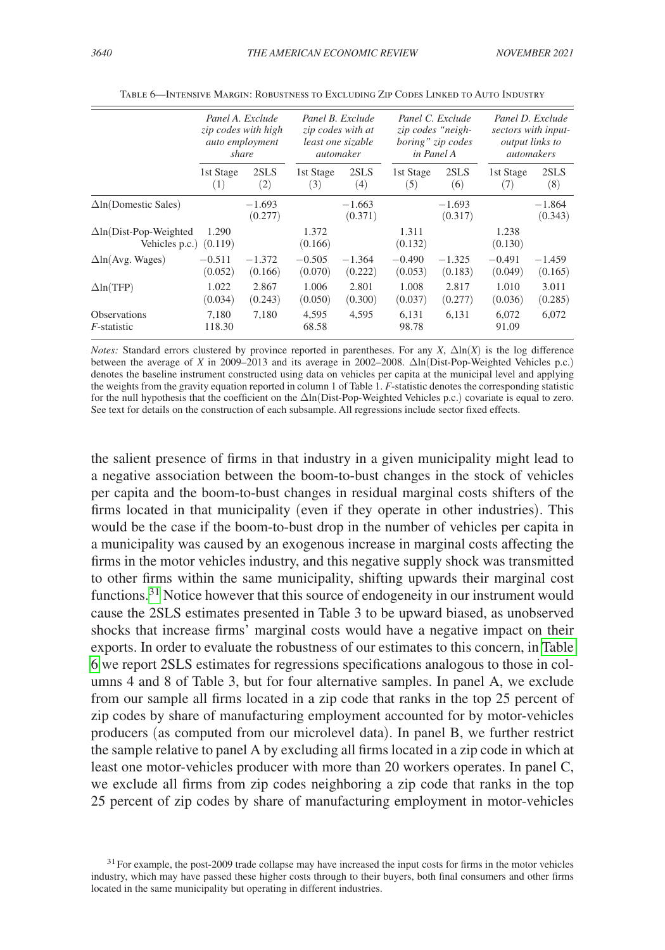|                                                           | Panel A. Exclude    |                     | Panel B. Exclude  |                     | Panel C. Exclude  |                     | Panel D. Exclude    |                     |
|-----------------------------------------------------------|---------------------|---------------------|-------------------|---------------------|-------------------|---------------------|---------------------|---------------------|
|                                                           | zip codes with high |                     | zip codes with at |                     | zip codes "neigh- |                     | sectors with input- |                     |
|                                                           | auto employment     |                     | least one sizable |                     | boring" zip codes |                     | output links to     |                     |
|                                                           | share               |                     | <i>automaker</i>  |                     | in Panel A        |                     | <i>automakers</i>   |                     |
|                                                           | 1st Stage           | 2SLS                | 1st Stage         | 2SLS                | 1st Stage         | 2SLS                | 1st Stage           | 2SLS                |
|                                                           | (1)                 | (2)                 | (3)               | (4)                 | (5)               | (6)                 | (7)                 | (8)                 |
| $\Delta$ ln(Domestic Sales)                               |                     | $-1.693$<br>(0.277) |                   | $-1.663$<br>(0.371) |                   | $-1.693$<br>(0.317) |                     | $-1.864$<br>(0.343) |
| $\Delta$ ln(Dist-Pop-Weighted<br>Vehicles p.c.) $(0.119)$ | 1.290               |                     | 1.372<br>(0.166)  |                     | 1.311<br>(0.132)  |                     | 1.238<br>(0.130)    |                     |
| $\Delta$ ln(Avg. Wages)                                   | $-0.511$            | $-1.372$            | $-0.505$          | $-1.364$            | $-0.490$          | $-1.325$            | $-0.491$            | $-1.459$            |
|                                                           | (0.052)             | (0.166)             | (0.070)           | (0.222)             | (0.053)           | (0.183)             | (0.049)             | (0.165)             |
| $\Delta$ ln(TFP)                                          | 1.022               | 2.867               | 1.006             | 2.801               | 1.008             | 2.817               | 1.010               | 3.011               |
|                                                           | (0.034)             | (0.243)             | (0.050)           | (0.300)             | (0.037)           | (0.277)             | (0.036)             | (0.285)             |
| <b>Observations</b><br><i>F</i> -statistic                | 7,180<br>118.30     | 7.180               | 4,595<br>68.58    | 4,595               | 6,131<br>98.78    | 6,131               | 6,072<br>91.09      | 6,072               |

Table 6—Intensive Margin: Robustness to Excluding Zip Codes Linked to Auto Industry

*Notes:* Standard errors clustered by province reported in parentheses. For any  $X$ ,  $\Delta \ln(X)$  is the log difference between the average of *X* in 2009–2013 and its average in 2002–2008. Δln(Dist-Pop-Weighted Vehicles p.c.) denotes the baseline instrument constructed using data on vehicles per capita at the municipal level and applying the weights from the gravity equation reported in column 1 of Table 1. *F*-statistic denotes the corresponding statistic for the null hypothesis that the coefficient on the Δln(Dist-Pop-Weighted Vehicles p.c.) covariate is equal to zero. See text for details on the construction of each subsample. All regressions include sector fixed effects.

the salient presence of firms in that industry in a given municipality might lead to a negative association between the boom-to-bust changes in the stock of vehicles per capita and the boom-to-bust changes in residual marginal costs shifters of the firms located in that municipality (even if they operate in other industries). This would be the case if the boom-to-bust drop in the number of vehicles per capita in a municipality was caused by an exogenous increase in marginal costs affecting the firms in the motor vehicles industry, and this negative supply shock was transmitted to other firms within the same municipality, shifting upwards their marginal cost functions.[31](#page-29-0) Notice however that this source of endogeneity in our instrument would cause the 2SLS estimates presented in Table 3 to be upward biased, as unobserved shocks that increase firms' marginal costs would have a negative impact on their exports. In order to evaluate the robustness of our estimates to this concern, in Table 6 we report 2SLS estimates for regressions specifications analogous to those in columns 4 and 8 of Table 3, but for four alternative samples. In panel A, we exclude from our sample all firms located in a zip code that ranks in the top 25 percent of zip codes by share of manufacturing employment accounted for by motor-vehicles producers (as computed from our microlevel data). In panel B, we further restrict the sample relative to panel A by excluding all firms located in a zip code in which at least one motor-vehicles producer with more than 20 workers operates. In panel C, we exclude all firms from zip codes neighboring a zip code that ranks in the top 25 percent of zip codes by share of manufacturing employment in motor-vehicles

<span id="page-29-0"></span><sup>&</sup>lt;sup>31</sup> For example, the post-2009 trade collapse may have increased the input costs for firms in the motor vehicles industry, which may have passed these higher costs through to their buyers, both final consumers and other firms located in the same municipality but operating in different industries.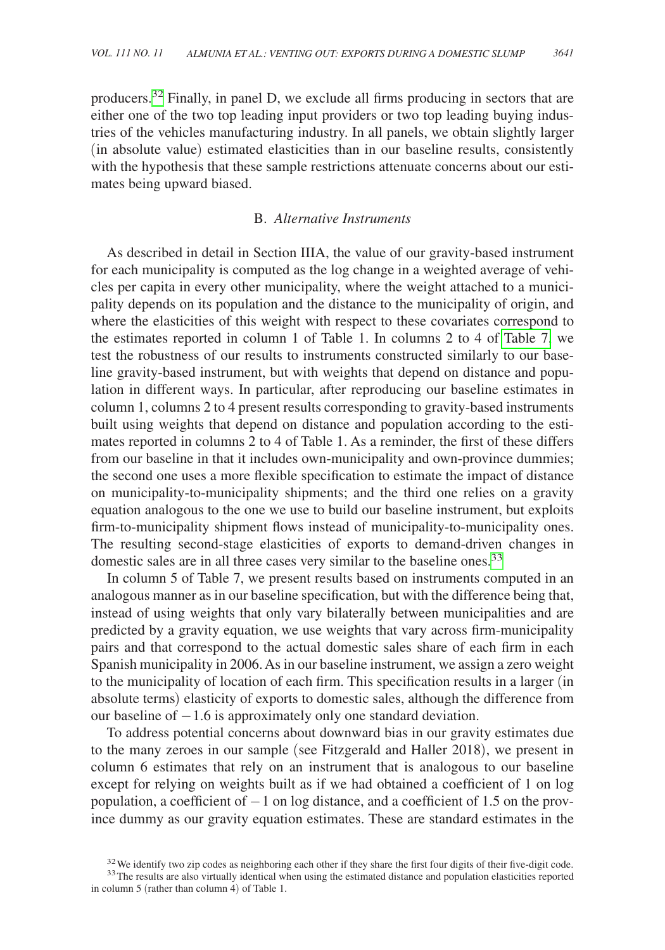producers[.32](#page-30-0) Finally, in panel D, we exclude all firms producing in sectors that are either one of the two top leading input providers or two top leading buying industries of the vehicles manufacturing industry. In all panels, we obtain slightly larger (in absolute value) estimated elasticities than in our baseline results, consistently with the hypothesis that these sample restrictions attenuate concerns about our estimates being upward biased.

# B. *Alternative Instruments*

As described in detail in Section IIIA, the value of our gravity-based instrument for each municipality is computed as the log change in a weighted average of vehicles per capita in every other municipality, where the weight attached to a municipality depends on its population and the distance to the municipality of origin, and where the elasticities of this weight with respect to these covariates correspond to the estimates reported in column 1 of Table 1. In columns 2 to 4 of [Table 7,](#page-31-0) we test the robustness of our results to instruments constructed similarly to our baseline gravity-based instrument, but with weights that depend on distance and population in different ways. In particular, after reproducing our baseline estimates in column 1, columns 2 to 4 present results corresponding to gravity-based instruments built using weights that depend on distance and population according to the estimates reported in columns 2 to 4 of Table 1. As a reminder, the first of these differs from our baseline in that it includes own-municipality and own-province dummies; the second one uses a more flexible specification to estimate the impact of distance on municipality-to-municipality shipments; and the third one relies on a gravity equation analogous to the one we use to build our baseline instrument, but exploits firm-to-municipality shipment flows instead of municipality-to-municipality ones. The resulting second-stage elasticities of exports to demand-driven changes in domestic sales are in all three cases very similar to the baseline ones.<sup>33</sup>

In column 5 of Table 7, we present results based on instruments computed in an analogous manner as in our baseline specification, but with the difference being that, instead of using weights that only vary bilaterally between municipalities and are predicted by a gravity equation, we use weights that vary across firm-municipality pairs and that correspond to the actual domestic sales share of each firm in each Spanish municipality in 2006. As in our baseline instrument, we assign a zero weight to the municipality of location of each firm. This specification results in a larger (in absolute terms) elasticity of exports to domestic sales, although the difference from our baseline of −1.6 is approximately only one standard deviation.

To address potential concerns about downward bias in our gravity estimates due to the many zeroes in our sample (see Fitzgerald and Haller 2018), we present in column 6 estimates that rely on an instrument that is analogous to our baseline except for relying on weights built as if we had obtained a coefficient of 1 on log population, a coefficient of −1 on log distance, and a coefficient of 1.5 on the province dummy as our gravity equation estimates. These are standard estimates in the

<span id="page-30-1"></span><span id="page-30-0"></span> $32$  We identify two zip codes as neighboring each other if they share the first four digits of their five-digit code.<br> $33$  The results are also virtually identical when using the estimated distance and population elastic in column 5 (rather than column 4) of Table 1.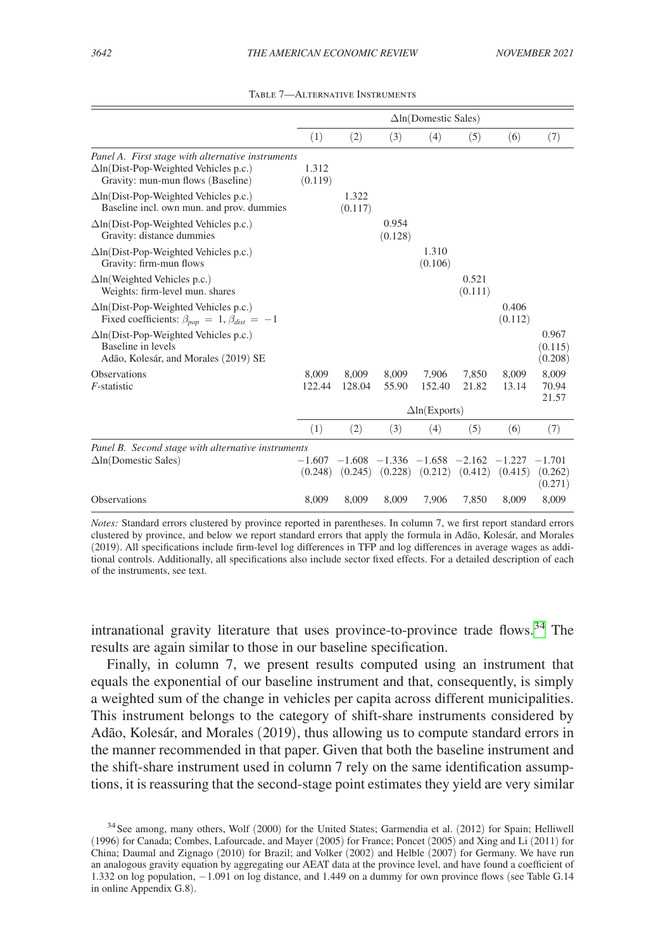<span id="page-31-0"></span>

|                                                                                                                                        | $\Delta$ ln(Domestic Sales)   |                  |                                                                                          |                  |                  |                     |                                |  |
|----------------------------------------------------------------------------------------------------------------------------------------|-------------------------------|------------------|------------------------------------------------------------------------------------------|------------------|------------------|---------------------|--------------------------------|--|
|                                                                                                                                        | (1)                           | (2)              | (3)                                                                                      | (4)              | (5)              | (6)                 | (7)                            |  |
| Panel A. First stage with alternative instruments<br>$\Delta$ ln(Dist-Pop-Weighted Vehicles p.c.)<br>Gravity: mun-mun flows (Baseline) | 1.312<br>(0.119)              |                  |                                                                                          |                  |                  |                     |                                |  |
| $\Delta$ ln(Dist-Pop-Weighted Vehicles p.c.)<br>Baseline incl. own mun. and prov. dummies                                              |                               | 1.322<br>(0.117) |                                                                                          |                  |                  |                     |                                |  |
| $\Delta$ ln(Dist-Pop-Weighted Vehicles p.c.)<br>Gravity: distance dummies                                                              |                               |                  | 0.954<br>(0.128)                                                                         |                  |                  |                     |                                |  |
| $\Delta$ ln(Dist-Pop-Weighted Vehicles p.c.)<br>Gravity: firm-mun flows                                                                |                               |                  |                                                                                          | 1.310<br>(0.106) |                  |                     |                                |  |
| $\Delta$ ln(Weighted Vehicles p.c.)<br>Weights: firm-level mun. shares                                                                 |                               |                  |                                                                                          |                  | 0.521<br>(0.111) |                     |                                |  |
| $\Delta$ ln(Dist-Pop-Weighted Vehicles p.c.)<br>Fixed coefficients: $\beta_{pop} = 1$ , $\beta_{dist} = -1$                            |                               |                  |                                                                                          |                  |                  | 0.406<br>(0.112)    |                                |  |
| $\Delta$ ln(Dist-Pop-Weighted Vehicles p.c.)<br>Baseline in levels<br>Adão, Kolesár, and Morales (2019) SE                             |                               |                  |                                                                                          |                  |                  |                     | 0.967<br>(0.115)<br>(0.208)    |  |
| <b>Observations</b>                                                                                                                    | 8.009                         | 8,009            | 8,009                                                                                    | 7,906            | 7,850            | 8.009               | 8,009                          |  |
| F-statistic                                                                                                                            | 122.44                        | 128.04           | 55.90                                                                                    | 152.40           | 21.82            | 13.14               | 70.94                          |  |
|                                                                                                                                        | 21.57<br>$\Delta$ ln(Exports) |                  |                                                                                          |                  |                  |                     |                                |  |
|                                                                                                                                        | (1)                           | (2)              | (3)                                                                                      | (4)              | (5)              | (6)                 | (7)                            |  |
| Panel B. Second stage with alternative instruments                                                                                     |                               |                  |                                                                                          |                  |                  |                     |                                |  |
| $\Delta$ ln(Domestic Sales)                                                                                                            | $-1.607$                      |                  | $-1.608$ $-1.336$ $-1.658$ $-2.162$<br>$(0.248)$ $(0.245)$ $(0.228)$ $(0.212)$ $(0.412)$ |                  |                  | $-1.227$<br>(0.415) | $-1.701$<br>(0.262)<br>(0.271) |  |
| Observations                                                                                                                           | 8,009                         | 8,009            | 8,009                                                                                    | 7,906            | 7,850            | 8,009               | 8,009                          |  |

Table 7—Alternative Instruments

*Notes:* Standard errors clustered by province reported in parentheses. In column 7, we first report standard errors clustered by province, and below we report standard errors that apply the formula in Adão, Kolesár, and Morales (2019). All specifications include firm-level log differences in TFP and log differences in average wages as additional controls. Additionally, all specifications also include sector fixed effects. For a detailed description of each of the instruments, see text.

intranational gravity literature that uses province-to-province trade flows.<sup>[34](#page-31-1)</sup> The results are again similar to those in our baseline specification.

Finally, in column 7, we present results computed using an instrument that equals the exponential of our baseline instrument and that, consequently, is simply a weighted sum of the change in vehicles per capita across different municipalities. This instrument belongs to the category of shift-share instruments considered by Adão, Kolesár, and Morales (2019), thus allowing us to compute standard errors in the manner recommended in that paper. Given that both the baseline instrument and the shift-share instrument used in column 7 rely on the same identification assumptions, it is reassuring that the second-stage point estimates they yield are very similar

<span id="page-31-1"></span><sup>34</sup>See among, many others, Wolf (2000) for the United States; Garmendia et al. (2012) for Spain; Helliwell (1996) for Canada; Combes, Lafourcade, and Mayer (2005) for France; Poncet (2005) and Xing and Li (2011) for China; Daumal and Zignago (2010) for Brazil; and Volker (2002) and Helble (2007) for Germany. We have run an analogous gravity equation by aggregating our AEAT data at the province level, and have found a coefficient of 1.332 on log population, −1.091 on log distance, and 1.449 on a dummy for own province flows (see Table G.14 in online Appendix G.8).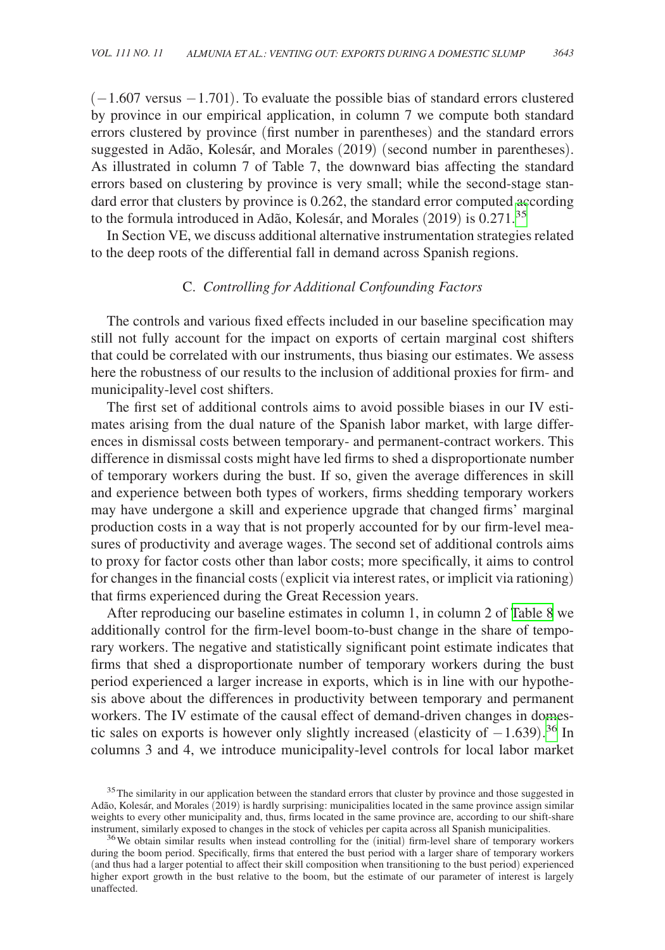$(-1.607 \text{ versus } -1.701)$ . To evaluate the possible bias of standard errors clustered by province in our empirical application, in column 7 we compute both standard errors clustered by province (first number in parentheses) and the standard errors suggested in Adão, Kolesár, and Morales (2019) (second number in parentheses). As illustrated in column 7 of Table 7, the downward bias affecting the standard errors based on clustering by province is very small; while the second-stage standard error that clusters by province is 0.262, the standard error computed according to the formula introduced in Adão, Kolesár, and Morales (2019) is 0.271.<sup>[35](#page-32-0)</sup>

In Section VE, we discuss additional alternative instrumentation strategies related to the deep roots of the differential fall in demand across Spanish regions.

# C. *Controlling for Additional Confounding Factors*

The controls and various fixed effects included in our baseline specification may still not fully account for the impact on exports of certain marginal cost shifters that could be correlated with our instruments, thus biasing our estimates. We assess here the robustness of our results to the inclusion of additional proxies for firm- and municipality-level cost shifters.

The first set of additional controls aims to avoid possible biases in our IV estimates arising from the dual nature of the Spanish labor market, with large differences in dismissal costs between temporary- and permanent-contract workers. This difference in dismissal costs might have led firms to shed a disproportionate number of temporary workers during the bust. If so, given the average differences in skill and experience between both types of workers, firms shedding temporary workers may have undergone a skill and experience upgrade that changed firms' marginal production costs in a way that is not properly accounted for by our firm-level measures of productivity and average wages. The second set of additional controls aims to proxy for factor costs other than labor costs; more specifically, it aims to control for changes in the financial costs (explicit via interest rates, or implicit via rationing) that firms experienced during the Great Recession years.

After reproducing our baseline estimates in column 1, in column 2 of [Table 8](#page-33-0) we additionally control for the firm-level boom-to-bust change in the share of temporary workers. The negative and statistically significant point estimate indicates that firms that shed a disproportionate number of temporary workers during the bust period experienced a larger increase in exports, which is in line with our hypothesis above about the differences in productivity between temporary and permanent workers. The IV estimate of the causal effect of demand-driven changes in domestic sales on exports is however only slightly increased (elasticity of −1.639). [36](#page-32-1) In columns 3 and 4, we introduce municipality-level controls for local labor market

<span id="page-32-0"></span><sup>&</sup>lt;sup>35</sup>The similarity in our application between the standard errors that cluster by province and those suggested in Adão, Kolesár, and Morales (2019) is hardly surprising: municipalities located in the same province assign similar weights to every other municipality and, thus, firms located in the same province are, according to our shift-share instrument, similarly exposed to changes in the stock of vehicles per capita across all Spanish municipali

<span id="page-32-1"></span><sup>&</sup>lt;sup>36</sup>We obtain similar results when instead controlling for the (initial) firm-level share of temporary workers during the boom period. Specifically, firms that entered the bust period with a larger share of temporary workers (and thus had a larger potential to affect their skill composition when transitioning to the bust period) experienced higher export growth in the bust relative to the boom, but the estimate of our parameter of interest is largely unaffected.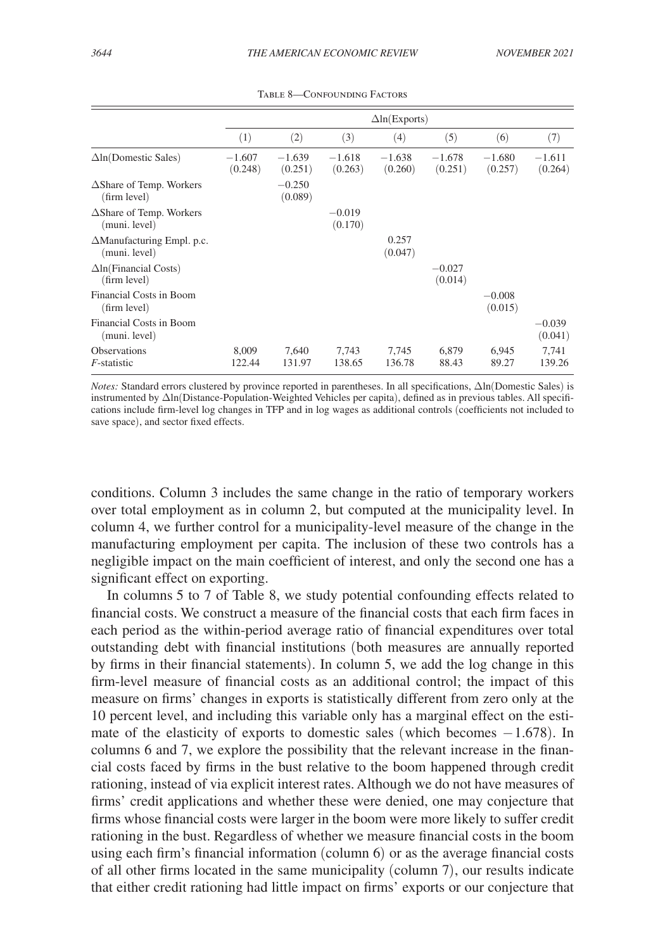<span id="page-33-0"></span>

| 1ADLEU<br>CONTOCHERO I ACTORS                    |                     |                      |                     |                     |                     |                     |                     |  |  |  |
|--------------------------------------------------|---------------------|----------------------|---------------------|---------------------|---------------------|---------------------|---------------------|--|--|--|
|                                                  |                     | $\Delta$ ln(Exports) |                     |                     |                     |                     |                     |  |  |  |
|                                                  | (1)                 | $\left( 2\right)$    | (3)                 | (4)                 | (5)                 | (6)                 | (7)                 |  |  |  |
| $\Delta$ ln(Domestic Sales)                      | $-1.607$<br>(0.248) | $-1.639$<br>(0.251)  | $-1.618$<br>(0.263) | $-1.638$<br>(0.260) | $-1.678$<br>(0.251) | $-1.680$<br>(0.257) | $-1.611$<br>(0.264) |  |  |  |
| $\Delta$ Share of Temp. Workers<br>(firm level)  |                     | $-0.250$<br>(0.089)  |                     |                     |                     |                     |                     |  |  |  |
| $\Delta$ Share of Temp. Workers<br>(muni. level) |                     |                      | $-0.019$<br>(0.170) |                     |                     |                     |                     |  |  |  |

Financial Costs in Boom −0.008<br>(firm level) (0.015)  $(firm level)$  (0.015)

ΔManufacturing Empl. p.c. 0.257

 $\Delta$ ln(Financial Costs)  $-0.027$ <br>(firm level)  $(0.014)$  $(firm level)$  (0.014)

TABLE 8—CONFOUNDING FACTORS

*Notes:* Standard errors clustered by province reported in parentheses. In all specifications, Δln(Domestic Sales) is instrumented by Δln(Distance-Population-Weighted Vehicles per capita), defined as in previous tables. All specifications include firm-level log changes in TFP and in log wages as additional controls (coefficients not included to save space), and sector fixed effects.

Financial Costs in Boom −0.039<br>
(muni. level) (0.041)  $(muni. level)$  (0.041) Observations 8,009 7,640 7,743 7,745 6,879 6,945 7,741<br>
F-statistic 122.44 131.97 138.65 136.78 88.43 89.27 139.26 *F*-statistic 122.44 131.97 138.65 136.78 88.43 89.27 139.26

conditions. Column 3 includes the same change in the ratio of temporary workers over total employment as in column 2, but computed at the municipality level. In column 4, we further control for a municipality-level measure of the change in the manufacturing employment per capita. The inclusion of these two controls has a negligible impact on the main coefficient of interest, and only the second one has a significant effect on exporting.

In columns 5 to 7 of Table 8, we study potential confounding effects related to financial costs. We construct a measure of the financial costs that each firm faces in each period as the within-period average ratio of financial expenditures over total outstanding debt with financial institutions (both measures are annually reported by firms in their financial statements). In column 5, we add the log change in this firm-level measure of financial costs as an additional control; the impact of this measure on firms' changes in exports is statistically different from zero only at the 10 percent level, and including this variable only has a marginal effect on the estimate of the elasticity of exports to domestic sales (which becomes  $-1.678$ ). In columns 6 and 7, we explore the possibility that the relevant increase in the financial costs faced by firms in the bust relative to the boom happened through credit rationing, instead of via explicit interest rates. Although we do not have measures of firms' credit applications and whether these were denied, one may conjecture that firms whose financial costs were larger in the boom were more likely to suffer credit rationing in the bust. Regardless of whether we measure financial costs in the boom using each firm's financial information (column 6) or as the average financial costs of all other firms located in the same municipality (column 7), our results indicate that either credit rationing had little impact on firms' exports or our conjecture that

(muni. level)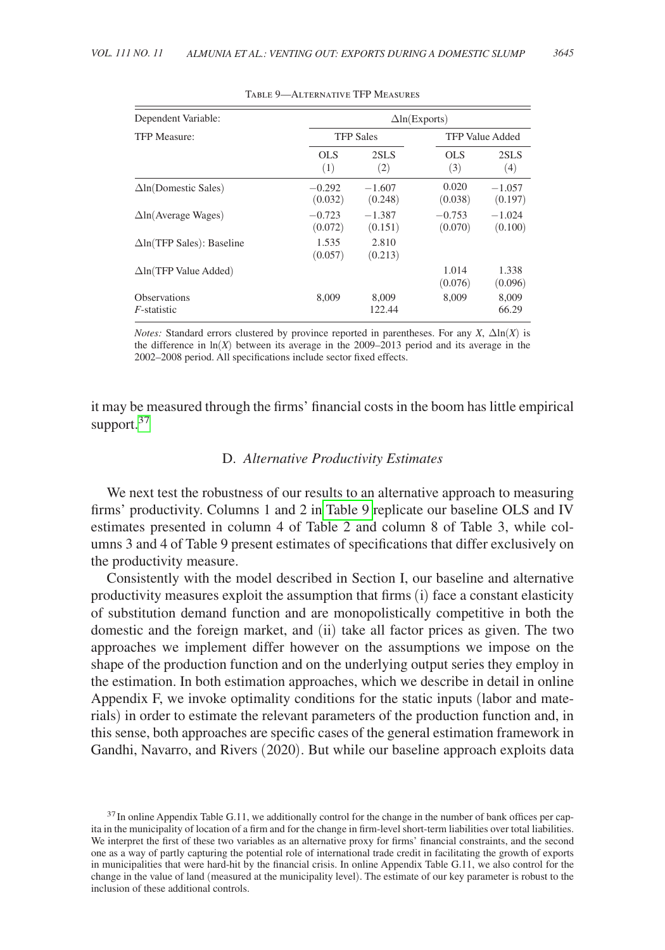| Dependent Variable:                        | $\Delta$ ln(Exports) |                     |                     |                        |  |  |  |  |
|--------------------------------------------|----------------------|---------------------|---------------------|------------------------|--|--|--|--|
| <b>TFP Measure:</b>                        |                      | <b>TFP Sales</b>    |                     | <b>TFP Value Added</b> |  |  |  |  |
|                                            | OL S<br>(1)          | 2SLS<br>(2)         | OL S<br>(3)         | 2SLS<br>(4)            |  |  |  |  |
| $\Delta$ ln(Domestic Sales)                | $-0.292$<br>(0.032)  | $-1.607$<br>(0.248) | 0.020<br>(0.038)    | $-1.057$<br>(0.197)    |  |  |  |  |
| $\Delta$ ln(Average Wages)                 | $-0.723$<br>(0.072)  | $-1.387$<br>(0.151) | $-0.753$<br>(0.070) | $-1.024$<br>(0.100)    |  |  |  |  |
| $\Delta$ ln(TFP Sales): Baseline           | 1.535<br>(0.057)     | 2.810<br>(0.213)    |                     |                        |  |  |  |  |
| $\Delta$ ln(TFP Value Added)               |                      |                     | 1.014<br>(0.076)    | 1.338<br>(0.096)       |  |  |  |  |
| <b>Observations</b><br><i>F</i> -statistic | 8,009                | 8,009<br>122.44     | 8,009               | 8,009<br>66.29         |  |  |  |  |

Table 9—Alternative TFP Measures

*Notes:* Standard errors clustered by province reported in parentheses. For any *X*,  $\Delta \ln(X)$  is the difference in  $ln(X)$  between its average in the 2009–2013 period and its average in the 2002–2008 period. All specifications include sector fixed effects.

it may be measured through the firms' financial costs in the boom has little empirical support.<sup>[37](#page-34-0)</sup>

#### D. *Alternative Productivity Estimates*

We next test the robustness of our results to an alternative approach to measuring firms' productivity. Columns 1 and 2 in Table 9 replicate our baseline OLS and IV estimates presented in column 4 of Table 2 and column 8 of Table 3, while columns 3 and 4 of Table 9 present estimates of specifications that differ exclusively on the productivity measure.

Consistently with the model described in Section I, our baseline and alternative productivity measures exploit the assumption that firms (i) face a constant elasticity of substitution demand function and are monopolistically competitive in both the domestic and the foreign market, and (ii) take all factor prices as given. The two approaches we implement differ however on the assumptions we impose on the shape of the production function and on the underlying output series they employ in the estimation. In both estimation approaches, which we describe in detail in online Appendix F, we invoke optimality conditions for the static inputs (labor and materials) in order to estimate the relevant parameters of the production function and, in this sense, both approaches are specific cases of the general estimation framework in Gandhi, Navarro, and Rivers (2020). But while our baseline approach exploits data

<span id="page-34-0"></span> $37$  In online Appendix Table G.11, we additionally control for the change in the number of bank offices per capita in the municipality of location of a firm and for the change in firm-level short-term liabilities over total liabilities. We interpret the first of these two variables as an alternative proxy for firms' financial constraints, and the second one as a way of partly capturing the potential role of international trade credit in facilitating the growth of exports in municipalities that were hard-hit by the financial crisis. In online Appendix Table G.11, we also control for the change in the value of land (measured at the municipality level). The estimate of our key parameter is robust to the inclusion of these additional controls.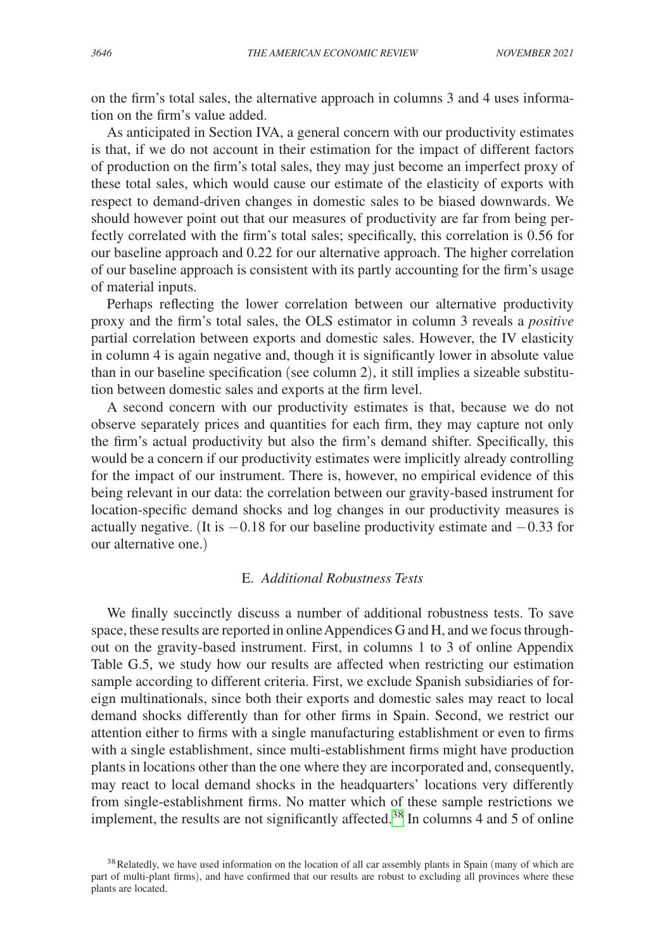on the firm's total sales, the alternative approach in columns 3 and 4 uses information on the firm's value added.

As anticipated in Section IVA, a general concern with our productivity estimates is that, if we do not account in their estimation for the impact of different factors of production on the firm's total sales, they may just become an imperfect proxy of these total sales, which would cause our estimate of the elasticity of exports with respect to demand-driven changes in domestic sales to be biased downwards. We should however point out that our measures of productivity are far from being perfectly correlated with the firm's total sales; specifically, this correlation is 0.56 for our baseline approach and 0.22 for our alternative approach. The higher correlation of our baseline approach is consistent with its partly accounting for the firm's usage of material inputs.

Perhaps reflecting the lower correlation between our alternative productivity proxy and the firm's total sales, the OLS estimator in column 3 reveals a *positive*  partial correlation between exports and domestic sales. However, the IV elasticity in column 4 is again negative and, though it is significantly lower in absolute value than in our baseline specification (see column 2), it still implies a sizeable substitution between domestic sales and exports at the firm level.

A second concern with our productivity estimates is that, because we do not observe separately prices and quantities for each firm, they may capture not only the firm's actual productivity but also the firm's demand shifter. Specifically, this would be a concern if our productivity estimates were implicitly already controlling for the impact of our instrument. There is, however, no empirical evidence of this being relevant in our data: the correlation between our gravity-based instrument for location-specific demand shocks and log changes in our productivity measures is actually negative. (It is  $-0.18$  for our baseline productivity estimate and  $-0.33$  for our alternative one.)

# E. *Additional Robustness Tests*

We finally succinctly discuss a number of additional robustness tests. To save space, these results are reported in online Appendices G and H, and we focus throughout on the gravity-based instrument. First, in columns 1 to 3 of online Appendix Table G.5, we study how our results are affected when restricting our estimation sample according to different criteria. First, we exclude Spanish subsidiaries of foreign multinationals, since both their exports and domestic sales may react to local demand shocks differently than for other firms in Spain. Second, we restrict our attention either to firms with a single manufacturing establishment or even to firms with a single establishment, since multi-establishment firms might have production plants in locations other than the one where they are incorporated and, consequently, may react to local demand shocks in the headquarters' locations very differently from single-establishment firms. No matter which of these sample restrictions we implement, the results are not significantly affected[.38](#page-35-0) In columns 4 and 5 of online

<span id="page-35-0"></span><sup>&</sup>lt;sup>38</sup>Relatedly, we have used information on the location of all car assembly plants in Spain (many of which are part of multi-plant firms), and have confirmed that our results are robust to excluding all provinces where these plants are located.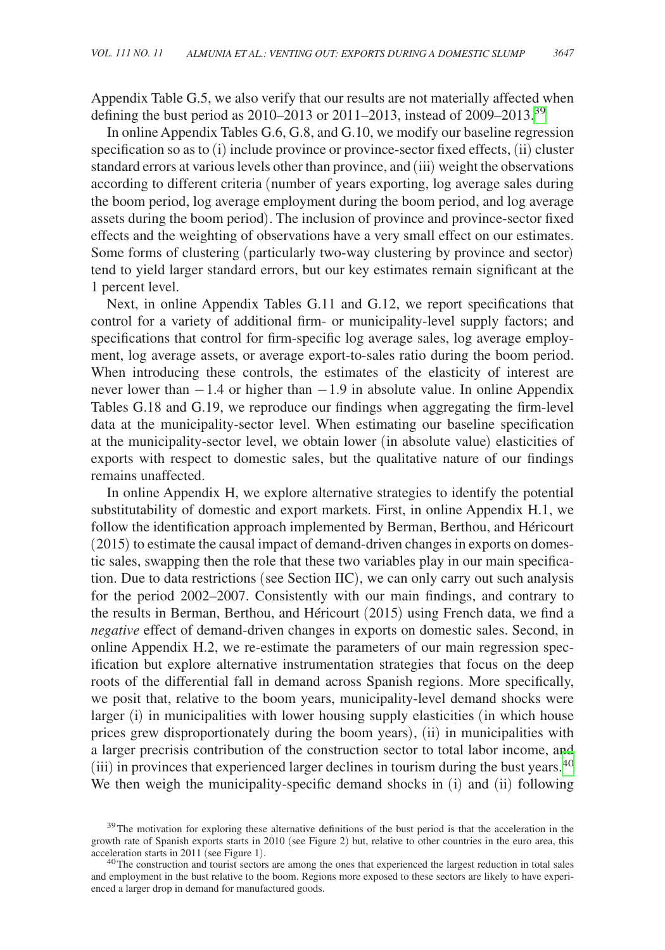Appendix Table G.5, we also verify that our results are not materially affected when defining the bust period as  $2010-2013$  or  $2011-2013$ , instead of  $2009-2013$ .<sup>[39](#page-36-0)</sup>

In online Appendix Tables G.6, G.8, and G.10, we modify our baseline regression specification so as to (i) include province or province-sector fixed effects, (ii) cluster standard errors at various levels other than province, and (iii) weight the observations according to different criteria (number of years exporting, log average sales during the boom period, log average employment during the boom period, and log average assets during the boom period). The inclusion of province and province-sector fixed effects and the weighting of observations have a very small effect on our estimates. Some forms of clustering (particularly two-way clustering by province and sector) tend to yield larger standard errors, but our key estimates remain significant at the 1 percent level.

Next, in online Appendix Tables G.11 and G.12, we report specifications that control for a variety of additional firm- or municipality-level supply factors; and specifications that control for firm-specific log average sales, log average employment, log average assets, or average export-to-sales ratio during the boom period. When introducing these controls, the estimates of the elasticity of interest are never lower than −1.4 or higher than −1.9 in absolute value. In online Appendix Tables G.18 and G.19, we reproduce our findings when aggregating the firm-level data at the municipality-sector level. When estimating our baseline specification at the municipality-sector level, we obtain lower (in absolute value) elasticities of exports with respect to domestic sales, but the qualitative nature of our findings remains unaffected.

In online Appendix H, we explore alternative strategies to identify the potential substitutability of domestic and export markets. First, in online Appendix H.1, we follow the identification approach implemented by Berman, Berthou, and Héricourt (2015) to estimate the causal impact of demand-driven changes in exports on domestic sales, swapping then the role that these two variables play in our main specification. Due to data restrictions (see Section IIC), we can only carry out such analysis for the period 2002–2007. Consistently with our main findings, and contrary to the results in Berman, Berthou, and Héricourt (2015) using French data, we find a *negative* effect of demand-driven changes in exports on domestic sales. Second, in online Appendix H.2, we re-estimate the parameters of our main regression specification but explore alternative instrumentation strategies that focus on the deep roots of the differential fall in demand across Spanish regions. More specifically, we posit that, relative to the boom years, municipality-level demand shocks were larger (i) in municipalities with lower housing supply elasticities (in which house prices grew disproportionately during the boom years), (ii) in municipalities with a larger precrisis contribution of the construction sector to total labor income, and (iii) in provinces that experienced larger declines in tourism during the bust years.<sup>[40](#page-36-1)</sup> We then weigh the municipality-specific demand shocks in (i) and (ii) following

<span id="page-36-0"></span><sup>&</sup>lt;sup>39</sup>The motivation for exploring these alternative definitions of the bust period is that the acceleration in the growth rate of Spanish exports starts in 2010 (see Figure 2) but, relative to other countries in the euro area, this acceleration starts in 2011 (see Figure 1).

<span id="page-36-1"></span><sup>&</sup>lt;sup>40</sup>The construction and tourist sectors are among the ones that experienced the largest reduction in total sales and employment in the bust relative to the boom. Regions more exposed to these sectors are likely to have experienced a larger drop in demand for manufactured goods.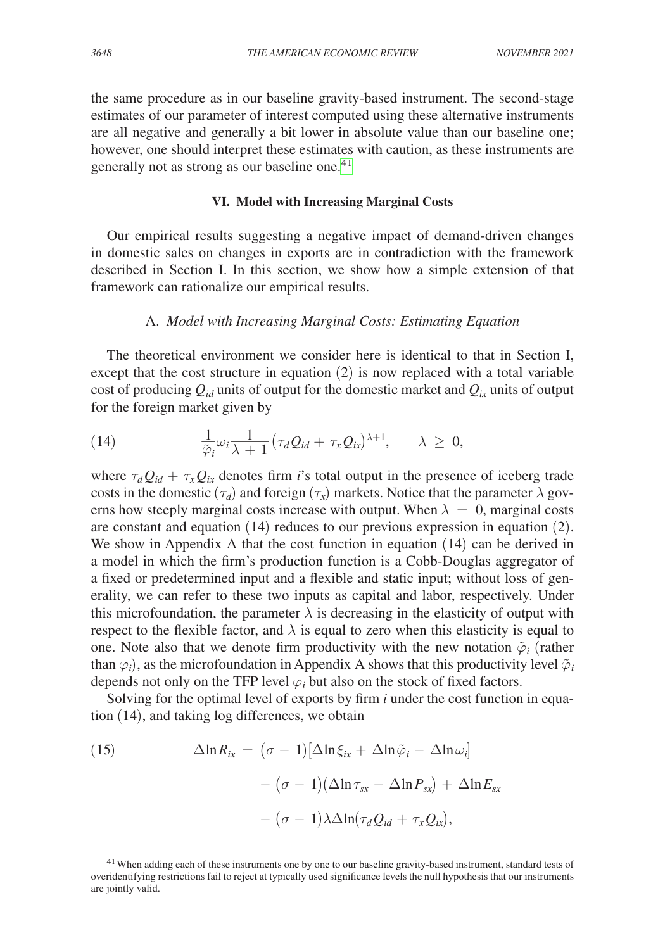the same procedure as in our baseline gravity-based instrument. The second-stage estimates of our parameter of interest computed using these alternative instruments are all negative and generally a bit lower in absolute value than our baseline one; however, one should interpret these estimates with caution, as these instruments are generally not as strong as our baseline one.<sup>41</sup>

# **VI. Model with Increasing Marginal Costs**

Our empirical results suggesting a negative impact of demand-driven changes in domestic sales on changes in exports are in contradiction with the framework described in Section I. In this section, we show how a simple extension of that framework can rationalize our empirical results.

## A. *Model with Increasing Marginal Costs: Estimating Equation*

The theoretical environment we consider here is identical to that in Section I, except that the cost structure in equation (2) is now replaced with a total variable cost of producing  $Q_{id}$  units of output for the domestic market and  $Q_{ix}$  units of output

for the foreign market given by  
\n(14) 
$$
\frac{1}{\tilde{\varphi}_i} \omega_i \frac{1}{\lambda + 1} \left( \tau_d Q_{id} + \tau_x Q_{ix} \right)^{\lambda + 1}, \qquad \lambda \geq 0,
$$

where  $\tau_d Q_{id} + \tau_x Q_{ix}$  denotes firm *i*'s total output in the presence of iceberg trade costs in the domestic  $(\tau_d)$  and foreign  $(\tau_x)$  markets. Notice that the parameter  $\lambda$  governs how steeply marginal costs increase with output. When  $\lambda = 0$ , marginal costs are constant and equation (14) reduces to our previous expression in equation (2). We show in Appendix A that the cost function in equation (14) can be derived in a model in which the firm's production function is a Cobb-Douglas aggregator of a fixed or predetermined input and a flexible and static input; without loss of generality, we can refer to these two inputs as capital and labor, respectively. Under this microfoundation, the parameter  $\lambda$  is decreasing in the elasticity of output with respect to the flexible factor, and  $\lambda$  is equal to zero when this elasticity is equal to one. Note also that we denote firm productivity with the new notation  $\tilde{\varphi}_i$  (rather than  $\varphi_i$ ), as the microfoundation in Appendix A shows that this productivity level  $\tilde{\varphi}_i$ depends not only on the TFP level  $\varphi_i$  but also on the stock of fixed factors.

Solving for the optimal level of exports by firm *i* under the cost function in equation (14), and taking log differences, we obtain

(15) 
$$
\Delta \ln R_{ix} = (\sigma - 1)[\Delta \ln \xi_{ix} + \Delta \ln \tilde{\varphi}_i - \Delta \ln \omega_i] - (\sigma - 1)(\Delta \ln \tau_{sx} - \Delta \ln P_{sx}) + \Delta \ln E_{sx} - (\sigma - 1)\lambda \Delta \ln (\tau_d Q_{id} + \tau_x Q_{ix}),
$$

<span id="page-37-0"></span><sup>41</sup> When adding each of these instruments one by one to our baseline gravity-based instrument, standard tests of overidentifying restrictions fail to reject at typically used significance levels the null hypothesis that our instruments are jointly valid.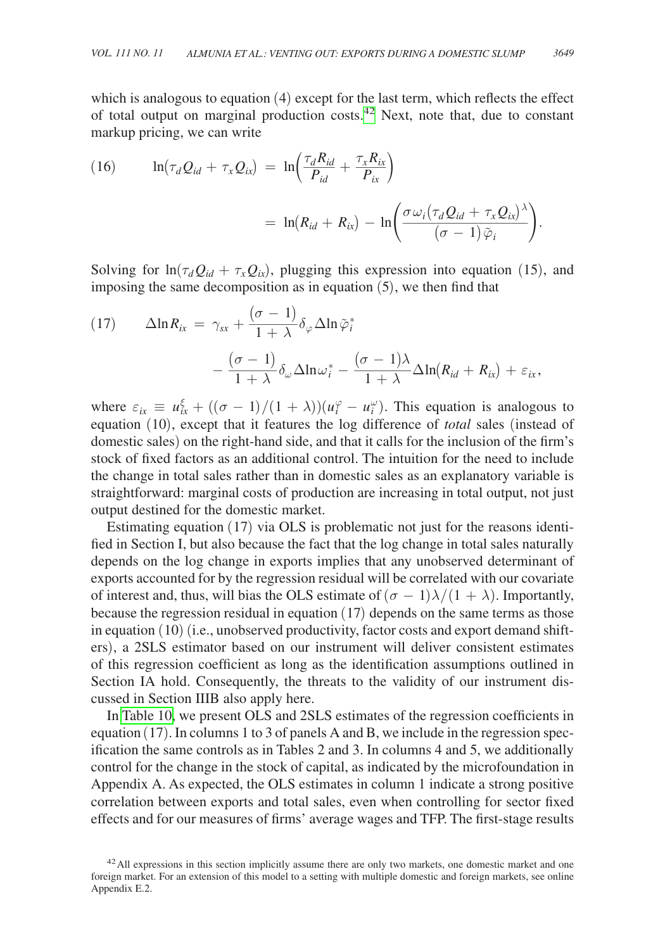which is analogous to equation (4) except for the last term, which reflects the effect of total output on marginal production costs.<sup>[42](#page-38-0)</sup> Next, note that, due to constant markup pricing, we can write

(16) 
$$
\ln(\tau_d Q_{id} + \tau_x Q_{ix}) = \ln\left(\frac{\tau_d R_{id}}{P_{id}} + \frac{\tau_x R_{ix}}{P_{ix}}\right)
$$

$$
= \ln(R_{id} + R_{ix}) - \ln\left(\frac{\sigma \omega_i (\tau_d Q_{id} + \tau_x Q_{ix})^{\lambda}}{(\sigma - 1)\tilde{\varphi}_i}\right).
$$

Solving for  $\ln(\tau_d Q_{id} + \tau_x Q_{ix})$ , plugging this expression into equation (15), and

imposing the same decomposition as in equation (5), we then find that  
\n(17) 
$$
\Delta \ln R_{ix} = \gamma_{sx} + \frac{(\sigma - 1)}{1 + \lambda} \delta_{\varphi} \Delta \ln \tilde{\varphi}_i^*
$$
\n
$$
- \frac{(\sigma - 1)}{1 + \lambda} \delta_{\omega} \Delta \ln \omega_i^* - \frac{(\sigma - 1)\lambda}{1 + \lambda} \Delta \ln(R_{id} + R_{ix}) + \varepsilon_{ix},
$$
\nwhere  $\varepsilon_{ix} \equiv u_{ix}^{\xi} + ((\sigma - 1)/(1 + \lambda))(u_i^{\varphi} - u_i^{\omega})$ . This equation is analogous to

equation (10), except that it features the log difference of *total* sales (instead of domestic sales) on the right-hand side, and that it calls for the inclusion of the firm's stock of fixed factors as an additional control. The intuition for the need to include the change in total sales rather than in domestic sales as an explanatory variable is straightforward: marginal costs of production are increasing in total output, not just output destined for the domestic market.

Estimating equation (17) via OLS is problematic not just for the reasons identified in Section I, but also because the fact that the log change in total sales naturally depends on the log change in exports implies that any unobserved determinant of exports accounted for by the regression residual will be correlated with our covariate of interest and, thus, will bias the OLS estimate of  $(\sigma - 1)\lambda/(1 + \lambda)$ . Importantly, because the regression residual in equation (17) depends on the same terms as those in equation (10) (i.e., unobserved productivity, factor costs and export demand shifters), a 2SLS estimator based on our instrument will deliver consistent estimates of this regression coefficient as long as the identification assumptions outlined in Section IA hold. Consequently, the threats to the validity of our instrument discussed in Section IIIB also apply here.

In [Table 10,](#page-39-0) we present OLS and 2SLS estimates of the regression coefficients in equation (17). In columns 1 to 3 of panels A and B, we include in the regression specification the same controls as in Tables 2 and 3. In columns 4 and 5, we additionally control for the change in the stock of capital, as indicated by the microfoundation in Appendix A. As expected, the OLS estimates in column 1 indicate a strong positive correlation between exports and total sales, even when controlling for sector fixed effects and for our measures of firms' average wages and TFP. The first-stage results

<span id="page-38-0"></span><sup>&</sup>lt;sup>42</sup>All expressions in this section implicitly assume there are only two markets, one domestic market and one foreign market. For an extension of this model to a setting with multiple domestic and foreign markets, see online Appendix E.2.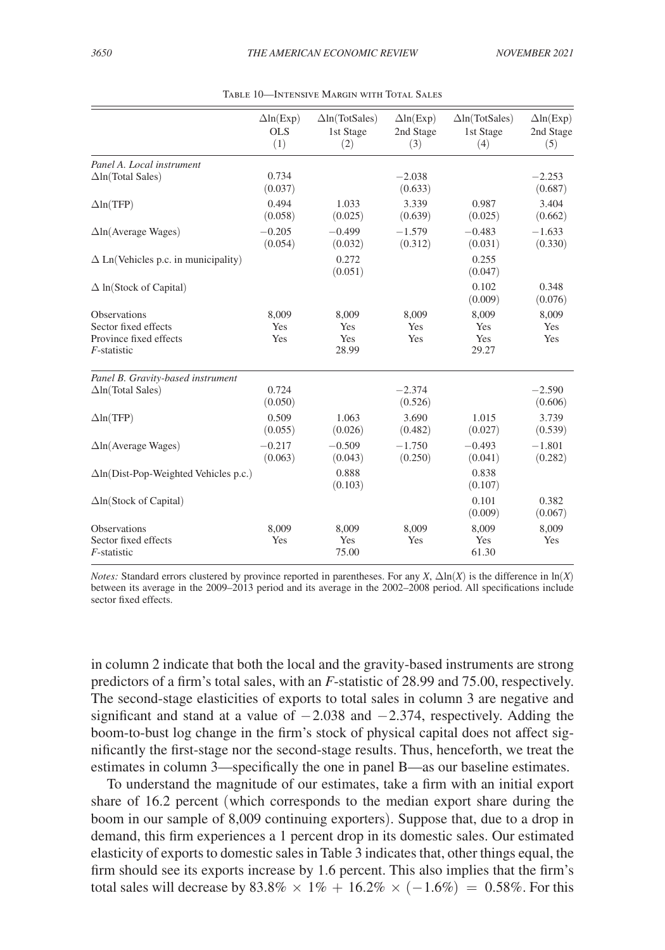<span id="page-39-0"></span>

|                                                                               | $\Delta$ ln(Exp)<br><b>OLS</b><br>(1) | $\Delta$ ln(TotSales)<br>1st Stage<br>(2) | $\Delta$ ln(Exp)<br>2nd Stage<br>(3) | $\Delta$ ln(TotSales)<br>1st Stage<br>(4) | $\Delta$ ln(Exp)<br>2nd Stage<br>(5) |
|-------------------------------------------------------------------------------|---------------------------------------|-------------------------------------------|--------------------------------------|-------------------------------------------|--------------------------------------|
| Panel A. Local instrument<br>$\Delta$ ln(Total Sales)                         | 0.734<br>(0.037)                      |                                           | $-2.038$<br>(0.633)                  |                                           | $-2.253$<br>(0.687)                  |
| $\Delta$ ln(TFP)                                                              | 0.494<br>(0.058)                      | 1.033<br>(0.025)                          | 3.339<br>(0.639)                     | 0.987<br>(0.025)                          | 3.404<br>(0.662)                     |
| $\Delta$ ln(Average Wages)                                                    | $-0.205$<br>(0.054)                   | $-0.499$<br>(0.032)                       | $-1.579$<br>(0.312)                  | $-0.483$<br>(0.031)                       | $-1.633$<br>(0.330)                  |
| $\Delta$ Ln(Vehicles p.c. in municipality)                                    |                                       | 0.272<br>(0.051)                          |                                      | 0.255<br>(0.047)                          |                                      |
| $\Delta$ ln(Stock of Capital)                                                 |                                       |                                           |                                      | 0.102<br>(0.009)                          | 0.348<br>(0.076)                     |
| Observations<br>Sector fixed effects<br>Province fixed effects<br>F-statistic | 8,009<br>Yes<br>Yes                   | 8,009<br>Yes<br>Yes<br>28.99              | 8,009<br>Yes<br>Yes                  | 8,009<br>Yes<br>Yes<br>29.27              | 8,009<br>Yes<br>Yes                  |
| Panel B. Gravity-based instrument                                             |                                       |                                           |                                      |                                           |                                      |
| $\Delta$ ln(Total Sales)                                                      | 0.724<br>(0.050)                      |                                           | $-2.374$<br>(0.526)                  |                                           | $-2.590$<br>(0.606)                  |
| $\Delta$ ln(TFP)                                                              | 0.509<br>(0.055)                      | 1.063<br>(0.026)                          | 3.690<br>(0.482)                     | 1.015<br>(0.027)                          | 3.739<br>(0.539)                     |
| $\Delta$ ln(Average Wages)                                                    | $-0.217$<br>(0.063)                   | $-0.509$<br>(0.043)                       | $-1.750$<br>(0.250)                  | $-0.493$<br>(0.041)                       | $-1.801$<br>(0.282)                  |
| $\Delta$ ln(Dist-Pop-Weighted Vehicles p.c.)                                  |                                       | 0.888<br>(0.103)                          |                                      | 0.838<br>(0.107)                          |                                      |
| $\Delta$ ln(Stock of Capital)                                                 |                                       |                                           |                                      | 0.101<br>(0.009)                          | 0.382<br>(0.067)                     |
| <b>Observations</b><br>Sector fixed effects<br>F-statistic                    | 8,009<br>Yes                          | 8,009<br>Yes<br>75.00                     | 8.009<br>Yes                         | 8,009<br>Yes<br>61.30                     | 8,009<br>Yes                         |

*Notes:* Standard errors clustered by province reported in parentheses. For any *X*,  $\Delta \ln(X)$  is the difference in  $\ln(X)$ between its average in the 2009–2013 period and its average in the 2002–2008 period. All specifications include sector fixed effects.

in column 2 indicate that both the local and the gravity-based instruments are strong predictors of a firm's total sales, with an *F*-statistic of 28.99 and 75.00, respectively. The second-stage elasticities of exports to total sales in column 3 are negative and significant and stand at a value of  $-2.038$  and  $-2.374$ , respectively. Adding the boom-to-bust log change in the firm's stock of physical capital does not affect significantly the first-stage nor the second-stage results. Thus, henceforth, we treat the estimates in column 3—specifically the one in panel B—as our baseline estimates.

To understand the magnitude of our estimates, take a firm with an initial export share of 16.2 percent (which corresponds to the median export share during the boom in our sample of 8,009 continuing exporters). Suppose that, due to a drop in demand, this firm experiences a 1 percent drop in its domestic sales. Our estimated elasticity of exports to domestic sales in Table 3 indicates that, other things equal, the firm should see its exports increase by 1.6 percent. This also implies that the firm's total sales will decrease by 83.8%  $\times$  1% + 16.2%  $\times$  (-1.6%) = 0.58%. For this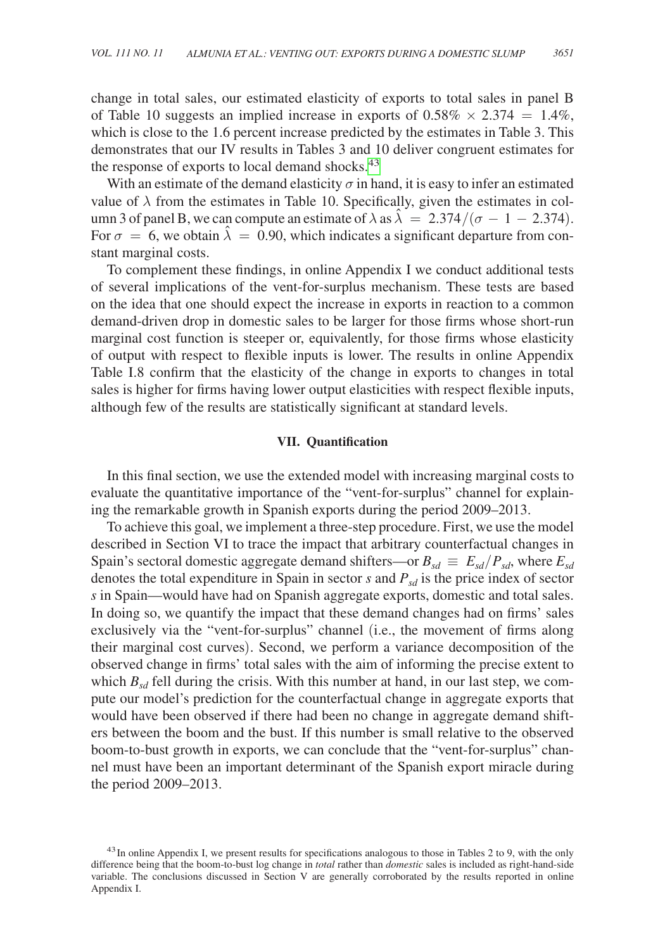change in total sales, our estimated elasticity of exports to total sales in panel B of Table 10 suggests an implied increase in exports of  $0.58\% \times 2.374 = 1.4\%$ , which is close to the 1.6 percent increase predicted by the estimates in Table 3. This demonstrates that our IV results in Tables 3 and 10 deliver congruent estimates for the response of exports to local demand shocks.<sup>43</sup>

With an estimate of the demand elasticity  $\sigma$  in hand, it is easy to infer an estimated value of  $\lambda$  from the estimates in Table 10. Specifically, given the estimates in column 3 of panel B, we can compute an estimate of  $\lambda$  as  $\hat{\lambda} = 2.374/(\sigma - 1 - 2.374)$ . For  $\sigma = 6$ , we obtain  $\hat{\lambda} = 0.90$ , which indicates a significant departure from constant marginal costs.

To complement these findings, in online Appendix I we conduct additional tests of several implications of the vent-for-surplus mechanism. These tests are based on the idea that one should expect the increase in exports in reaction to a common demand-driven drop in domestic sales to be larger for those firms whose short-run marginal cost function is steeper or, equivalently, for those firms whose elasticity of output with respect to flexible inputs is lower. The results in online Appendix Table I.8 confirm that the elasticity of the change in exports to changes in total sales is higher for firms having lower output elasticities with respect flexible inputs, although few of the results are statistically significant at standard levels.

## **VII. Quantification**

In this final section, we use the extended model with increasing marginal costs to evaluate the quantitative importance of the "vent-for-surplus" channel for explaining the remarkable growth in Spanish exports during the period 2009–2013.

To achieve this goal, we implement a three-step procedure. First, we use the model described in Section VI to trace the impact that arbitrary counterfactual changes in Spain's sectoral domestic aggregate demand shifters—or  $B_{sd} \equiv E_{sd}/P_{sd}$ , where  $E_{sd}$ denotes the total expenditure in Spain in sector  $s$  and  $P_{sd}$  is the price index of sector *s* in Spain—would have had on Spanish aggregate exports, domestic and total sales. In doing so, we quantify the impact that these demand changes had on firms' sales exclusively via the "vent-for-surplus" channel (i.e., the movement of firms along their marginal cost curves). Second, we perform a variance decomposition of the observed change in firms' total sales with the aim of informing the precise extent to which  $B_{sd}$  fell during the crisis. With this number at hand, in our last step, we compute our model's prediction for the counterfactual change in aggregate exports that would have been observed if there had been no change in aggregate demand shifters between the boom and the bust. If this number is small relative to the observed boom-to-bust growth in exports, we can conclude that the "vent-for-surplus" channel must have been an important determinant of the Spanish export miracle during the period 2009–2013.

<span id="page-40-0"></span><sup>&</sup>lt;sup>43</sup>In online Appendix I, we present results for specifications analogous to those in Tables 2 to 9, with the only difference being that the boom-to-bust log change in *total* rather than *domestic* sales is included as right-hand-side variable. The conclusions discussed in Section V are generally corroborated by the results reported in online Appendix I.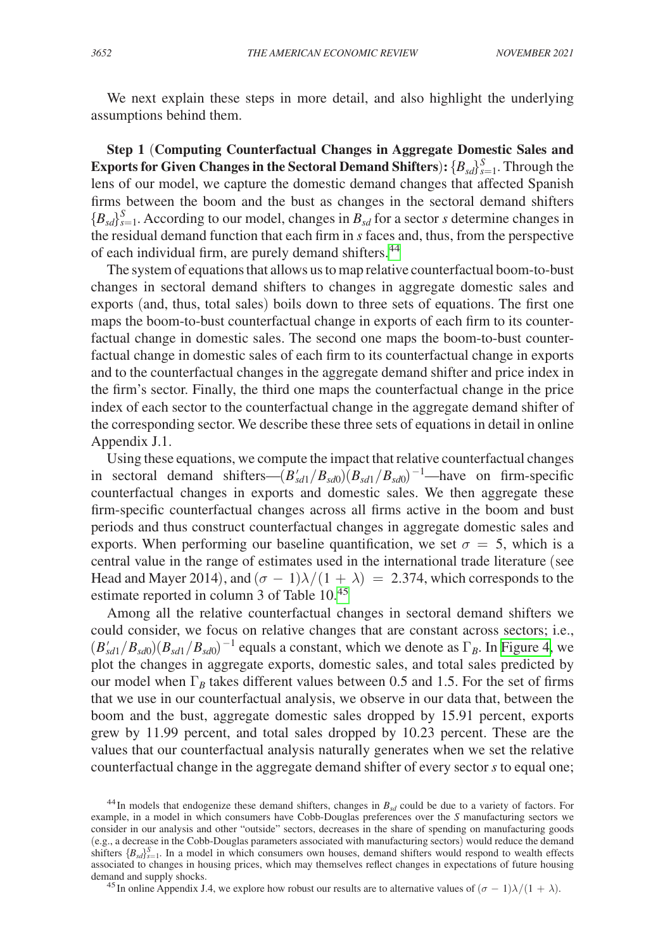We next explain these steps in more detail, and also highlight the underlying assumptions behind them.

**Step 1** (**Computing Counterfactual Changes in Aggregate Domestic Sales and Exports for Given Changes in the Sectoral Demand Shifters):**  $\{B_{sd}\}_{s=1}^S$ **. Through the** lens of our model, we capture the domestic demand changes that affected Spanish firms between the boom and the bust as changes in the sectoral demand shifters  ${B_{sd}}_{s=1}^S$ . According to our model, changes in  $B_{sd}$  for a sector *s* determine changes in the residual demand function that each firm in *s* faces and, thus, from the perspective of each individual firm, are purely demand shifters.<sup>44</sup>

The system of equations that allows us to map relative counterfactual boom-to-bust changes in sectoral demand shifters to changes in aggregate domestic sales and exports (and, thus, total sales) boils down to three sets of equations. The first one maps the boom-to-bust counterfactual change in exports of each firm to its counterfactual change in domestic sales. The second one maps the boom-to-bust counterfactual change in domestic sales of each firm to its counterfactual change in exports and to the counterfactual changes in the aggregate demand shifter and price index in the firm's sector. Finally, the third one maps the counterfactual change in the price index of each sector to the counterfactual change in the aggregate demand shifter of the corresponding sector. We describe these three sets of equations in detail in online Appendix J.1.

Using these equations, we compute the impact that relative counterfactual changes in sectoral demand shifters— $(B'_{sd1}/B_{sd0}) (B_{sd1}/B_{sd0})^{-1}$ —have on firm-specific counterfactual changes in exports and domestic sales. We then aggregate these firm-specific counterfactual changes across all firms active in the boom and bust periods and thus construct counterfactual changes in aggregate domestic sales and exports. When performing our baseline quantification, we set  $\sigma = 5$ , which is a central value in the range of estimates used in the international trade literature (see Head and Mayer 2014), and  $(\sigma - 1)\lambda/(1 + \lambda) = 2.374$ , which corresponds to the estimate reported in column 3 of Table 10.[45](#page-41-1)

Among all the relative counterfactual changes in sectoral demand shifters we could consider, we focus on relative changes that are constant across sectors; i.e.,  $(B'_{sd1}/B_{sd0})(B_{sd1}/B_{sd0})^{-1}$  equals a constant, which we denote as  $\Gamma_B$ . In [Figure 4,](#page-42-0) we plot the changes in aggregate exports, domestic sales, and total sales predicted by our model when  $\Gamma_B$  takes different values between 0.5 and 1.5. For the set of firms that we use in our counterfactual analysis, we observe in our data that, between the boom and the bust, aggregate domestic sales dropped by 15.91 percent, exports grew by 11.99 percent, and total sales dropped by 10.23 percent. These are the values that our counterfactual analysis naturally generates when we set the relative counterfactual change in the aggregate demand shifter of every sector *s* to equal one;

<span id="page-41-1"></span>

<span id="page-41-0"></span> $^{44}$ In models that endogenize these demand shifters, changes in  $B_{sd}$  could be due to a variety of factors. For example, in a model in which consumers have Cobb-Douglas preferences over the *S* manufacturing sectors we consider in our analysis and other "outside" sectors, decreases in the share of spending on manufacturing goods (e.g., a decrease in the Cobb-Douglas parameters associated with manufacturing sectors) would reduce the demand shifters  ${B_{sd}}_{s=1}^S$ . In a model in which consumers own houses, demand shifters would respond to wealth effects associated to changes in housing prices, which may themselves reflect changes in expectations of future housing demand and supply shocks.<br><sup>45</sup> In online Appendix J.4, we explore how robust our results are to alternative values of  $(\sigma - 1)\lambda/(1 + \lambda)$ .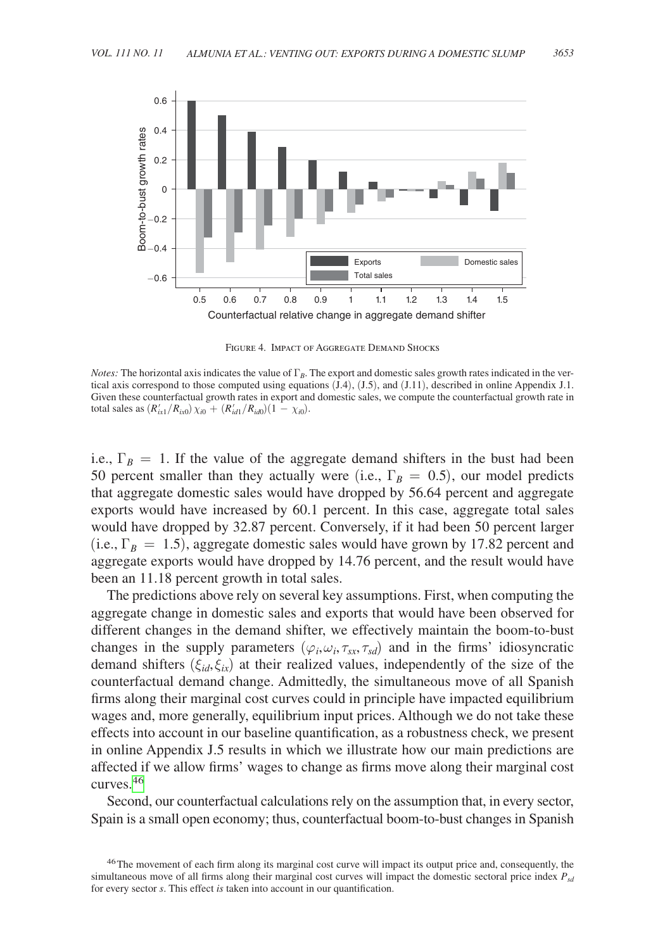<span id="page-42-0"></span>

Figure 4. Impact of Aggregate Demand Shocks

i.e.,  $\Gamma_B = 1$ . If the value of the aggregate demand shifters in the bust had been 50 percent smaller than they actually were (i.e.,  $\Gamma_B = 0.5$ ), our model predicts that aggregate domestic sales would have dropped by 56.64 percent and aggregate exports would have increased by 60.1 percent. In this case, aggregate total sales would have dropped by 32.87 percent. Conversely, if it had been 50 percent larger (i.e.,  $\Gamma_B = 1.5$ ), aggregate domestic sales would have grown by 17.82 percent and aggregate exports would have dropped by 14.76 percent, and the result would have been an 11.18 percent growth in total sales.

The predictions above rely on several key assumptions. First, when computing the aggregate change in domestic sales and exports that would have been observed for different changes in the demand shifter, we effectively maintain the boom-to-bust changes in the supply parameters  $(\varphi_i, \omega_i, \tau_{sx}, \tau_{sd})$  and in the firms' idiosyncratic demand shifters  $(\xi_{id}, \xi_{ix})$  at their realized values, independently of the size of the counterfactual demand change. Admittedly, the simultaneous move of all Spanish firms along their marginal cost curves could in principle have impacted equilibrium wages and, more generally, equilibrium input prices. Although we do not take these effects into account in our baseline quantification, as a robustness check, we present in online Appendix J.5 results in which we illustrate how our main predictions are affected if we allow firms' wages to change as firms move along their marginal cost curves[.46](#page-42-1)

Second, our counterfactual calculations rely on the assumption that, in every sector, Spain is a small open economy; thus, counterfactual boom-to-bust changes in Spanish

*Notes:* The horizontal axis indicates the value of Γ*B*. The export and domestic sales growth rates indicated in the vertical axis correspond to those computed using equations (J.4), (J.5), and (J.11), described in online Appendix J.1. Given these counterfactual growth rates in export and domestic sales, we compute the counterfactual growth rate in total sales as  $(R'_{ix1}/R_{ix0})\chi_{i0} + (R'_{id1}/R_{id0})(1 - \chi_{i0}).$ 

<span id="page-42-1"></span><sup>&</sup>lt;sup>46</sup>The movement of each firm along its marginal cost curve will impact its output price and, consequently, the simultaneous move of all firms along their marginal cost curves will impact the domestic sectoral price index *Psd* for every sector *s*. This effect *is* taken into account in our quantification.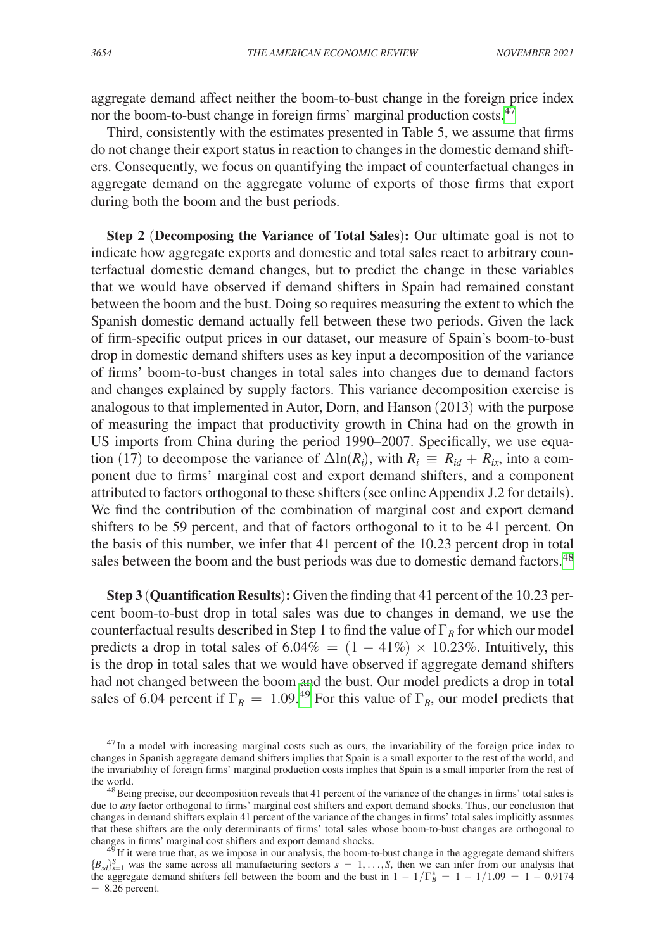aggregate demand affect neither the boom-to-bust change in the foreign price index nor the boom-to-bust change in foreign firms' marginal production costs.<sup>47</sup>

Third, consistently with the estimates presented in Table 5, we assume that firms do not change their export status in reaction to changes in the domestic demand shifters. Consequently, we focus on quantifying the impact of counterfactual changes in aggregate demand on the aggregate volume of exports of those firms that export during both the boom and the bust periods.

**Step 2** (**Decomposing the Variance of Total Sales**)**:** Our ultimate goal is not to indicate how aggregate exports and domestic and total sales react to arbitrary counterfactual domestic demand changes, but to predict the change in these variables that we would have observed if demand shifters in Spain had remained constant between the boom and the bust. Doing so requires measuring the extent to which the Spanish domestic demand actually fell between these two periods. Given the lack of firm-specific output prices in our dataset, our measure of Spain's boom-to-bust drop in domestic demand shifters uses as key input a decomposition of the variance of firms' boom-to-bust changes in total sales into changes due to demand factors and changes explained by supply factors. This variance decomposition exercise is analogous to that implemented in Autor, Dorn, and Hanson (2013) with the purpose of measuring the impact that productivity growth in China had on the growth in US imports from China during the period 1990–2007. Specifically, we use equation (17) to decompose the variance of  $\Delta \ln(R_i)$ , with  $R_i \equiv R_{id} + R_{ix}$ , into a component due to firms' marginal cost and export demand shifters, and a component attributed to factors orthogonal to these shifters (see online Appendix J.2 for details). We find the contribution of the combination of marginal cost and export demand shifters to be 59 percent, and that of factors orthogonal to it to be 41 percent. On the basis of this number, we infer that 41 percent of the 10.23 percent drop in total sales between the boom and the bust periods was due to domestic demand factors.<sup>48</sup>

**Step 3** (**Quantification Results**)**:** Given the finding that 41 percent of the 10.23 percent boom-to-bust drop in total sales was due to changes in demand, we use the counterfactual results described in Step 1 to find the value of  $\Gamma_B$  for which our model predicts a drop in total sales of  $6.04\% = (1 - 41\%) \times 10.23\%$ . Intuitively, this is the drop in total sales that we would have observed if aggregate demand shifters had not changed between the boom and the bust. Our model predicts a drop in total sales of 6.04 percent if  $\Gamma_B = 1.09$ .<sup>[49](#page-43-2)</sup> For this value of  $\Gamma_B$ , our model predicts that

<span id="page-43-0"></span> $47$ In a model with increasing marginal costs such as ours, the invariability of the foreign price index to changes in Spanish aggregate demand shifters implies that Spain is a small exporter to the rest of the world, and the invariability of foreign firms' marginal production costs implies that Spain is a small importer from the rest of

<span id="page-43-1"></span>the world.<br><sup>48</sup>Being precise, our decomposition reveals that 41 percent of the variance of the changes in firms' total sales is due to *any* factor orthogonal to firms' marginal cost shifters and export demand shocks. Thus, our conclusion that changes in demand shifters explain 41 percent of the variance of the changes in firms' total sales implicitly assumes that these shifters are the only determinants of firms' total sales whose boom-to-bust changes are orthogonal to

<span id="page-43-2"></span>changes in firms' marginal cost shifters and export demand shocks.<br><sup>49</sup>If it were true that, as we impose in our analysis, the boom-to-bust change in the aggregate demand shifters  ${B_{sd}}_{s=1}^S$  was the same across all manufacturing sectors  $s = 1, ..., S$ , then we can infer from our analysis that the aggregate demand shifters fell between the boom and the bust in  $1 - 1/\Gamma_B^* = 1 - 1/1.09 = 1 - 0.9174$  $= 8.26$  percent.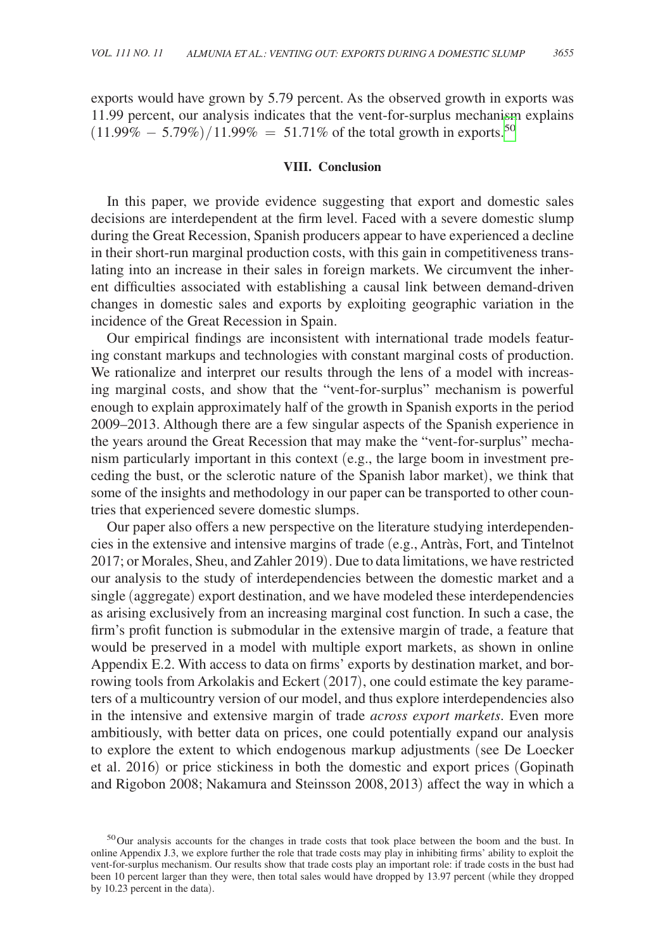exports would have grown by 5.79 percent. As the observed growth in exports was 11.99 percent, our analysis indicates that the vent-for-surplus mechanism explains  $(11.99\% - 5.79\%)/11.99\% = 51.71\%$  of the total growth in exports.<sup>[50](#page-44-0)</sup>

### **VIII. Conclusion**

In this paper, we provide evidence suggesting that export and domestic sales decisions are interdependent at the firm level. Faced with a severe domestic slump during the Great Recession, Spanish producers appear to have experienced a decline in their short-run marginal production costs, with this gain in competitiveness translating into an increase in their sales in foreign markets. We circumvent the inherent difficulties associated with establishing a causal link between demand-driven changes in domestic sales and exports by exploiting geographic variation in the incidence of the Great Recession in Spain.

Our empirical findings are inconsistent with international trade models featuring constant markups and technologies with constant marginal costs of production. We rationalize and interpret our results through the lens of a model with increasing marginal costs, and show that the "vent-for-surplus" mechanism is powerful enough to explain approximately half of the growth in Spanish exports in the period 2009–2013. Although there are a few singular aspects of the Spanish experience in the years around the Great Recession that may make the "vent-for-surplus" mechanism particularly important in this context (e.g., the large boom in investment preceding the bust, or the sclerotic nature of the Spanish labor market), we think that some of the insights and methodology in our paper can be transported to other countries that experienced severe domestic slumps.

Our paper also offers a new perspective on the literature studying interdependencies in the extensive and intensive margins of trade (e.g., Antràs, Fort, and Tintelnot 2017; or Morales, Sheu, and Zahler 2019). Due to data limitations, we have restricted our analysis to the study of interdependencies between the domestic market and a single (aggregate) export destination, and we have modeled these interdependencies as arising exclusively from an increasing marginal cost function. In such a case, the firm's profit function is submodular in the extensive margin of trade, a feature that would be preserved in a model with multiple export markets, as shown in online Appendix E.2. With access to data on firms' exports by destination market, and borrowing tools from Arkolakis and Eckert (2017), one could estimate the key parameters of a multicountry version of our model, and thus explore interdependencies also in the intensive and extensive margin of trade *across export markets*. Even more ambitiously, with better data on prices, one could potentially expand our analysis to explore the extent to which endogenous markup adjustments (see De Loecker et al. 2016) or price stickiness in both the domestic and export prices (Gopinath and Rigobon 2008; Nakamura and Steinsson 2008,2013) affect the way in which a

<span id="page-44-0"></span><sup>&</sup>lt;sup>50</sup>Our analysis accounts for the changes in trade costs that took place between the boom and the bust. In online Appendix J.3, we explore further the role that trade costs may play in inhibiting firms' ability to exploit the vent-for-surplus mechanism. Our results show that trade costs play an important role: if trade costs in the bust had been 10 percent larger than they were, then total sales would have dropped by 13.97 percent (while they dropped by 10.23 percent in the data).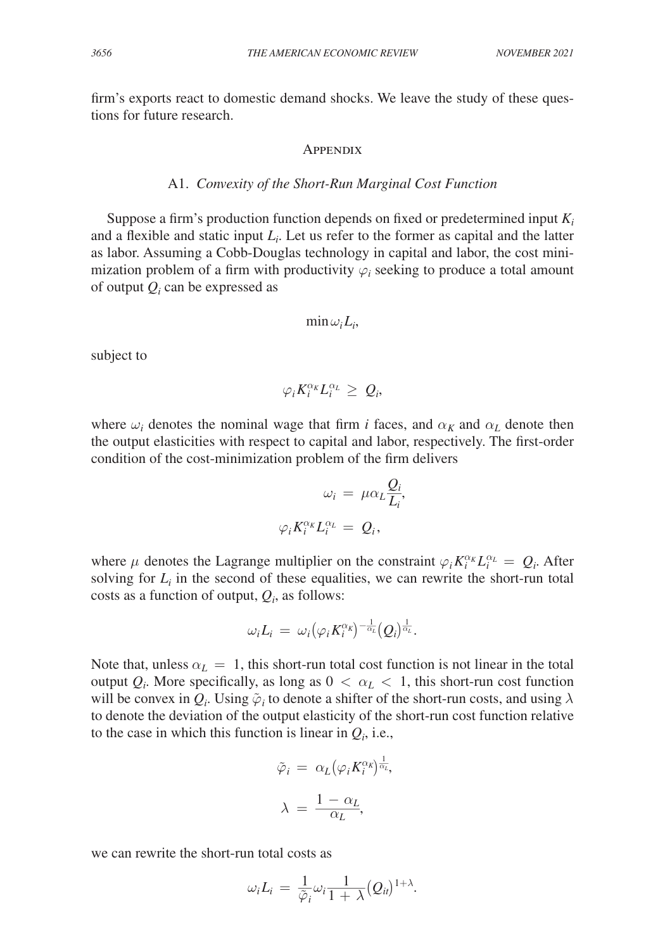firm's exports react to domestic demand shocks. We leave the study of these questions for future research.

## **APPENDIX**

#### A1. *Convexity of the Short-Run Marginal Cost Function*

Suppose a firm's production function depends on fixed or predetermined input *Ki* and a flexible and static input  $L_i$ . Let us refer to the former as capital and the latter as labor. Assuming a Cobb-Douglas technology in capital and labor, the cost minimization problem of a firm with productivity  $\varphi_i$  seeking to produce a total amount of output  $Q_i$  can be expressed as

$$
\min \omega_i L_i,
$$

subject to

$$
\varphi_i K_i^{\alpha_K} L_i^{\alpha_L} \geq Q_i,
$$

where  $\omega_i$  denotes the nominal wage that firm *i* faces, and  $\alpha_K$  and  $\alpha_L$  denote then the output elasticities with respect to capital and labor, respectively. The first-order condition of the cost-minimization problem of the firm delivers

$$
\omega_i \,=\, \mu \alpha_L \frac{Q_i}{L_i},
$$
  

$$
\varphi_i K_i^{\alpha_K} L_i^{\alpha_L} \,=\, Q_i,
$$

where  $\mu$  denotes the Lagrange multiplier on the constraint  $\varphi_i K_i^{\alpha_K} L_i^{\alpha_L} = Q_i$ . After solving for  $L_i$  in the second of these equalities, we can rewrite the short-run total costs as a function of output,  $Q_i$ , as follows:

$$
\omega_i L_i \,=\, \omega_i \big(\varphi_i K_i^{\alpha_K}\big)^{-\frac{1}{\alpha_L}} (Q_i)^{\frac{1}{\alpha_L}}.
$$

Note that, unless  $\alpha_L = 1$ , this short-run total cost function is not linear in the total output  $Q_i$ . More specifically, as long as  $0 < \alpha_L < 1$ , this short-run cost function will be convex in  $Q_i$ . Using  $\tilde{\varphi}_i$  to denote a shifter of the short-run costs, and using  $\lambda$ to denote the deviation of the output elasticity of the short-run cost function relative to the case in which this function is linear in  $Q_i$ , i.e.,

$$
\tilde{\varphi}_i = \alpha_L (\varphi_i K_i^{\alpha_k})^{\frac{1}{\alpha_L}},
$$

$$
\lambda = \frac{1 - \alpha_L}{\alpha_L},
$$

we can rewrite the short-run total costs as

we can rewrite the short-run total costs as  
\n
$$
\omega_i L_i = \frac{1}{\tilde{\varphi}_i} \omega_i \frac{1}{1 + \lambda} (Q_{it})^{1 + \lambda}.
$$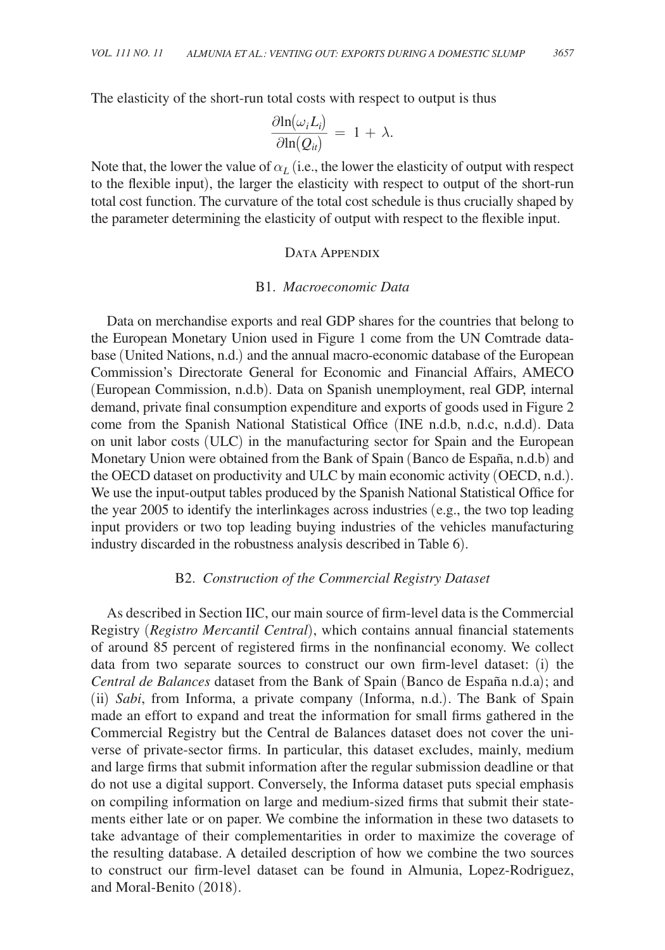The elasticity of the short-run total costs with respect to output is thus The elasticity of the short-run total costs<br> $\frac{\partial \ln(\omega_i L_i)}{\partial \ln(Q_{it})}$ <br>Note that the lower the value of  $\alpha_i$  (i.e. the

$$
\frac{\partial \ln(\omega_i L_i)}{\partial \ln(Q_{it})} = 1 + \lambda.
$$

Note that, the lower the value of  $\alpha_L$  (i.e., the lower the elasticity of output with respect to the flexible input), the larger the elasticity with respect to output of the short-run total cost function. The curvature of the total cost schedule is thus crucially shaped by the parameter determining the elasticity of output with respect to the flexible input.

## DATA APPENDIX

## B1. *Macroeconomic Data*

Data on merchandise exports and real GDP shares for the countries that belong to the European Monetary Union used in Figure 1 come from the UN Comtrade database (United Nations, n.d.) and the annual macro-economic database of the European Commission's Directorate General for Economic and Financial Affairs, AMECO (European Commission, n.d.b). Data on Spanish unemployment, real GDP, internal demand, private final consumption expenditure and exports of goods used in Figure 2 come from the Spanish National Statistical Office (INE n.d.b, n.d.c, n.d.d). Data on unit labor costs (ULC) in the manufacturing sector for Spain and the European Monetary Union were obtained from the Bank of Spain (Banco de España, n.d.b) and the OECD dataset on productivity and ULC by main economic activity (OECD, n.d.). We use the input-output tables produced by the Spanish National Statistical Office for the year 2005 to identify the interlinkages across industries (e.g., the two top leading input providers or two top leading buying industries of the vehicles manufacturing industry discarded in the robustness analysis described in Table 6).

## B2. *Construction of the Commercial Registry Dataset*

As described in Section IIC, our main source of firm-level data is the Commercial Registry (*Registro Mercantil Central*), which contains annual financial statements of around 85 percent of registered firms in the nonfinancial economy. We collect data from two separate sources to construct our own firm-level dataset: (i) the *Central de Balances* dataset from the Bank of Spain (Banco de España n.d.a); and (ii) *Sabi*, from Informa, a private company (Informa, n.d.). The Bank of Spain made an effort to expand and treat the information for small firms gathered in the Commercial Registry but the Central de Balances dataset does not cover the universe of private-sector firms. In particular, this dataset excludes, mainly, medium and large firms that submit information after the regular submission deadline or that do not use a digital support. Conversely, the Informa dataset puts special emphasis on compiling information on large and medium-sized firms that submit their statements either late or on paper. We combine the information in these two datasets to take advantage of their complementarities in order to maximize the coverage of the resulting database. A detailed description of how we combine the two sources to construct our firm-level dataset can be found in Almunia, Lopez-Rodriguez, and Moral-Benito (2018).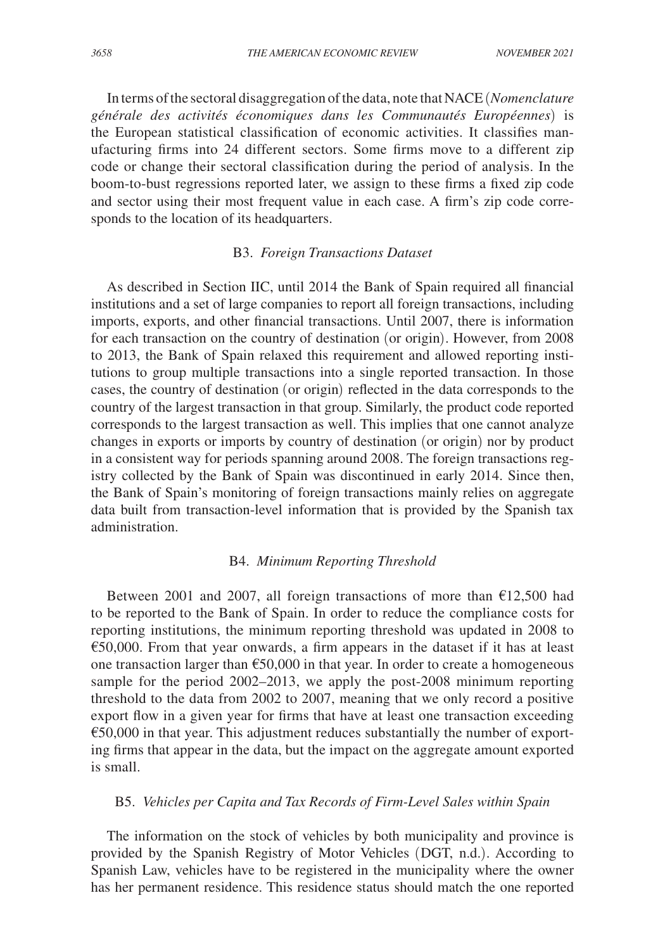In terms of the sectoral disaggregation of the data, note that NACE (*Nomenclature générale des activités économiques dans les Communautés Européennes*) is the European statistical classification of economic activities. It classifies manufacturing firms into 24 different sectors. Some firms move to a different zip code or change their sectoral classification during the period of analysis. In the boom-to-bust regressions reported later, we assign to these firms a fixed zip code and sector using their most frequent value in each case. A firm's zip code corresponds to the location of its headquarters.

## B3. *Foreign Transactions Dataset*

As described in Section IIC, until 2014 the Bank of Spain required all financial institutions and a set of large companies to report all foreign transactions, including imports, exports, and other financial transactions. Until 2007, there is information for each transaction on the country of destination (or origin). However, from 2008 to 2013, the Bank of Spain relaxed this requirement and allowed reporting institutions to group multiple transactions into a single reported transaction. In those cases, the country of destination (or origin) reflected in the data corresponds to the country of the largest transaction in that group. Similarly, the product code reported corresponds to the largest transaction as well. This implies that one cannot analyze changes in exports or imports by country of destination (or origin) nor by product in a consistent way for periods spanning around 2008. The foreign transactions registry collected by the Bank of Spain was discontinued in early 2014. Since then, the Bank of Spain's monitoring of foreign transactions mainly relies on aggregate data built from transaction-level information that is provided by the Spanish tax administration.

# B4. *Minimum Reporting Threshold*

Between 2001 and 2007, all foreign transactions of more than  $\epsilon$ 12,500 had to be reported to the Bank of Spain. In order to reduce the compliance costs for reporting institutions, the minimum reporting threshold was updated in 2008 to  $\epsilon$ 50,000. From that year onwards, a firm appears in the dataset if it has at least one transaction larger than  $£50,000$  in that year. In order to create a homogeneous sample for the period 2002–2013, we apply the post-2008 minimum reporting threshold to the data from 2002 to 2007, meaning that we only record a positive export flow in a given year for firms that have at least one transaction exceeding  $€50,000$  in that year. This adjustment reduces substantially the number of exporting firms that appear in the data, but the impact on the aggregate amount exported is small.

# B5. *Vehicles per Capita and Tax Records of Firm-Level Sales within Spain*

The information on the stock of vehicles by both municipality and province is provided by the Spanish Registry of Motor Vehicles (DGT, n.d.). According to Spanish Law, vehicles have to be registered in the municipality where the owner has her permanent residence. This residence status should match the one reported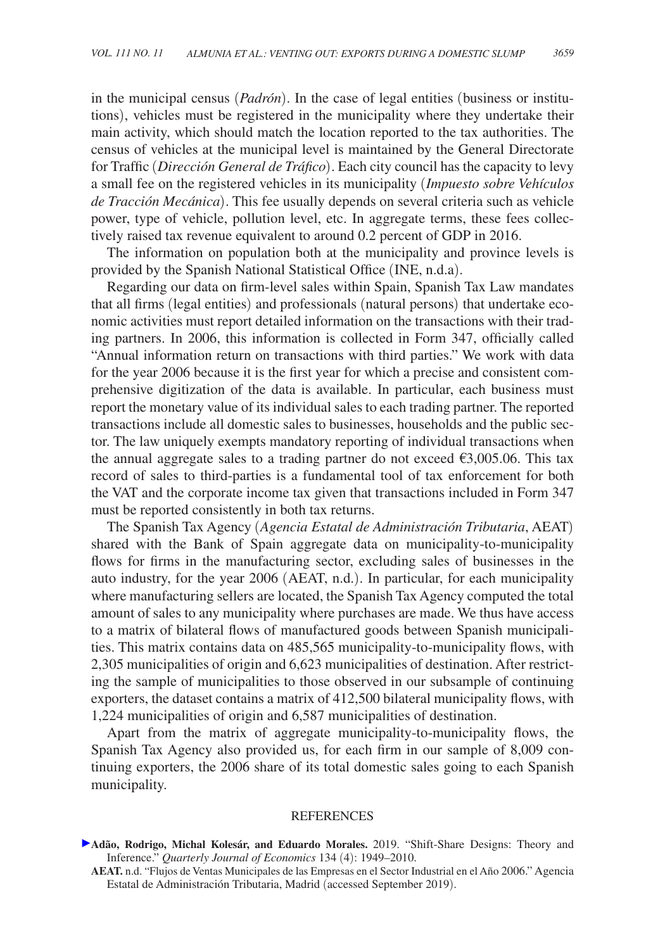in the municipal census (*Padrón*). In the case of legal entities (business or institutions), vehicles must be registered in the municipality where they undertake their main activity, which should match the location reported to the tax authorities. The census of vehicles at the municipal level is maintained by the General Directorate for Traffic (*Dirección General de Tráfico*). Each city council has the capacity to levy a small fee on the registered vehicles in its municipality (*Impuesto sobre Vehículos de Tracción Mecánica*). This fee usually depends on several criteria such as vehicle power, type of vehicle, pollution level, etc. In aggregate terms, these fees collectively raised tax revenue equivalent to around 0.2 percent of GDP in 2016.

The information on population both at the municipality and province levels is provided by the Spanish National Statistical Office (INE, n.d.a).

Regarding our data on firm-level sales within Spain, Spanish Tax Law mandates that all firms (legal entities) and professionals (natural persons) that undertake economic activities must report detailed information on the transactions with their trading partners. In 2006, this information is collected in Form 347, officially called "Annual information return on transactions with third parties." We work with data for the year 2006 because it is the first year for which a precise and consistent comprehensive digitization of the data is available. In particular, each business must report the monetary value of its individual sales to each trading partner. The reported transactions include all domestic sales to businesses, households and the public sector. The law uniquely exempts mandatory reporting of individual transactions when the annual aggregate sales to a trading partner do not exceed  $\epsilon$ 3,005.06. This tax record of sales to third-parties is a fundamental tool of tax enforcement for both the VAT and the corporate income tax given that transactions included in Form 347 must be reported consistently in both tax returns.

The Spanish Tax Agency (*Agencia Estatal de Administración Tributaria*, AEAT) shared with the Bank of Spain aggregate data on municipality-to-municipality flows for firms in the manufacturing sector, excluding sales of businesses in the auto industry, for the year 2006 (AEAT, n.d.). In particular, for each municipality where manufacturing sellers are located, the Spanish Tax Agency computed the total amount of sales to any municipality where purchases are made. We thus have access to a matrix of bilateral flows of manufactured goods between Spanish municipalities. This matrix contains data on 485,565 municipality-to-municipality flows, with 2,305 municipalities of origin and 6,623 municipalities of destination. After restricting the sample of municipalities to those observed in our subsample of continuing exporters, the dataset contains a matrix of 412,500 bilateral municipality flows, with 1,224 municipalities of origin and 6,587 municipalities of destination.

Apart from the matrix of aggregate municipality-to-municipality flows, the Spanish Tax Agency also provided us, for each firm in our sample of 8,009 continuing exporters, the 2006 share of its total domestic sales going to each Spanish municipality.

#### **REFERENCES**

**Adão, Rodrigo, Michal Kolesár, and Eduardo Morales.** 2019. "Shift-Share Designs: Theory and Inference." *Quarterly Journal of Economics* 134 (4): 1949–2010.

**AEAT.** n.d. "Flujos de Ventas Municipales de las Empresas en el Sector Industrial en el Año 2006." Agencia Estatal de Administración Tributaria, Madrid (accessed September 2019).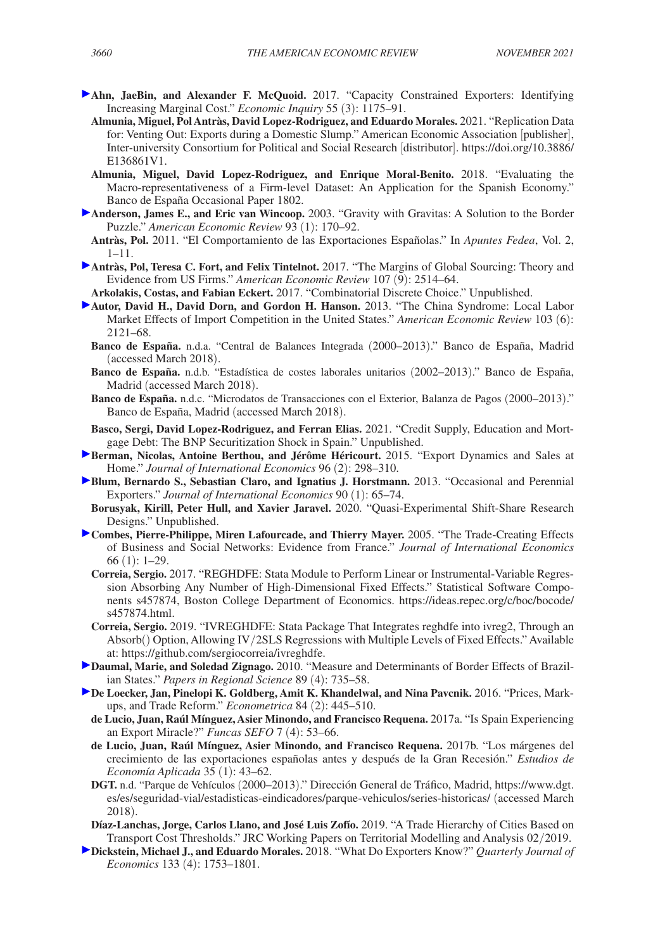- **Ahn, JaeBin, and Alexander F. McQuoid.** 2017. "Capacity Constrained Exporters: Identifying Increasing Marginal Cost." *Economic Inquiry* 55 (3): 1175–91.
- **Almunia, Miguel, Pol Antràs, David Lopez-Rodriguez, and Eduardo Morales.** 2021. "Replication Data for: Venting Out: Exports during a Domestic Slump." American Economic Association [publisher], Inter-university Consortium for Political and Social Research [distributor]. [https://doi.org/10.3886/](https://doi.org/10.3886/E136861V1) [E136861V1](https://doi.org/10.3886/E136861V1).
- **Almunia, Miguel, David Lopez-Rodriguez, and Enrique Moral-Benito.** 2018. "Evaluating the Macro-representativeness of a Firm-level Dataset: An Application for the Spanish Economy." Banco de España Occasional Paper 1802.
- **Anderson, James E., and Eric van Wincoop.** 2003. "Gravity with Gravitas: A Solution to the Border Puzzle." *American Economic Review* 93 (1): 170–92.
- **Antràs, Pol.** 2011. "El Comportamiento de las Exportaciones Españolas." In *Apuntes Fedea*, Vol. 2, 1–11.
- **Antràs, Pol, Teresa C. Fort, and Felix Tintelnot.** 2017. "The Margins of Global Sourcing: Theory and Evidence from US Firms." *American Economic Review* 107 (9): 2514–64.

**Arkolakis, Costas, and Fabian Eckert.** 2017. "Combinatorial Discrete Choice." Unpublished.

- **Autor, David H., David Dorn, and Gordon H. Hanson.** 2013. "The China Syndrome: Local Labor Market Effects of Import Competition in the United States." *American Economic Review* 103 (6): 2121–68.
	- **Banco de España.** n.d.a. "Central de Balances Integrada (2000–2013)." Banco de España, Madrid (accessed March 2018).
	- **Banco de España.** n.d.b. "Estadística de costes laborales unitarios (2002–2013)." Banco de España, Madrid (accessed March 2018).
	- **Banco de España.** n.d.c. "Microdatos de Transacciones con el Exterior, Balanza de Pagos (2000–2013)." Banco de España, Madrid (accessed March 2018).
	- **Basco, Sergi, David Lopez-Rodriguez, and Ferran Elias.** 2021. "Credit Supply, Education and Mortgage Debt: The BNP Securitization Shock in Spain." Unpublished.
- **Berman, Nicolas, Antoine Berthou, and Jérôme Héricourt.** 2015. "Export Dynamics and Sales at Home." *Journal of International Economics* 96 (2): 298–310.
- **Blum, Bernardo S., Sebastian Claro, and Ignatius J. Horstmann.** 2013. "Occasional and Perennial Exporters." *Journal of International Economics* 90 (1): 65–74.
- **Borusyak, Kirill, Peter Hull, and Xavier Jaravel.** 2020. "Quasi-Experimental Shift-Share Research Designs." Unpublished.
- **Combes, Pierre-Philippe, Miren Lafourcade, and Thierry Mayer.** 2005. "The Trade-Creating Effects of Business and Social Networks: Evidence from France." *Journal of International Economics* 66 (1): 1–29.
	- **Correia, Sergio.** 2017. "REGHDFE: Stata Module to Perform Linear or Instrumental-Variable Regression Absorbing Any Number of High-Dimensional Fixed Effects." Statistical Software Components s457874, Boston College Department of Economics. [https://ideas.repec.org/c/boc/bocode/](https://ideas.repec.org/c/boc/bocode/s457874.html) [s457874.html](https://ideas.repec.org/c/boc/bocode/s457874.html).
	- **Correia, Sergio.** 2019. "IVREGHDFE: Stata Package That Integrates reghdfe into ivreg2, Through an Absorb() Option, Allowing IV/2SLS Regressions with Multiple Levels of Fixed Effects." Available at:<https://github.com/sergiocorreia/ivreghdfe>.
- **Daumal, Marie, and Soledad Zignago.** 2010. "Measure and Determinants of Border Effects of Brazilian States." *Papers in Regional Science* 89 (4): 735–58.
- **De Loecker, Jan, Pinelopi K. Goldberg, Amit K. Khandelwal, and Nina Pavcnik.** 2016. "Prices, Markups, and Trade Reform." *Econometrica* 84 (2): 445–510.
	- **de Lucio, Juan, Raúl Mínguez, Asier Minondo, and Francisco Requena.** 2017a. "Is Spain Experiencing an Export Miracle?" *Funcas SEFO* 7 (4): 53–66.
	- **de Lucio, Juan, Raúl Mínguez, Asier Minondo, and Francisco Requena.** 2017b. "Los márgenes del crecimiento de las exportaciones españolas antes y después de la Gran Recesión." *Estudios de Economía Aplicada* 35 (1): 43–62.
	- **DGT.** n.d. "Parque de Vehículos (2000–2013)." Dirección General de Tráfico, Madrid, [https://www.dgt.](https://www.dgt.es/es/seguridad-vial/estadisticas-eindicadores/parque-vehiculos/series-historicas/) [es/es/seguridad-vial/estadisticas-eindicadores/parque-vehiculos/series-historicas/](https://www.dgt.es/es/seguridad-vial/estadisticas-eindicadores/parque-vehiculos/series-historicas/) (accessed March 2018).
- **Díaz-Lanchas, Jorge, Carlos Llano, and José Luis Zofío.** 2019. "A Trade Hierarchy of Cities Based on Transport Cost Thresholds." JRC Working Papers on Territorial Modelling and Analysis 02/2019.
- **Dickstein, Michael J., and Eduardo Morales.** 2018. "What Do Exporters Know?" *Quarterly Journal of Economics* 133 (4): 1753–1801.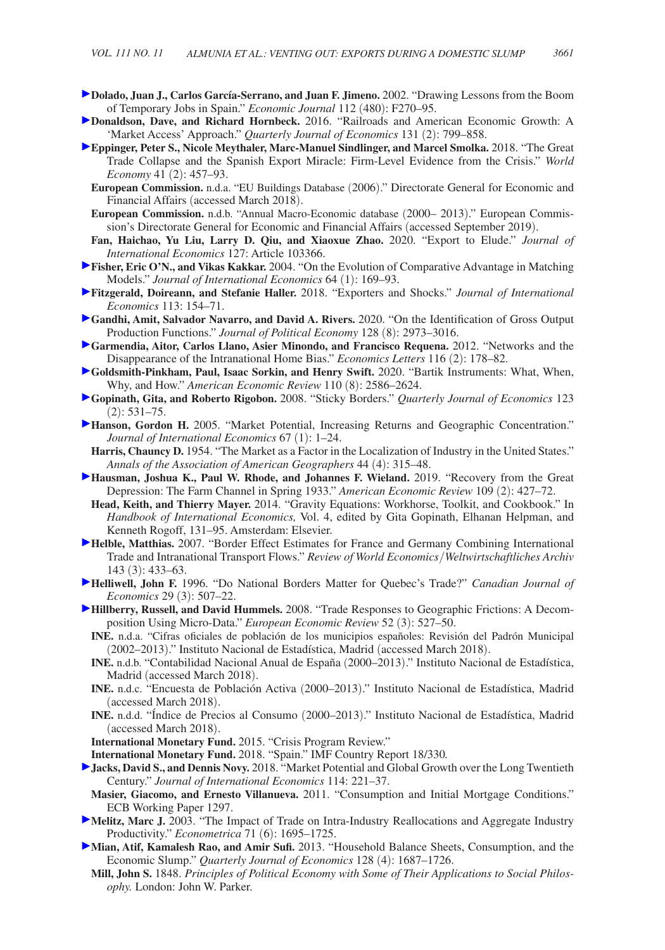- **Dolado, Juan J., Carlos García-Serrano, and Juan F. Jimeno.** 2002. "Drawing Lessons from the Boom of Temporary Jobs in Spain." *Economic Journal* 112 (480): F270–95.
- **Donaldson, Dave, and Richard Hornbeck.** 2016. "Railroads and American Economic Growth: A 'Market Access' Approach." *Quarterly Journal of Economics* 131 (2): 799–858.
- **Eppinger, Peter S., Nicole Meythaler, Marc-Manuel Sindlinger, and Marcel Smolka.** 2018. "The Great Trade Collapse and the Spanish Export Miracle: Firm-Level Evidence from the Crisis." *World Economy* 41 (2): 457–93.
	- **European Commission.** n.d.a. "EU Buildings Database (2006)." Directorate General for Economic and Financial Affairs (accessed March 2018).
	- **European Commission.** n.d.b. "Annual Macro-Economic database (2000– 2013)." European Commission's Directorate General for Economic and Financial Affairs (accessed September 2019).
- **Fan, Haichao, Yu Liu, Larry D. Qiu, and Xiaoxue Zhao.** 2020. "Export to Elude." *Journal of International Economics* 127: Article 103366.
- **Fisher, Eric O'N., and Vikas Kakkar.** 2004. "On the Evolution of Comparative Advantage in Matching Models." *Journal of International Economics* 64 (1): 169–93.
- **Fitzgerald, Doireann, and Stefanie Haller.** 2018. "Exporters and Shocks." *Journal of International Economics* 113: 154–71.
- **Gandhi, Amit, Salvador Navarro, and David A. Rivers.** 2020. "On the Identification of Gross Output Production Functions." *Journal of Political Economy* 128 (8): 2973–3016.
- **Garmendia, Aitor, Carlos Llano, Asier Minondo, and Francisco Requena.** 2012. "Networks and the Disappearance of the Intranational Home Bias." *Economics Letters* 116 (2): 178–82.
- **Goldsmith-Pinkham, Paul, Isaac Sorkin, and Henry Swift.** 2020. "Bartik Instruments: What, When, Why, and How." *American Economic Review* 110 (8): 2586–2624.
- **Gopinath, Gita, and Roberto Rigobon.** 2008. "Sticky Borders." *Quarterly Journal of Economics* 123  $(2): 531 - 75.$
- **Hanson, Gordon H.** 2005. "Market Potential, Increasing Returns and Geographic Concentration." *Journal of International Economics* 67 (1): 1–24.
- **Harris, Chauncy D.** 1954. "The Market as a Factor in the Localization of Industry in the United States." *Annals of the Association of American Geographers* 44 (4): 315–48.
- **Hausman, Joshua K., Paul W. Rhode, and Johannes F. Wieland.** 2019. "Recovery from the Great Depression: The Farm Channel in Spring 1933." *American Economic Review* 109 (2): 427–72.
- **Head, Keith, and Thierry Mayer.** 2014. "Gravity Equations: Workhorse, Toolkit, and Cookbook." In *Handbook of International Economics,* Vol. 4, edited by Gita Gopinath, Elhanan Helpman, and Kenneth Rogoff, 131–95. Amsterdam: Elsevier.
- **Helble, Matthias.** 2007. "Border Effect Estimates for France and Germany Combining International Trade and Intranational Transport Flows." *Review of World Economics*/*Weltwirtschaftliches Archiv* 143 (3): 433–63.
- **Helliwell, John F.** 1996. "Do National Borders Matter for Quebec's Trade?" *Canadian Journal of Economics* 29 (3): 507–22.
- **Hillberry, Russell, and David Hummels.** 2008. "Trade Responses to Geographic Frictions: A Decomposition Using Micro-Data." *European Economic Review* 52 (3): 527–50.
	- **INE.** n.d.a. "Cifras oficiales de población de los municipios españoles: Revisión del Padrón Municipal (2002–2013)." Instituto Nacional de Estadística, Madrid (accessed March 2018).
	- **INE.** n.d.b. "Contabilidad Nacional Anual de España (2000–2013)." Instituto Nacional de Estadística, Madrid (accessed March 2018).
	- **INE.** n.d.c. "Encuesta de Población Activa (2000–2013)." Instituto Nacional de Estadística, Madrid (accessed March 2018).
	- **INE.** n.d.d. "Índice de Precios al Consumo (2000–2013)." Instituto Nacional de Estadística, Madrid (accessed March 2018).
	- **International Monetary Fund.** 2015. "Crisis Program Review."
- **International Monetary Fund.** 2018. "Spain." IMF Country Report 18/330*.*
- **Jacks, David S., and Dennis Novy.** 2018. "Market Potential and Global Growth over the Long Twentieth Century." *Journal of International Economics* 114: 221–37.
- **Masier, Giacomo, and Ernesto Villanueva.** 2011. "Consumption and Initial Mortgage Conditions." ECB Working Paper 1297.
- **Melitz, Marc J.** 2003. "The Impact of Trade on Intra-Industry Reallocations and Aggregate Industry Productivity." *Econometrica* 71 (6): 1695–1725.
- **Mian, Atif, Kamalesh Rao, and Amir Sufi.** 2013. "Household Balance Sheets, Consumption, and the Economic Slump." *Quarterly Journal of Economics* 128 (4): 1687–1726.
	- **Mill, John S.** 1848. *Principles of Political Economy with Some of Their Applications to Social Philosophy.* London: John W. Parker.